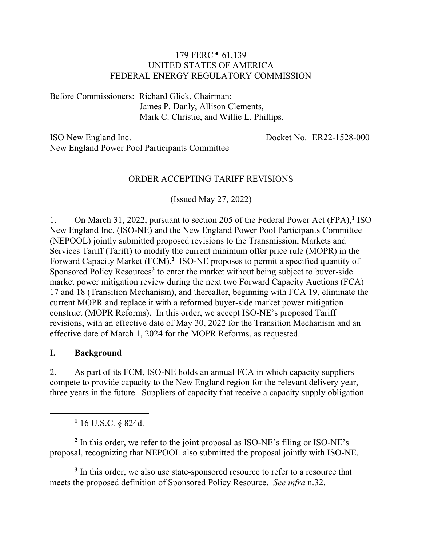#### 179 FERC ¶ 61,139 UNITED STATES OF AMERICA FEDERAL ENERGY REGULATORY COMMISSION

Before Commissioners: Richard Glick, Chairman; James P. Danly, Allison Clements, Mark C. Christie, and Willie L. Phillips.

ISO New England Inc. New England Power Pool Participants Committee Docket No. ER22-1528-000

#### ORDER ACCEPTING TARIFF REVISIONS

(Issued May 27, 2022)

1. On March 31, 2022, pursuant to section 205 of the Federal Power Act (FPA),**<sup>1</sup>** ISO New England Inc. (ISO-NE) and the New England Power Pool Participants Committee (NEPOOL) jointly submitted proposed revisions to the Transmission, Markets and Services Tariff (Tariff) to modify the current minimum offer price rule (MOPR) in the Forward Capacity Market (FCM).**<sup>2</sup>** ISO-NE proposes to permit a specified quantity of Sponsored Policy Resources**<sup>3</sup>** to enter the market without being subject to buyer-side market power mitigation review during the next two Forward Capacity Auctions (FCA) 17 and 18 (Transition Mechanism), and thereafter, beginning with FCA 19, eliminate the current MOPR and replace it with a reformed buyer-side market power mitigation construct (MOPR Reforms). In this order, we accept ISO-NE's proposed Tariff revisions, with an effective date of May 30, 2022 for the Transition Mechanism and an effective date of March 1, 2024 for the MOPR Reforms, as requested.

#### **I. Background**

 $\overline{a}$ 

2. As part of its FCM, ISO-NE holds an annual FCA in which capacity suppliers compete to provide capacity to the New England region for the relevant delivery year, three years in the future. Suppliers of capacity that receive a capacity supply obligation

**<sup>1</sup>** 16 U.S.C. § 824d.

**<sup>2</sup>** In this order, we refer to the joint proposal as ISO-NE's filing or ISO-NE's proposal, recognizing that NEPOOL also submitted the proposal jointly with ISO-NE.

**<sup>3</sup>** In this order, we also use state-sponsored resource to refer to a resource that meets the proposed definition of Sponsored Policy Resource. *See infra* n.32.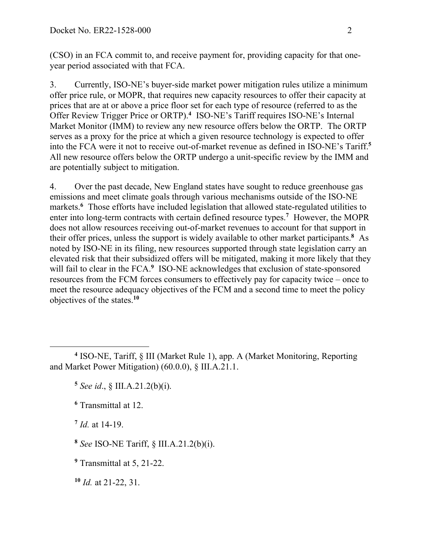(CSO) in an FCA commit to, and receive payment for, providing capacity for that oneyear period associated with that FCA.

3. Currently, ISO-NE's buyer-side market power mitigation rules utilize a minimum offer price rule, or MOPR, that requires new capacity resources to offer their capacity at prices that are at or above a price floor set for each type of resource (referred to as the Offer Review Trigger Price or ORTP).**<sup>4</sup>** ISO-NE's Tariff requires ISO-NE's Internal Market Monitor (IMM) to review any new resource offers below the ORTP. The ORTP serves as a proxy for the price at which a given resource technology is expected to offer into the FCA were it not to receive out-of-market revenue as defined in ISO-NE's Tariff. **5** All new resource offers below the ORTP undergo a unit-specific review by the IMM and are potentially subject to mitigation.

4. Over the past decade, New England states have sought to reduce greenhouse gas emissions and meet climate goals through various mechanisms outside of the ISO-NE markets.<sup>6</sup> Those efforts have included legislation that allowed state-regulated utilities to enter into long-term contracts with certain defined resource types.**<sup>7</sup>** However, the MOPR does not allow resources receiving out-of-market revenues to account for that support in their offer prices, unless the support is widely available to other market participants. **8** As noted by ISO-NE in its filing, new resources supported through state legislation carry an elevated risk that their subsidized offers will be mitigated, making it more likely that they will fail to clear in the FCA.<sup>9</sup> ISO-NE acknowledges that exclusion of state-sponsored resources from the FCM forces consumers to effectively pay for capacity twice – once to meet the resource adequacy objectives of the FCM and a second time to meet the policy objectives of the states. **10**

**<sup>6</sup>** Transmittal at 12.

**<sup>7</sup>** *Id.* at 14-19.

 $\overline{a}$ 

**<sup>4</sup>** ISO-NE, Tariff, § III (Market Rule 1), app. A (Market Monitoring, Reporting and Market Power Mitigation) (60.0.0), § III.A.21.1.

**<sup>5</sup>** *See id*., § III.A.21.2(b)(i).

**<sup>8</sup>** *See* ISO-NE Tariff, § III.A.21.2(b)(i).

**<sup>9</sup>** Transmittal at 5, 21-22.

**<sup>10</sup>** *Id.* at 21-22, 31.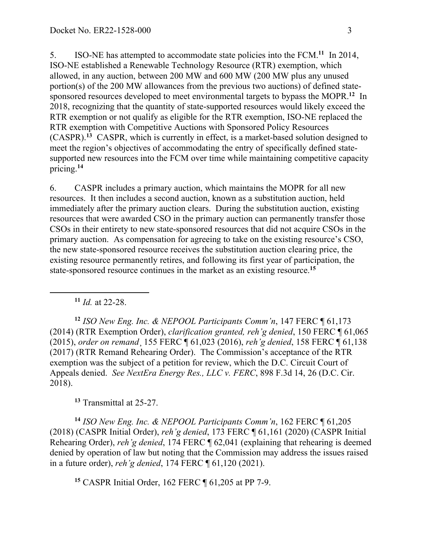5. ISO-NE has attempted to accommodate state policies into the FCM.**<sup>11</sup>** In 2014, ISO-NE established a Renewable Technology Resource (RTR) exemption, which allowed, in any auction, between 200 MW and 600 MW (200 MW plus any unused portion(s) of the 200 MW allowances from the previous two auctions) of defined statesponsored resources developed to meet environmental targets to bypass the MOPR.**<sup>12</sup>** In 2018, recognizing that the quantity of state-supported resources would likely exceed the RTR exemption or not qualify as eligible for the RTR exemption, ISO-NE replaced the RTR exemption with Competitive Auctions with Sponsored Policy Resources (CASPR). **<sup>13</sup>** CASPR, which is currently in effect, is a market-based solution designed to meet the region's objectives of accommodating the entry of specifically defined statesupported new resources into the FCM over time while maintaining competitive capacity pricing.**<sup>14</sup>**

6. CASPR includes a primary auction, which maintains the MOPR for all new resources. It then includes a second auction, known as a substitution auction, held immediately after the primary auction clears. During the substitution auction, existing resources that were awarded CSO in the primary auction can permanently transfer those CSOs in their entirety to new state-sponsored resources that did not acquire CSOs in the primary auction. As compensation for agreeing to take on the existing resource's CSO, the new state-sponsored resource receives the substitution auction clearing price, the existing resource permanently retires, and following its first year of participation, the state-sponsored resource continues in the market as an existing resource.**<sup>15</sup>**

**<sup>11</sup>** *Id.* at 22-28.

 $\overline{a}$ 

**<sup>12</sup>** *ISO New Eng. Inc. & NEPOOL Participants Comm'n*, 147 FERC ¶ 61,173 (2014) (RTR Exemption Order), *clarification granted, reh'g denied*, 150 FERC ¶ 61,065 (2015), *order on remand*¸ 155 FERC ¶ 61,023 (2016), *reh'g denied*, 158 FERC ¶ 61,138 (2017) (RTR Remand Rehearing Order). The Commission's acceptance of the RTR exemption was the subject of a petition for review, which the D.C. Circuit Court of Appeals denied. *See NextEra Energy Res., LLC v. FERC*, 898 F.3d 14, 26 (D.C. Cir. 2018).

**<sup>13</sup>** Transmittal at 25-27.

**<sup>14</sup>** *ISO New Eng. Inc. & NEPOOL Participants Comm'n*, 162 FERC ¶ 61,205 (2018) (CASPR Initial Order), *reh'g denied*, 173 FERC ¶ 61,161 (2020) (CASPR Initial Rehearing Order), *reh'g denied*, 174 FERC ¶ 62,041 (explaining that rehearing is deemed denied by operation of law but noting that the Commission may address the issues raised in a future order), *reh'g denied*, 174 FERC ¶ 61,120 (2021).

**<sup>15</sup>** CASPR Initial Order, 162 FERC ¶ 61,205 at PP 7-9.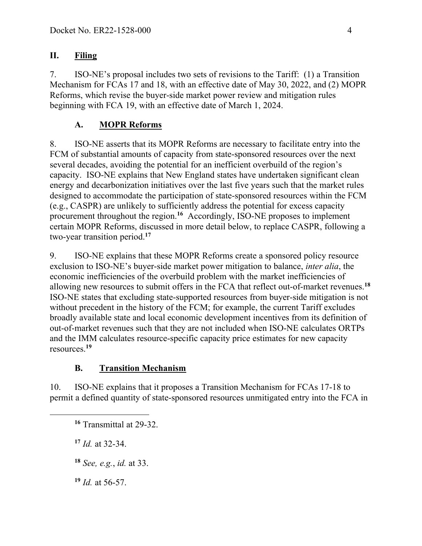## **II. Filing**

7. ISO-NE's proposal includes two sets of revisions to the Tariff: (1) a Transition Mechanism for FCAs 17 and 18, with an effective date of May 30, 2022, and (2) MOPR Reforms, which revise the buyer-side market power review and mitigation rules beginning with FCA 19, with an effective date of March 1, 2024.

# **A. MOPR Reforms**

8. ISO-NE asserts that its MOPR Reforms are necessary to facilitate entry into the FCM of substantial amounts of capacity from state-sponsored resources over the next several decades, avoiding the potential for an inefficient overbuild of the region's capacity. ISO-NE explains that New England states have undertaken significant clean energy and decarbonization initiatives over the last five years such that the market rules designed to accommodate the participation of state-sponsored resources within the FCM (e.g., CASPR) are unlikely to sufficiently address the potential for excess capacity procurement throughout the region.**<sup>16</sup>** Accordingly, ISO-NE proposes to implement certain MOPR Reforms, discussed in more detail below, to replace CASPR, following a two-year transition period.**<sup>17</sup>**

9. ISO-NE explains that these MOPR Reforms create a sponsored policy resource exclusion to ISO-NE's buyer-side market power mitigation to balance, *inter alia*, the economic inefficiencies of the overbuild problem with the market inefficiencies of allowing new resources to submit offers in the FCA that reflect out-of-market revenues.**<sup>18</sup>** ISO-NE states that excluding state-supported resources from buyer-side mitigation is not without precedent in the history of the FCM; for example, the current Tariff excludes broadly available state and local economic development incentives from its definition of out-of-market revenues such that they are not included when ISO-NE calculates ORTPs and the IMM calculates resource-specific capacity price estimates for new capacity resources.**<sup>19</sup>**

# **B. Transition Mechanism**

10. ISO-NE explains that it proposes a Transition Mechanism for FCAs 17-18 to permit a defined quantity of state-sponsored resources unmitigated entry into the FCA in

**<sup>17</sup>** *Id.* at 32-34.

 $\overline{a}$ 

**<sup>18</sup>** *See, e.g.*, *id.* at 33.

**<sup>19</sup>** *Id.* at 56-57.

**<sup>16</sup>** Transmittal at 29-32.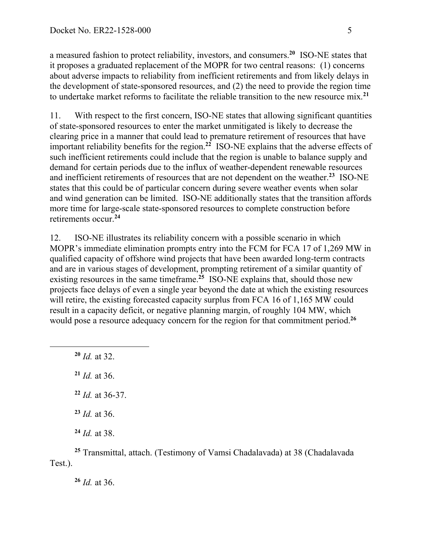a measured fashion to protect reliability, investors, and consumers.**<sup>20</sup>** ISO-NE states that it proposes a graduated replacement of the MOPR for two central reasons: (1) concerns about adverse impacts to reliability from inefficient retirements and from likely delays in the development of state-sponsored resources, and (2) the need to provide the region time to undertake market reforms to facilitate the reliable transition to the new resource mix.**<sup>21</sup>**

11. With respect to the first concern, ISO-NE states that allowing significant quantities of state-sponsored resources to enter the market unmitigated is likely to decrease the clearing price in a manner that could lead to premature retirement of resources that have important reliability benefits for the region.**<sup>22</sup>** ISO-NE explains that the adverse effects of such inefficient retirements could include that the region is unable to balance supply and demand for certain periods due to the influx of weather-dependent renewable resources and inefficient retirements of resources that are not dependent on the weather. **<sup>23</sup>** ISO-NE states that this could be of particular concern during severe weather events when solar and wind generation can be limited. ISO-NE additionally states that the transition affords more time for large-scale state-sponsored resources to complete construction before retirements occur.**<sup>24</sup>**

12. ISO-NE illustrates its reliability concern with a possible scenario in which MOPR's immediate elimination prompts entry into the FCM for FCA 17 of 1,269 MW in qualified capacity of offshore wind projects that have been awarded long-term contracts and are in various stages of development, prompting retirement of a similar quantity of existing resources in the same timeframe.<sup>25</sup> ISO-NE explains that, should those new projects face delays of even a single year beyond the date at which the existing resources will retire, the existing forecasted capacity surplus from FCA 16 of 1,165 MW could result in a capacity deficit, or negative planning margin, of roughly 104 MW, which would pose a resource adequacy concern for the region for that commitment period.**<sup>26</sup>**

**<sup>20</sup>** *Id.* at 32.

 $\overline{a}$ 

**<sup>21</sup>** *Id.* at 36.

**<sup>22</sup>** *Id.* at 36-37.

**<sup>23</sup>** *Id.* at 36.

**<sup>24</sup>** *Id.* at 38.

**<sup>25</sup>** Transmittal, attach. (Testimony of Vamsi Chadalavada) at 38 (Chadalavada Test.).

**<sup>26</sup>** *Id.* at 36.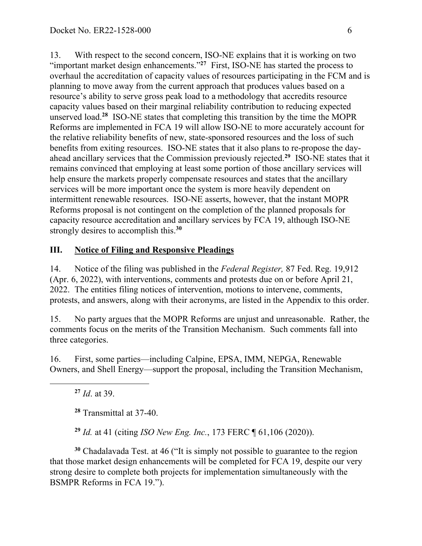13. With respect to the second concern, ISO-NE explains that it is working on two "important market design enhancements."<sup>27</sup> First, ISO-NE has started the process to overhaul the accreditation of capacity values of resources participating in the FCM and is planning to move away from the current approach that produces values based on a resource's ability to serve gross peak load to a methodology that accredits resource capacity values based on their marginal reliability contribution to reducing expected unserved load.**<sup>28</sup>** ISO-NE states that completing this transition by the time the MOPR Reforms are implemented in FCA 19 will allow ISO-NE to more accurately account for the relative reliability benefits of new, state-sponsored resources and the loss of such benefits from exiting resources. ISO-NE states that it also plans to re-propose the dayahead ancillary services that the Commission previously rejected.**<sup>29</sup>** ISO-NE states that it remains convinced that employing at least some portion of those ancillary services will help ensure the markets properly compensate resources and states that the ancillary services will be more important once the system is more heavily dependent on intermittent renewable resources. ISO-NE asserts, however, that the instant MOPR Reforms proposal is not contingent on the completion of the planned proposals for capacity resource accreditation and ancillary services by FCA 19, although ISO-NE strongly desires to accomplish this. **30**

### **III. Notice of Filing and Responsive Pleadings**

14. Notice of the filing was published in the *Federal Register,* 87 Fed. Reg. 19,912 (Apr. 6, 2022), with interventions, comments and protests due on or before April 21, 2022. The entities filing notices of intervention, motions to intervene, comments, protests, and answers, along with their acronyms, are listed in the Appendix to this order.

15. No party argues that the MOPR Reforms are unjust and unreasonable. Rather, the comments focus on the merits of the Transition Mechanism. Such comments fall into three categories.

16. First, some parties—including Calpine, EPSA, IMM, NEPGA, Renewable Owners, and Shell Energy—support the proposal, including the Transition Mechanism,

**<sup>27</sup>** *Id*. at 39.

 $\overline{a}$ 

**<sup>28</sup>** Transmittal at 37-40.

**<sup>29</sup>** *Id.* at 41 (citing *ISO New Eng. Inc.*, 173 FERC ¶ 61,106 (2020)).

**<sup>30</sup>** Chadalavada Test. at 46 ("It is simply not possible to guarantee to the region that those market design enhancements will be completed for FCA 19, despite our very strong desire to complete both projects for implementation simultaneously with the BSMPR Reforms in FCA 19.").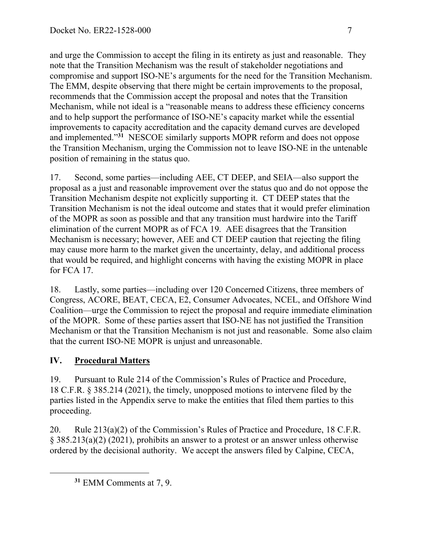and urge the Commission to accept the filing in its entirety as just and reasonable. They note that the Transition Mechanism was the result of stakeholder negotiations and compromise and support ISO-NE's arguments for the need for the Transition Mechanism. The EMM, despite observing that there might be certain improvements to the proposal, recommends that the Commission accept the proposal and notes that the Transition Mechanism, while not ideal is a "reasonable means to address these efficiency concerns and to help support the performance of ISO-NE's capacity market while the essential improvements to capacity accreditation and the capacity demand curves are developed and implemented."**<sup>31</sup>** NESCOE similarly supports MOPR reform and does not oppose the Transition Mechanism, urging the Commission not to leave ISO-NE in the untenable position of remaining in the status quo.

17. Second, some parties—including AEE, CT DEEP, and SEIA—also support the proposal as a just and reasonable improvement over the status quo and do not oppose the Transition Mechanism despite not explicitly supporting it. CT DEEP states that the Transition Mechanism is not the ideal outcome and states that it would prefer elimination of the MOPR as soon as possible and that any transition must hardwire into the Tariff elimination of the current MOPR as of FCA 19. AEE disagrees that the Transition Mechanism is necessary; however, AEE and CT DEEP caution that rejecting the filing may cause more harm to the market given the uncertainty, delay, and additional process that would be required, and highlight concerns with having the existing MOPR in place for FCA 17.

18. Lastly, some parties—including over 120 Concerned Citizens, three members of Congress, ACORE, BEAT, CECA, E2, Consumer Advocates, NCEL, and Offshore Wind Coalition—urge the Commission to reject the proposal and require immediate elimination of the MOPR. Some of these parties assert that ISO-NE has not justified the Transition Mechanism or that the Transition Mechanism is not just and reasonable. Some also claim that the current ISO-NE MOPR is unjust and unreasonable.

# **IV. Procedural Matters**

 $\overline{a}$ 

19. Pursuant to Rule 214 of the Commission's Rules of Practice and Procedure, 18 C.F.R. § 385.214 (2021), the timely, unopposed motions to intervene filed by the parties listed in the Appendix serve to make the entities that filed them parties to this proceeding.

20. Rule 213(a)(2) of the Commission's Rules of Practice and Procedure, 18 C.F.R. § 385.213(a)(2) (2021), prohibits an answer to a protest or an answer unless otherwise ordered by the decisional authority. We accept the answers filed by Calpine, CECA,

**<sup>31</sup>** EMM Comments at 7, 9.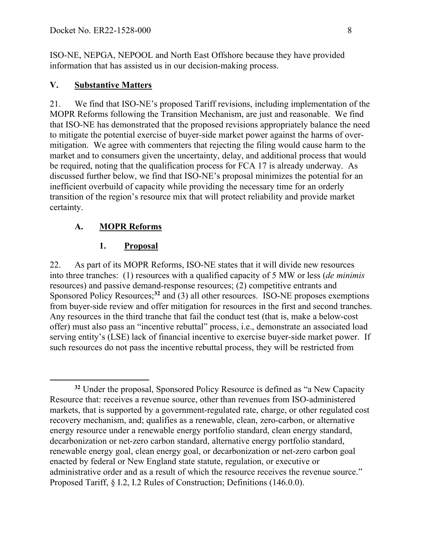ISO-NE, NEPGA, NEPOOL and North East Offshore because they have provided information that has assisted us in our decision-making process.

### **V. Substantive Matters**

21. We find that ISO-NE's proposed Tariff revisions, including implementation of the MOPR Reforms following the Transition Mechanism, are just and reasonable. We find that ISO-NE has demonstrated that the proposed revisions appropriately balance the need to mitigate the potential exercise of buyer-side market power against the harms of overmitigation. We agree with commenters that rejecting the filing would cause harm to the market and to consumers given the uncertainty, delay, and additional process that would be required, noting that the qualification process for FCA 17 is already underway. As discussed further below, we find that ISO-NE's proposal minimizes the potential for an inefficient overbuild of capacity while providing the necessary time for an orderly transition of the region's resource mix that will protect reliability and provide market certainty.

## **A. MOPR Reforms**

 $\overline{a}$ 

## **1. Proposal**

22. As part of its MOPR Reforms, ISO-NE states that it will divide new resources into three tranches: (1) resources with a qualified capacity of 5 MW or less (*de minimis* resources) and passive demand-response resources; (2) competitive entrants and Sponsored Policy Resources;<sup>32</sup> and (3) all other resources. ISO-NE proposes exemptions from buyer-side review and offer mitigation for resources in the first and second tranches. Any resources in the third tranche that fail the conduct test (that is, make a below-cost offer) must also pass an "incentive rebuttal" process, i.e., demonstrate an associated load serving entity's (LSE) lack of financial incentive to exercise buyer-side market power. If such resources do not pass the incentive rebuttal process, they will be restricted from

**<sup>32</sup>** Under the proposal, Sponsored Policy Resource is defined as "a New Capacity Resource that: receives a revenue source, other than revenues from ISO-administered markets, that is supported by a government-regulated rate, charge, or other regulated cost recovery mechanism, and; qualifies as a renewable, clean, zero-carbon, or alternative energy resource under a renewable energy portfolio standard, clean energy standard, decarbonization or net-zero carbon standard, alternative energy portfolio standard, renewable energy goal, clean energy goal, or decarbonization or net-zero carbon goal enacted by federal or New England state statute, regulation, or executive or administrative order and as a result of which the resource receives the revenue source." Proposed Tariff, § I.2, I.2 Rules of Construction; Definitions (146.0.0).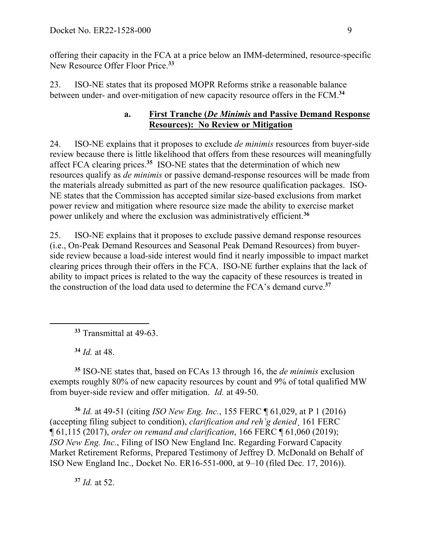offering their capacity in the FCA at a price below an IMM-determined, resource-specific New Resource Offer Floor Price.**<sup>33</sup>**

23. ISO-NE states that its proposed MOPR Reforms strike a reasonable balance between under- and over-mitigation of new capacity resource offers in the FCM.**<sup>34</sup>**

### **a. First Tranche (***De Minimis* **and Passive Demand Response Resources): No Review or Mitigation**

24. ISO-NE explains that it proposes to exclude *de minimis* resources from buyer-side review because there is little likelihood that offers from these resources will meaningfully affect FCA clearing prices.**<sup>35</sup>** ISO-NE states that the determination of which new resources qualify as *de minimis* or passive demand-response resources will be made from the materials already submitted as part of the new resource qualification packages. ISO-NE states that the Commission has accepted similar size-based exclusions from market power review and mitigation where resource size made the ability to exercise market power unlikely and where the exclusion was administratively efficient.**<sup>36</sup>**

25. ISO-NE explains that it proposes to exclude passive demand response resources (i.e., On-Peak Demand Resources and Seasonal Peak Demand Resources) from buyerside review because a load-side interest would find it nearly impossible to impact market clearing prices through their offers in the FCA. ISO-NE further explains that the lack of ability to impact prices is related to the way the capacity of these resources is treated in the construction of the load data used to determine the FCA's demand curve.**<sup>37</sup>**

**<sup>34</sup>** *Id.* at 48.

 $\overline{a}$ 

**<sup>35</sup>** ISO-NE states that, based on FCAs 13 through 16, the *de minimis* exclusion exempts roughly 80% of new capacity resources by count and 9% of total qualified MW from buyer-side review and offer mitigation. *Id.* at 49-50.

**<sup>36</sup>** *Id.* at 49-51 (citing *ISO New Eng. Inc.*, 155 FERC ¶ 61,029, at P 1 (2016) (accepting filing subject to condition), *clarification and reh'g denied*¸ 161 FERC ¶ 61,115 (2017), *order on remand and clarification*, 166 FERC ¶ 61,060 (2019); *ISO New Eng. Inc.*, Filing of ISO New England Inc. Regarding Forward Capacity Market Retirement Reforms, Prepared Testimony of Jeffrey D. McDonald on Behalf of ISO New England Inc., Docket No. ER16-551-000, at 9–10 (filed Dec. 17, 2016)).

**<sup>37</sup>** *Id.* at 52.

**<sup>33</sup>** Transmittal at 49-63.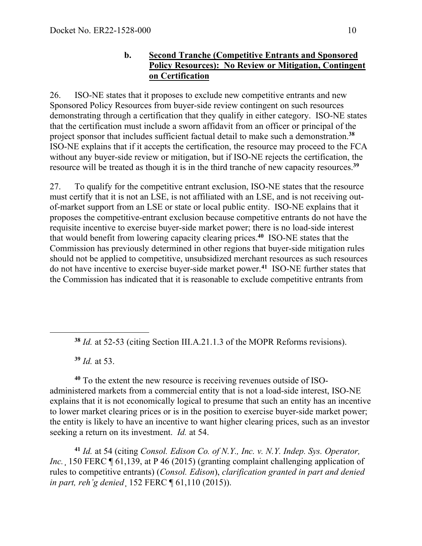### **b. Second Tranche (Competitive Entrants and Sponsored Policy Resources): No Review or Mitigation, Contingent on Certification**

26. ISO-NE states that it proposes to exclude new competitive entrants and new Sponsored Policy Resources from buyer-side review contingent on such resources demonstrating through a certification that they qualify in either category. ISO-NE states that the certification must include a sworn affidavit from an officer or principal of the project sponsor that includes sufficient factual detail to make such a demonstration.**<sup>38</sup>** ISO-NE explains that if it accepts the certification, the resource may proceed to the FCA without any buyer-side review or mitigation, but if ISO-NE rejects the certification, the resource will be treated as though it is in the third tranche of new capacity resources.**<sup>39</sup>**

27. To qualify for the competitive entrant exclusion, ISO-NE states that the resource must certify that it is not an LSE, is not affiliated with an LSE, and is not receiving outof-market support from an LSE or state or local public entity. ISO-NE explains that it proposes the competitive-entrant exclusion because competitive entrants do not have the requisite incentive to exercise buyer-side market power; there is no load-side interest that would benefit from lowering capacity clearing prices.**<sup>40</sup>** ISO-NE states that the Commission has previously determined in other regions that buyer-side mitigation rules should not be applied to competitive, unsubsidized merchant resources as such resources do not have incentive to exercise buyer-side market power.**<sup>41</sup>** ISO-NE further states that the Commission has indicated that it is reasonable to exclude competitive entrants from

**<sup>39</sup>** *Id.* at 53.

 $\overline{a}$ 

**<sup>40</sup>** To the extent the new resource is receiving revenues outside of ISOadministered markets from a commercial entity that is not a load-side interest, ISO-NE explains that it is not economically logical to presume that such an entity has an incentive to lower market clearing prices or is in the position to exercise buyer-side market power; the entity is likely to have an incentive to want higher clearing prices, such as an investor seeking a return on its investment. *Id.* at 54.

**<sup>41</sup>** *Id.* at 54 (citing *Consol. Edison Co. of N.Y., Inc. v. N.Y. Indep. Sys. Operator, Inc.* 150 FERC 161, 139, at P 46 (2015) (granting complaint challenging application of rules to competitive entrants) (*Consol. Edison*), *clarification granted in part and denied in part, reh'g denied*¸ 152 FERC ¶ 61,110 (2015)).

**<sup>38</sup>** *Id.* at 52-53 (citing Section III.A.21.1.3 of the MOPR Reforms revisions).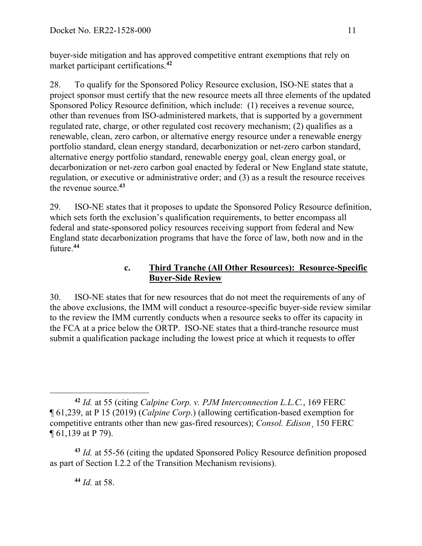buyer-side mitigation and has approved competitive entrant exemptions that rely on market participant certifications.**<sup>42</sup>**

28. To qualify for the Sponsored Policy Resource exclusion, ISO-NE states that a project sponsor must certify that the new resource meets all three elements of the updated Sponsored Policy Resource definition, which include: (1) receives a revenue source, other than revenues from ISO-administered markets, that is supported by a government regulated rate, charge, or other regulated cost recovery mechanism; (2) qualifies as a renewable, clean, zero carbon, or alternative energy resource under a renewable energy portfolio standard, clean energy standard, decarbonization or net-zero carbon standard, alternative energy portfolio standard, renewable energy goal, clean energy goal, or decarbonization or net-zero carbon goal enacted by federal or New England state statute, regulation, or executive or administrative order; and (3) as a result the resource receives the revenue source.**<sup>43</sup>**

29. ISO-NE states that it proposes to update the Sponsored Policy Resource definition, which sets forth the exclusion's qualification requirements, to better encompass all federal and state-sponsored policy resources receiving support from federal and New England state decarbonization programs that have the force of law, both now and in the future.**<sup>44</sup>**

### **c. Third Tranche (All Other Resources): Resource-Specific Buyer-Side Review**

30. ISO-NE states that for new resources that do not meet the requirements of any of the above exclusions, the IMM will conduct a resource-specific buyer-side review similar to the review the IMM currently conducts when a resource seeks to offer its capacity in the FCA at a price below the ORTP. ISO-NE states that a third-tranche resource must submit a qualification package including the lowest price at which it requests to offer

**<sup>43</sup>** *Id.* at 55-56 (citing the updated Sponsored Policy Resource definition proposed as part of Section I.2.2 of the Transition Mechanism revisions).

**<sup>44</sup>** *Id.* at 58.

 $\overline{a}$ **<sup>42</sup>** *Id.* at 55 (citing *Calpine Corp. v. PJM Interconnection L.L.C.*, 169 FERC ¶ 61,239, at P 15 (2019) (*Calpine Corp*.) (allowing certification-based exemption for competitive entrants other than new gas-fired resources); *Consol. Edison*¸ 150 FERC ¶ 61,139 at P 79).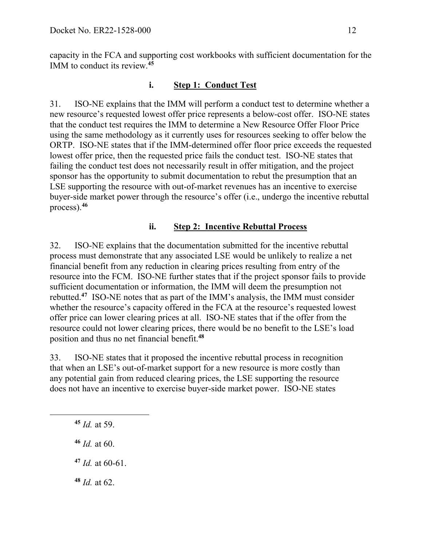capacity in the FCA and supporting cost workbooks with sufficient documentation for the IMM to conduct its review.**<sup>45</sup>**

### **i. Step 1: Conduct Test**

31. ISO-NE explains that the IMM will perform a conduct test to determine whether a new resource's requested lowest offer price represents a below-cost offer. ISO-NE states that the conduct test requires the IMM to determine a New Resource Offer Floor Price using the same methodology as it currently uses for resources seeking to offer below the ORTP. ISO-NE states that if the IMM-determined offer floor price exceeds the requested lowest offer price, then the requested price fails the conduct test. ISO-NE states that failing the conduct test does not necessarily result in offer mitigation, and the project sponsor has the opportunity to submit documentation to rebut the presumption that an LSE supporting the resource with out-of-market revenues has an incentive to exercise buyer-side market power through the resource's offer (i.e., undergo the incentive rebuttal process).**<sup>46</sup>**

#### **ii. Step 2: Incentive Rebuttal Process**

32. ISO-NE explains that the documentation submitted for the incentive rebuttal process must demonstrate that any associated LSE would be unlikely to realize a net financial benefit from any reduction in clearing prices resulting from entry of the resource into the FCM. ISO-NE further states that if the project sponsor fails to provide sufficient documentation or information, the IMM will deem the presumption not rebutted.**<sup>47</sup>** ISO-NE notes that as part of the IMM's analysis, the IMM must consider whether the resource's capacity offered in the FCA at the resource's requested lowest offer price can lower clearing prices at all. ISO-NE states that if the offer from the resource could not lower clearing prices, there would be no benefit to the LSE's load position and thus no net financial benefit.**<sup>48</sup>**

33. ISO-NE states that it proposed the incentive rebuttal process in recognition that when an LSE's out-of-market support for a new resource is more costly than any potential gain from reduced clearing prices, the LSE supporting the resource does not have an incentive to exercise buyer-side market power. ISO-NE states

**<sup>45</sup>** *Id.* at 59.

 $\overline{a}$ 

**<sup>46</sup>** *Id.* at 60.

- **<sup>47</sup>** *Id.* at 60-61.
- **<sup>48</sup>** *Id.* at 62.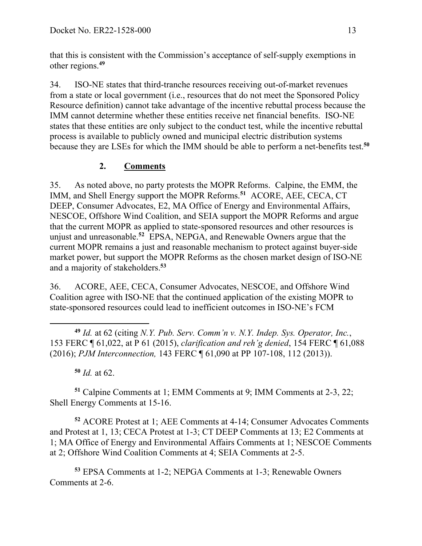that this is consistent with the Commission's acceptance of self-supply exemptions in other regions.**<sup>49</sup>**

34. ISO-NE states that third-tranche resources receiving out-of-market revenues from a state or local government (i.e., resources that do not meet the Sponsored Policy Resource definition) cannot take advantage of the incentive rebuttal process because the IMM cannot determine whether these entities receive net financial benefits. ISO-NE states that these entities are only subject to the conduct test, while the incentive rebuttal process is available to publicly owned and municipal electric distribution systems because they are LSEs for which the IMM should be able to perform a net-benefits test.**<sup>50</sup>**

# **2. Comments**

35. As noted above, no party protests the MOPR Reforms. Calpine, the EMM, the IMM, and Shell Energy support the MOPR Reforms.**<sup>51</sup>** ACORE, AEE, CECA, CT DEEP, Consumer Advocates, E2, MA Office of Energy and Environmental Affairs, NESCOE, Offshore Wind Coalition, and SEIA support the MOPR Reforms and argue that the current MOPR as applied to state-sponsored resources and other resources is unjust and unreasonable. **<sup>52</sup>** EPSA, NEPGA, and Renewable Owners argue that the current MOPR remains a just and reasonable mechanism to protect against buyer-side market power, but support the MOPR Reforms as the chosen market design of ISO-NE and a majority of stakeholders.**<sup>53</sup>**

36. ACORE, AEE, CECA, Consumer Advocates, NESCOE, and Offshore Wind Coalition agree with ISO-NE that the continued application of the existing MOPR to state-sponsored resources could lead to inefficient outcomes in ISO-NE's FCM

 $\overline{a}$ **<sup>49</sup>** *Id.* at 62 (citing *N.Y. Pub. Serv. Comm'n v. N.Y. Indep. Sys. Operator, Inc.*, 153 FERC ¶ 61,022, at P 61 (2015), *clarification and reh'g denied*, 154 FERC ¶ 61,088 (2016); *PJM Interconnection,* 143 FERC ¶ 61,090 at PP 107-108, 112 (2013)).

**<sup>50</sup>** *Id.* at 62.

**<sup>51</sup>** Calpine Comments at 1; EMM Comments at 9; IMM Comments at 2-3, 22; Shell Energy Comments at 15-16.

**<sup>52</sup>** ACORE Protest at 1; AEE Comments at 4-14; Consumer Advocates Comments and Protest at 1, 13; CECA Protest at 1-3; CT DEEP Comments at 13; E2 Comments at 1; MA Office of Energy and Environmental Affairs Comments at 1; NESCOE Comments at 2; Offshore Wind Coalition Comments at 4; SEIA Comments at 2-5.

**<sup>53</sup>** EPSA Comments at 1-2; NEPGA Comments at 1-3; Renewable Owners Comments at 2-6.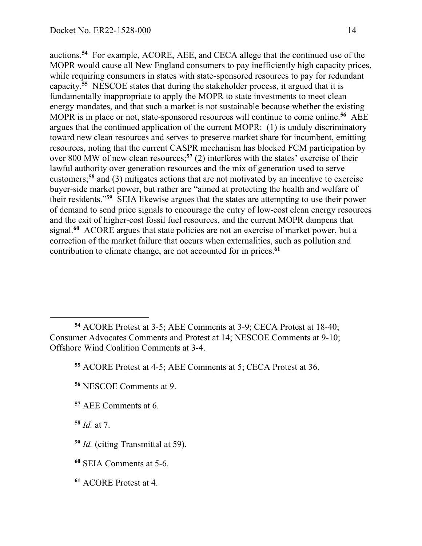auctions. **<sup>54</sup>** For example, ACORE, AEE, and CECA allege that the continued use of the MOPR would cause all New England consumers to pay inefficiently high capacity prices, while requiring consumers in states with state-sponsored resources to pay for redundant capacity.**<sup>55</sup>** NESCOE states that during the stakeholder process, it argued that it is fundamentally inappropriate to apply the MOPR to state investments to meet clean energy mandates, and that such a market is not sustainable because whether the existing MOPR is in place or not, state-sponsored resources will continue to come online. **<sup>56</sup>** AEE argues that the continued application of the current MOPR: (1) is unduly discriminatory toward new clean resources and serves to preserve market share for incumbent, emitting resources, noting that the current CASPR mechanism has blocked FCM participation by over 800 MW of new clean resources;<sup>57</sup> (2) interferes with the states' exercise of their lawful authority over generation resources and the mix of generation used to serve customers; **<sup>58</sup>** and (3) mitigates actions that are not motivated by an incentive to exercise buyer-side market power, but rather are "aimed at protecting the health and welfare of their residents."**<sup>59</sup>** SEIA likewise argues that the states are attempting to use their power of demand to send price signals to encourage the entry of low-cost clean energy resources and the exit of higher-cost fossil fuel resources, and the current MOPR dampens that signal.**<sup>60</sup>** ACORE argues that state policies are not an exercise of market power, but a correction of the market failure that occurs when externalities, such as pollution and contribution to climate change, are not accounted for in prices.**<sup>61</sup>**

- **<sup>56</sup>** NESCOE Comments at 9.
- **<sup>57</sup>** AEE Comments at 6.

**<sup>58</sup>** *Id.* at 7.

 $\overline{a}$ 

- **<sup>59</sup>** *Id.* (citing Transmittal at 59).
- **<sup>60</sup>** SEIA Comments at 5-6.
- **<sup>61</sup>** ACORE Protest at 4.

**<sup>54</sup>** ACORE Protest at 3-5; AEE Comments at 3-9; CECA Protest at 18-40; Consumer Advocates Comments and Protest at 14; NESCOE Comments at 9-10; Offshore Wind Coalition Comments at 3-4.

**<sup>55</sup>** ACORE Protest at 4-5; AEE Comments at 5; CECA Protest at 36.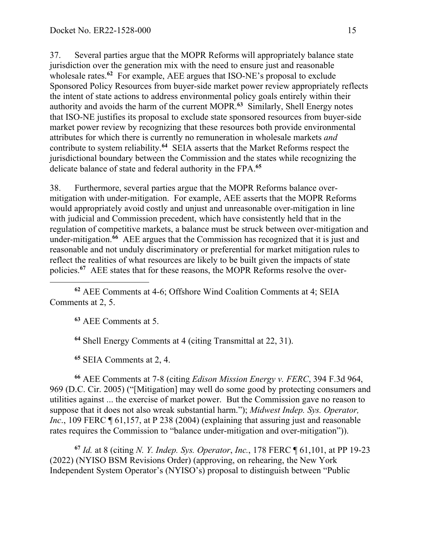37. Several parties argue that the MOPR Reforms will appropriately balance state jurisdiction over the generation mix with the need to ensure just and reasonable wholesale rates.<sup>62</sup> For example, AEE argues that ISO-NE's proposal to exclude Sponsored Policy Resources from buyer-side market power review appropriately reflects the intent of state actions to address environmental policy goals entirely within their authority and avoids the harm of the current MOPR.**<sup>63</sup>** Similarly, Shell Energy notes that ISO-NE justifies its proposal to exclude state sponsored resources from buyer-side market power review by recognizing that these resources both provide environmental attributes for which there is currently no remuneration in wholesale markets *and* contribute to system reliability.**<sup>64</sup>** SEIA asserts that the Market Reforms respect the jurisdictional boundary between the Commission and the states while recognizing the delicate balance of state and federal authority in the FPA.**<sup>65</sup>**

38. Furthermore, several parties argue that the MOPR Reforms balance overmitigation with under-mitigation. For example, AEE asserts that the MOPR Reforms would appropriately avoid costly and unjust and unreasonable over-mitigation in line with judicial and Commission precedent, which have consistently held that in the regulation of competitive markets, a balance must be struck between over-mitigation and under-mitigation.<sup>66</sup> AEE argues that the Commission has recognized that it is just and reasonable and not unduly discriminatory or preferential for market mitigation rules to reflect the realities of what resources are likely to be built given the impacts of state policies.**<sup>67</sup>** AEE states that for these reasons, the MOPR Reforms resolve the over-

**<sup>62</sup>** AEE Comments at 4-6; Offshore Wind Coalition Comments at 4; SEIA Comments at 2, 5.

**<sup>63</sup>** AEE Comments at 5.

 $\overline{a}$ 

**<sup>64</sup>** Shell Energy Comments at 4 (citing Transmittal at 22, 31).

**<sup>65</sup>** SEIA Comments at 2, 4.

**<sup>66</sup>** AEE Comments at 7-8 (citing *Edison Mission Energy v. FERC*, 394 F.3d 964, 969 (D.C. Cir. 2005) ("[Mitigation] may well do some good by protecting consumers and utilities against ... the exercise of market power. But the Commission gave no reason to suppose that it does not also wreak substantial harm."); *Midwest Indep. Sys. Operator, Inc.*, 109 FERC  $\llbracket 61,157$ , at P 238 (2004) (explaining that assuring just and reasonable rates requires the Commission to "balance under-mitigation and over-mitigation")).

**<sup>67</sup>** *Id.* at 8 (citing *N. Y. Indep. Sys. Operator*, *Inc.*, 178 FERC ¶ 61,101, at PP 19-23 (2022) (NYISO BSM Revisions Order) (approving, on rehearing, the New York Independent System Operator's (NYISO's) proposal to distinguish between "Public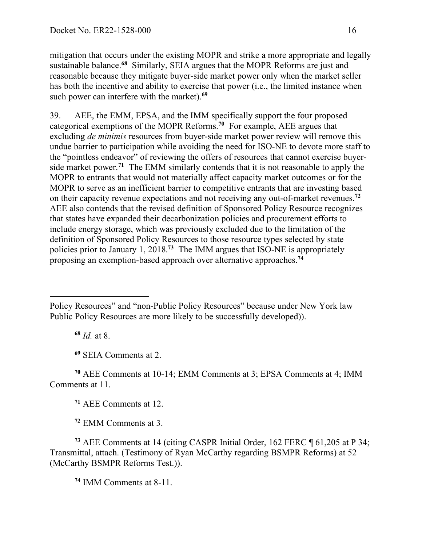mitigation that occurs under the existing MOPR and strike a more appropriate and legally sustainable balance.**<sup>68</sup>** Similarly, SEIA argues that the MOPR Reforms are just and reasonable because they mitigate buyer-side market power only when the market seller has both the incentive and ability to exercise that power (i.e., the limited instance when such power can interfere with the market).**<sup>69</sup>**

39. AEE, the EMM, EPSA, and the IMM specifically support the four proposed categorical exemptions of the MOPR Reforms.**<sup>70</sup>** For example, AEE argues that excluding *de minimis* resources from buyer-side market power review will remove this undue barrier to participation while avoiding the need for ISO-NE to devote more staff to the "pointless endeavor" of reviewing the offers of resources that cannot exercise buyerside market power.**<sup>71</sup>** The EMM similarly contends that it is not reasonable to apply the MOPR to entrants that would not materially affect capacity market outcomes or for the MOPR to serve as an inefficient barrier to competitive entrants that are investing based on their capacity revenue expectations and not receiving any out-of-market revenues.**<sup>72</sup>** AEE also contends that the revised definition of Sponsored Policy Resource recognizes that states have expanded their decarbonization policies and procurement efforts to include energy storage, which was previously excluded due to the limitation of the definition of Sponsored Policy Resources to those resource types selected by state policies prior to January 1, 2018.**<sup>73</sup>** The IMM argues that ISO-NE is appropriately proposing an exemption-based approach over alternative approaches.**<sup>74</sup>**

**<sup>68</sup>** *Id.* at 8.

 $\overline{a}$ 

**<sup>69</sup>** SEIA Comments at 2.

**<sup>70</sup>** AEE Comments at 10-14; EMM Comments at 3; EPSA Comments at 4; IMM Comments at 11.

**<sup>71</sup>** AEE Comments at 12.

**<sup>72</sup>** EMM Comments at 3.

**<sup>73</sup>** AEE Comments at 14 (citing CASPR Initial Order, 162 FERC ¶ 61,205 at P 34; Transmittal, attach. (Testimony of Ryan McCarthy regarding BSMPR Reforms) at 52 (McCarthy BSMPR Reforms Test.)).

**<sup>74</sup>** IMM Comments at 8-11.

Policy Resources" and "non-Public Policy Resources" because under New York law Public Policy Resources are more likely to be successfully developed)).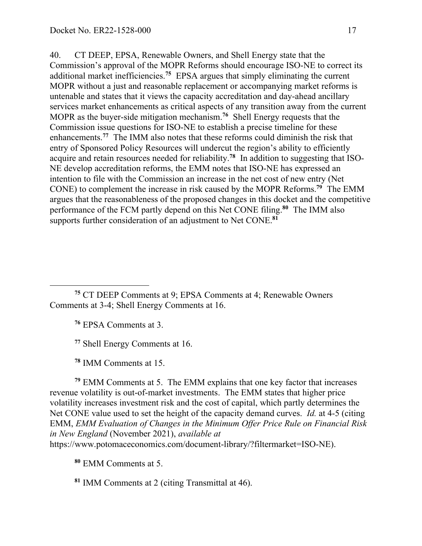40. CT DEEP, EPSA, Renewable Owners, and Shell Energy state that the Commission's approval of the MOPR Reforms should encourage ISO-NE to correct its additional market inefficiencies.**<sup>75</sup>** EPSA argues that simply eliminating the current MOPR without a just and reasonable replacement or accompanying market reforms is untenable and states that it views the capacity accreditation and day-ahead ancillary services market enhancements as critical aspects of any transition away from the current MOPR as the buyer-side mitigation mechanism.**<sup>76</sup>** Shell Energy requests that the Commission issue questions for ISO-NE to establish a precise timeline for these enhancements.**<sup>77</sup>** The IMM also notes that these reforms could diminish the risk that entry of Sponsored Policy Resources will undercut the region's ability to efficiently acquire and retain resources needed for reliability.**<sup>78</sup>** In addition to suggesting that ISO-NE develop accreditation reforms, the EMM notes that ISO-NE has expressed an intention to file with the Commission an increase in the net cost of new entry (Net CONE) to complement the increase in risk caused by the MOPR Reforms.**<sup>79</sup>** The EMM argues that the reasonableness of the proposed changes in this docket and the competitive performance of the FCM partly depend on this Net CONE filing.**<sup>80</sup>** The IMM also supports further consideration of an adjustment to Net CONE.**<sup>81</sup>**

**<sup>75</sup>** CT DEEP Comments at 9; EPSA Comments at 4; Renewable Owners Comments at 3-4; Shell Energy Comments at 16.

**<sup>76</sup>** EPSA Comments at 3.

 $\overline{a}$ 

**<sup>77</sup>** Shell Energy Comments at 16.

**<sup>78</sup>** IMM Comments at 15.

**<sup>79</sup>** EMM Comments at 5. The EMM explains that one key factor that increases revenue volatility is out-of-market investments. The EMM states that higher price volatility increases investment risk and the cost of capital, which partly determines the Net CONE value used to set the height of the capacity demand curves. *Id.* at 4-5 (citing EMM, *EMM Evaluation of Changes in the Minimum Offer Price Rule on Financial Risk in New England* (November 2021), *available at* https://www.potomaceconomics.com/document-library/?filtermarket=ISO-NE).

**<sup>80</sup>** EMM Comments at 5.

**<sup>81</sup>** IMM Comments at 2 (citing Transmittal at 46).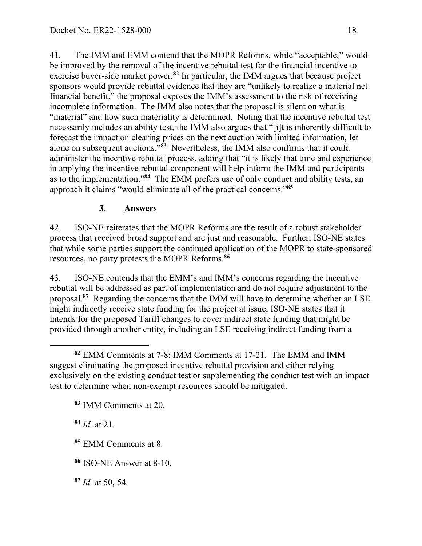41. The IMM and EMM contend that the MOPR Reforms, while "acceptable," would be improved by the removal of the incentive rebuttal test for the financial incentive to exercise buyer-side market power.**<sup>82</sup>** In particular, the IMM argues that because project sponsors would provide rebuttal evidence that they are "unlikely to realize a material net financial benefit," the proposal exposes the IMM's assessment to the risk of receiving incomplete information. The IMM also notes that the proposal is silent on what is "material" and how such materiality is determined. Noting that the incentive rebuttal test necessarily includes an ability test, the IMM also argues that "[i]t is inherently difficult to forecast the impact on clearing prices on the next auction with limited information, let alone on subsequent auctions."**<sup>83</sup>** Nevertheless, the IMM also confirms that it could administer the incentive rebuttal process, adding that "it is likely that time and experience in applying the incentive rebuttal component will help inform the IMM and participants as to the implementation."**<sup>84</sup>** The EMM prefers use of only conduct and ability tests, an approach it claims "would eliminate all of the practical concerns."**<sup>85</sup>**

# **3. Answers**

42. ISO-NE reiterates that the MOPR Reforms are the result of a robust stakeholder process that received broad support and are just and reasonable. Further, ISO-NE states that while some parties support the continued application of the MOPR to state-sponsored resources, no party protests the MOPR Reforms. **86**

43. ISO-NE contends that the EMM's and IMM's concerns regarding the incentive rebuttal will be addressed as part of implementation and do not require adjustment to the proposal.**<sup>87</sup>** Regarding the concerns that the IMM will have to determine whether an LSE might indirectly receive state funding for the project at issue, ISO-NE states that it intends for the proposed Tariff changes to cover indirect state funding that might be provided through another entity, including an LSE receiving indirect funding from a

**<sup>83</sup>** IMM Comments at 20.

**<sup>84</sup>** *Id.* at 21.

**<sup>85</sup>** EMM Comments at 8.

**<sup>86</sup>** ISO-NE Answer at 8-10.

**<sup>87</sup>** *Id.* at 50, 54.

 $\overline{a}$ **<sup>82</sup>** EMM Comments at 7-8; IMM Comments at 17-21. The EMM and IMM suggest eliminating the proposed incentive rebuttal provision and either relying exclusively on the existing conduct test or supplementing the conduct test with an impact test to determine when non-exempt resources should be mitigated.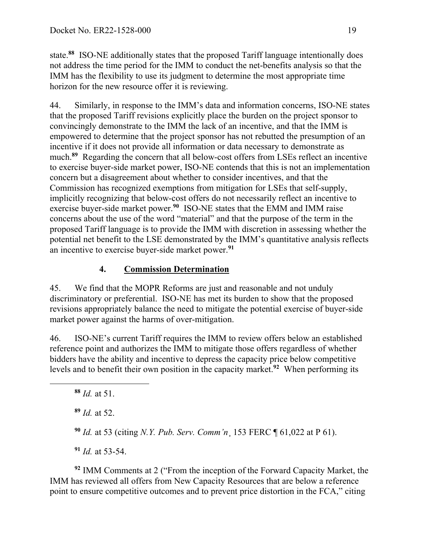state.**<sup>88</sup>** ISO-NE additionally states that the proposed Tariff language intentionally does not address the time period for the IMM to conduct the net-benefits analysis so that the IMM has the flexibility to use its judgment to determine the most appropriate time horizon for the new resource offer it is reviewing.

44. Similarly, in response to the IMM's data and information concerns, ISO-NE states that the proposed Tariff revisions explicitly place the burden on the project sponsor to convincingly demonstrate to the IMM the lack of an incentive, and that the IMM is empowered to determine that the project sponsor has not rebutted the presumption of an incentive if it does not provide all information or data necessary to demonstrate as much.**<sup>89</sup>** Regarding the concern that all below-cost offers from LSEs reflect an incentive to exercise buyer-side market power, ISO-NE contends that this is not an implementation concern but a disagreement about whether to consider incentives, and that the Commission has recognized exemptions from mitigation for LSEs that self-supply, implicitly recognizing that below-cost offers do not necessarily reflect an incentive to exercise buyer-side market power.**<sup>90</sup>** ISO-NE states that the EMM and IMM raise concerns about the use of the word "material" and that the purpose of the term in the proposed Tariff language is to provide the IMM with discretion in assessing whether the potential net benefit to the LSE demonstrated by the IMM's quantitative analysis reflects an incentive to exercise buyer-side market power.**<sup>91</sup>**

# **4. Commission Determination**

45. We find that the MOPR Reforms are just and reasonable and not unduly discriminatory or preferential. ISO-NE has met its burden to show that the proposed revisions appropriately balance the need to mitigate the potential exercise of buyer-side market power against the harms of over-mitigation.

46. ISO-NE's current Tariff requires the IMM to review offers below an established reference point and authorizes the IMM to mitigate those offers regardless of whether bidders have the ability and incentive to depress the capacity price below competitive levels and to benefit their own position in the capacity market. **<sup>92</sup>** When performing its

 $\overline{a}$ 

- **<sup>89</sup>** *Id.* at 52.
- **<sup>90</sup>** *Id.* at 53 (citing *N.Y. Pub. Serv. Comm'n*¸ 153 FERC ¶ 61,022 at P 61).

**<sup>91</sup>** *Id.* at 53-54.

**<sup>92</sup>** IMM Comments at 2 ("From the inception of the Forward Capacity Market, the IMM has reviewed all offers from New Capacity Resources that are below a reference point to ensure competitive outcomes and to prevent price distortion in the FCA," citing

**<sup>88</sup>** *Id.* at 51.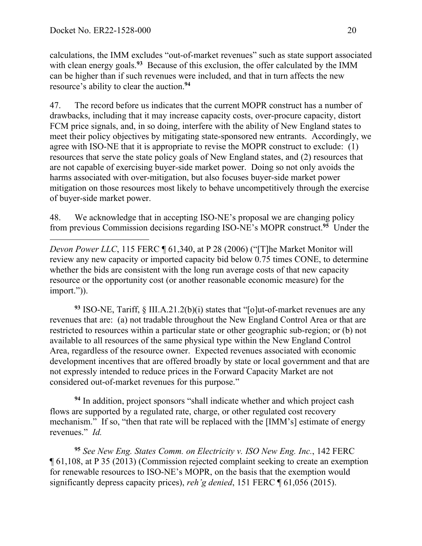calculations, the IMM excludes "out-of-market revenues" such as state support associated with clean energy goals.<sup>93</sup> Because of this exclusion, the offer calculated by the IMM can be higher than if such revenues were included, and that in turn affects the new resource's ability to clear the auction.**<sup>94</sup>**

47. The record before us indicates that the current MOPR construct has a number of drawbacks, including that it may increase capacity costs, over-procure capacity, distort FCM price signals, and, in so doing, interfere with the ability of New England states to meet their policy objectives by mitigating state-sponsored new entrants. Accordingly, we agree with ISO-NE that it is appropriate to revise the MOPR construct to exclude: (1) resources that serve the state policy goals of New England states, and (2) resources that are not capable of exercising buyer-side market power. Doing so not only avoids the harms associated with over-mitigation, but also focuses buyer-side market power mitigation on those resources most likely to behave uncompetitively through the exercise of buyer-side market power.

48. We acknowledge that in accepting ISO-NE's proposal we are changing policy from previous Commission decisions regarding ISO-NE's MOPR construct.**<sup>95</sup>** Under the

 $\overline{a}$ *Devon Power LLC*, 115 FERC ¶ 61,340, at P 28 (2006) ("[T]he Market Monitor will review any new capacity or imported capacity bid below 0.75 times CONE, to determine whether the bids are consistent with the long run average costs of that new capacity resource or the opportunity cost (or another reasonable economic measure) for the import.")).

**<sup>93</sup>** ISO-NE, Tariff, § III.A.21.2(b)(i) states that "[o]ut-of-market revenues are any revenues that are: (a) not tradable throughout the New England Control Area or that are restricted to resources within a particular state or other geographic sub-region; or (b) not available to all resources of the same physical type within the New England Control Area, regardless of the resource owner. Expected revenues associated with economic development incentives that are offered broadly by state or local government and that are not expressly intended to reduce prices in the Forward Capacity Market are not considered out-of-market revenues for this purpose."

**<sup>94</sup>** In addition, project sponsors "shall indicate whether and which project cash flows are supported by a regulated rate, charge, or other regulated cost recovery mechanism." If so, "then that rate will be replaced with the [IMM's] estimate of energy revenues." *Id.*

**<sup>95</sup>** *See New Eng. States Comm. on Electricity v. ISO New Eng. Inc.*, 142 FERC ¶ 61,108, at P 35 (2013) (Commission rejected complaint seeking to create an exemption for renewable resources to ISO-NE's MOPR, on the basis that the exemption would significantly depress capacity prices), *reh'g denied*, 151 FERC ¶ 61,056 (2015).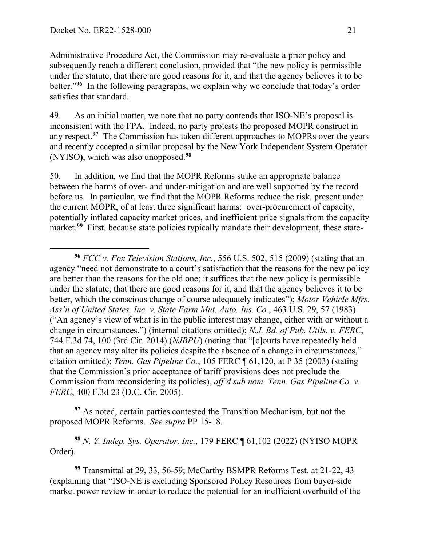Administrative Procedure Act, the Commission may re-evaluate a prior policy and subsequently reach a different conclusion, provided that "the new policy is permissible under the statute, that there are good reasons for it, and that the agency believes it to be better."**<sup>96</sup>** In the following paragraphs, we explain why we conclude that today's order satisfies that standard.

49. As an initial matter, we note that no party contends that ISO-NE's proposal is inconsistent with the FPA. Indeed, no party protests the proposed MOPR construct in any respect.**<sup>97</sup>** The Commission has taken different approaches to MOPRs over the years and recently accepted a similar proposal by the New York Independent System Operator (NYISO**)**, which was also unopposed.**<sup>98</sup>**

50. In addition, we find that the MOPR Reforms strike an appropriate balance between the harms of over- and under-mitigation and are well supported by the record before us. In particular, we find that the MOPR Reforms reduce the risk, present under the current MOPR, of at least three significant harms: over-procurement of capacity, potentially inflated capacity market prices, and inefficient price signals from the capacity market.<sup>99</sup> First, because state policies typically mandate their development, these state-

**<sup>97</sup>** As noted, certain parties contested the Transition Mechanism, but not the proposed MOPR Reforms. *See supra* PP 15-18*.*

**<sup>98</sup>** *N. Y. Indep. Sys. Operator, Inc.*, 179 FERC ¶ 61,102 (2022) (NYISO MOPR Order).

**<sup>99</sup>** Transmittal at 29, 33, 56-59; McCarthy BSMPR Reforms Test. at 21-22, 43 (explaining that "ISO-NE is excluding Sponsored Policy Resources from buyer-side market power review in order to reduce the potential for an inefficient overbuild of the

**<sup>96</sup>** *FCC v. Fox Television Stations, Inc.*, 556 U.S. 502, 515 (2009) (stating that an agency "need not demonstrate to a court's satisfaction that the reasons for the new policy are better than the reasons for the old one; it suffices that the new policy is permissible under the statute, that there are good reasons for it, and that the agency believes it to be better, which the conscious change of course adequately indicates"); *Motor Vehicle Mfrs. Ass'n of United States, Inc. v. State Farm Mut. Auto. Ins. Co.*, 463 U.S. 29, 57 (1983) ("An agency's view of what is in the public interest may change, either with or without a change in circumstances.") (internal citations omitted); *N.J. Bd. of Pub. Utils. v. FERC*, 744 F.3d 74, 100 (3rd Cir. 2014) (*NJBPU*) (noting that "[c]ourts have repeatedly held that an agency may alter its policies despite the absence of a change in circumstances," citation omitted); *Tenn. Gas Pipeline Co.*, 105 FERC ¶ 61,120, at P 35 (2003) (stating that the Commission's prior acceptance of tariff provisions does not preclude the Commission from reconsidering its policies), *aff'd sub nom. Tenn. Gas Pipeline Co. v. FERC*, 400 F.3d 23 (D.C. Cir. 2005).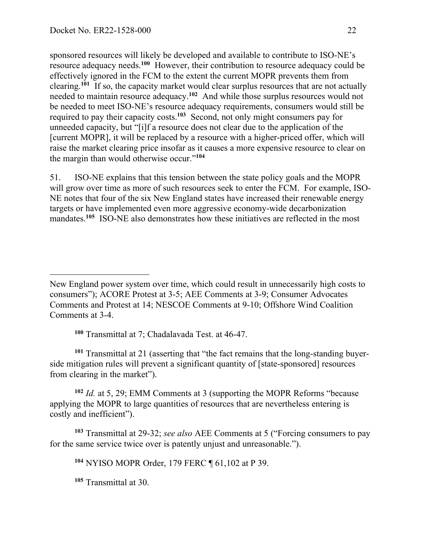sponsored resources will likely be developed and available to contribute to ISO-NE's resource adequacy needs.**<sup>100</sup>** However, their contribution to resource adequacy could be effectively ignored in the FCM to the extent the current MOPR prevents them from clearing.**<sup>101</sup>** If so, the capacity market would clear surplus resources that are not actually needed to maintain resource adequacy.**<sup>102</sup>** And while those surplus resources would not be needed to meet ISO-NE's resource adequacy requirements, consumers would still be required to pay their capacity costs.**<sup>103</sup>** Second, not only might consumers pay for unneeded capacity, but "[i]f a resource does not clear due to the application of the [current MOPR], it will be replaced by a resource with a higher-priced offer, which will raise the market clearing price insofar as it causes a more expensive resource to clear on the margin than would otherwise occur."**<sup>104</sup>**

51. ISO-NE explains that this tension between the state policy goals and the MOPR will grow over time as more of such resources seek to enter the FCM. For example, ISO-NE notes that four of the six New England states have increased their renewable energy targets or have implemented even more aggressive economy-wide decarbonization mandates.<sup>105</sup> ISO-NE also demonstrates how these initiatives are reflected in the most

**<sup>100</sup>** Transmittal at 7; Chadalavada Test. at 46-47.

**<sup>101</sup>** Transmittal at 21 (asserting that "the fact remains that the long-standing buyerside mitigation rules will prevent a significant quantity of [state-sponsored] resources from clearing in the market").

**<sup>102</sup>** *Id.* at 5, 29; EMM Comments at 3 (supporting the MOPR Reforms "because applying the MOPR to large quantities of resources that are nevertheless entering is costly and inefficient").

**<sup>103</sup>** Transmittal at 29-32; *see also* AEE Comments at 5 ("Forcing consumers to pay for the same service twice over is patently unjust and unreasonable.").

**<sup>104</sup>** NYISO MOPR Order, 179 FERC ¶ 61,102 at P 39.

**<sup>105</sup>** Transmittal at 30.

New England power system over time, which could result in unnecessarily high costs to consumers"); ACORE Protest at 3-5; AEE Comments at 3-9; Consumer Advocates Comments and Protest at 14; NESCOE Comments at 9-10; Offshore Wind Coalition Comments at 3-4.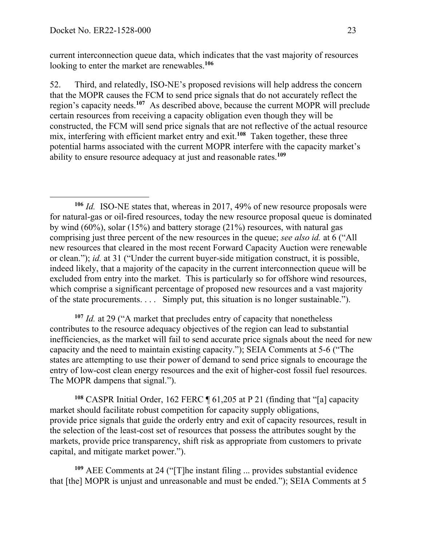current interconnection queue data, which indicates that the vast majority of resources looking to enter the market are renewables.**<sup>106</sup>**

52. Third, and relatedly, ISO-NE's proposed revisions will help address the concern that the MOPR causes the FCM to send price signals that do not accurately reflect the region's capacity needs.**<sup>107</sup>** As described above, because the current MOPR will preclude certain resources from receiving a capacity obligation even though they will be constructed, the FCM will send price signals that are not reflective of the actual resource mix, interfering with efficient market entry and exit.**<sup>108</sup>** Taken together, these three potential harms associated with the current MOPR interfere with the capacity market's ability to ensure resource adequacy at just and reasonable rates.**<sup>109</sup>**

**<sup>106</sup>** *Id.* ISO-NE states that, whereas in 2017, 49% of new resource proposals were for natural-gas or oil-fired resources, today the new resource proposal queue is dominated by wind (60%), solar (15%) and battery storage (21%) resources, with natural gas comprising just three percent of the new resources in the queue; *see also id.* at 6 ("All new resources that cleared in the most recent Forward Capacity Auction were renewable or clean."); *id.* at 31 ("Under the current buyer-side mitigation construct, it is possible, indeed likely, that a majority of the capacity in the current interconnection queue will be excluded from entry into the market. This is particularly so for offshore wind resources, which comprise a significant percentage of proposed new resources and a vast majority of the state procurements. . . . Simply put, this situation is no longer sustainable.").

**<sup>107</sup>** *Id.* at 29 ("A market that precludes entry of capacity that nonetheless contributes to the resource adequacy objectives of the region can lead to substantial inefficiencies, as the market will fail to send accurate price signals about the need for new capacity and the need to maintain existing capacity."); SEIA Comments at 5-6 ("The states are attempting to use their power of demand to send price signals to encourage the entry of low-cost clean energy resources and the exit of higher-cost fossil fuel resources. The MOPR dampens that signal.").

**<sup>108</sup>** CASPR Initial Order, 162 FERC ¶ 61,205 at P 21 (finding that "[a] capacity market should facilitate robust competition for capacity supply obligations, provide price signals that guide the orderly entry and exit of capacity resources, result in the selection of the least-cost set of resources that possess the attributes sought by the markets, provide price transparency, shift risk as appropriate from customers to private capital, and mitigate market power.").

**<sup>109</sup>** AEE Comments at 24 ("[T]he instant filing ... provides substantial evidence that [the] MOPR is unjust and unreasonable and must be ended."); SEIA Comments at 5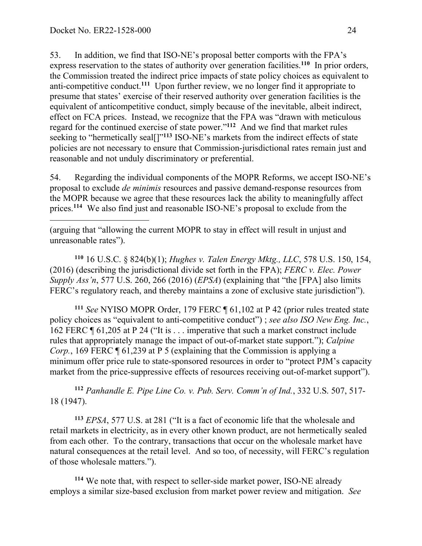53. In addition, we find that ISO-NE's proposal better comports with the FPA's express reservation to the states of authority over generation facilities.**<sup>110</sup>** In prior orders, the Commission treated the indirect price impacts of state policy choices as equivalent to anti-competitive conduct.**<sup>111</sup>** Upon further review, we no longer find it appropriate to presume that states' exercise of their reserved authority over generation facilities is the equivalent of anticompetitive conduct, simply because of the inevitable, albeit indirect, effect on FCA prices. Instead, we recognize that the FPA was "drawn with meticulous regard for the continued exercise of state power."**<sup>112</sup>** And we find that market rules seeking to "hermetically seal[]"**<sup>113</sup>** ISO-NE's markets from the indirect effects of state policies are not necessary to ensure that Commission-jurisdictional rates remain just and reasonable and not unduly discriminatory or preferential.

54. Regarding the individual components of the MOPR Reforms, we accept ISO-NE's proposal to exclude *de minimis* resources and passive demand-response resources from the MOPR because we agree that these resources lack the ability to meaningfully affect prices.**<sup>114</sup>** We also find just and reasonable ISO-NE's proposal to exclude from the

(arguing that "allowing the current MOPR to stay in effect will result in unjust and unreasonable rates").

**<sup>110</sup>** 16 U.S.C. § 824(b)(1); *Hughes v. Talen Energy Mktg., LLC*, 578 U.S. 150, 154, (2016) (describing the jurisdictional divide set forth in the FPA); *FERC v. Elec. Power Supply Ass'n*, 577 U.S. 260, 266 (2016) (*EPSA*) (explaining that "the [FPA] also limits FERC's regulatory reach, and thereby maintains a zone of exclusive state jurisdiction").

**<sup>111</sup>** *See* NYISO MOPR Order, 179 FERC ¶ 61,102 at P 42 (prior rules treated state policy choices as "equivalent to anti-competitive conduct") ; *see also ISO New Eng. Inc.*, 162 FERC ¶ 61,205 at P 24 ("It is . . . imperative that such a market construct include rules that appropriately manage the impact of out-of-market state support."); *Calpine Corp.*, 169 FERC **[61,239 at P 5 (explaining that the Commission is applying a** minimum offer price rule to state-sponsored resources in order to "protect PJM's capacity market from the price-suppressive effects of resources receiving out-of-market support").

**<sup>112</sup>** *Panhandle E. Pipe Line Co. v. Pub. Serv. Comm'n of Ind.*, 332 U.S. 507, 517- 18 (1947).

**<sup>113</sup>** *EPSA*, 577 U.S. at 281 ("It is a fact of economic life that the wholesale and retail markets in electricity, as in every other known product, are not hermetically sealed from each other. To the contrary, transactions that occur on the wholesale market have natural consequences at the retail level. And so too, of necessity, will FERC's regulation of those wholesale matters.").

**<sup>114</sup>** We note that, with respect to seller-side market power, ISO-NE already employs a similar size-based exclusion from market power review and mitigation. *See*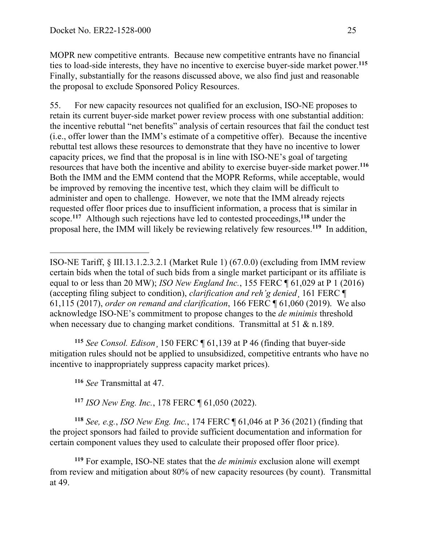MOPR new competitive entrants. Because new competitive entrants have no financial ties to load-side interests, they have no incentive to exercise buyer-side market power.**<sup>115</sup>** Finally, substantially for the reasons discussed above, we also find just and reasonable the proposal to exclude Sponsored Policy Resources.

55. For new capacity resources not qualified for an exclusion, ISO-NE proposes to retain its current buyer-side market power review process with one substantial addition: the incentive rebuttal "net benefits" analysis of certain resources that fail the conduct test (i.e., offer lower than the IMM's estimate of a competitive offer). Because the incentive rebuttal test allows these resources to demonstrate that they have no incentive to lower capacity prices, we find that the proposal is in line with ISO-NE's goal of targeting resources that have both the incentive and ability to exercise buyer-side market power.**<sup>116</sup>** Both the IMM and the EMM contend that the MOPR Reforms, while acceptable, would be improved by removing the incentive test, which they claim will be difficult to administer and open to challenge. However, we note that the IMM already rejects requested offer floor prices due to insufficient information, a process that is similar in scope.**<sup>117</sup>** Although such rejections have led to contested proceedings,**<sup>118</sup>** under the proposal here, the IMM will likely be reviewing relatively few resources.**<sup>119</sup>** In addition,

**<sup>115</sup>** *See Consol. Edison*¸ 150 FERC ¶ 61,139 at P 46 (finding that buyer-side mitigation rules should not be applied to unsubsidized, competitive entrants who have no incentive to inappropriately suppress capacity market prices).

**<sup>116</sup>** *See* Transmittal at 47.

 $\overline{a}$ 

**<sup>117</sup>** *ISO New Eng. Inc.*, 178 FERC ¶ 61,050 (2022).

**<sup>118</sup>** *See, e.g.*, *ISO New Eng. Inc.*, 174 FERC ¶ 61,046 at P 36 (2021) (finding that the project sponsors had failed to provide sufficient documentation and information for certain component values they used to calculate their proposed offer floor price).

**<sup>119</sup>** For example, ISO-NE states that the *de minimis* exclusion alone will exempt from review and mitigation about 80% of new capacity resources (by count). Transmittal at 49.

ISO-NE Tariff, § III.13.1.2.3.2.1 (Market Rule 1) (67.0.0) (excluding from IMM review certain bids when the total of such bids from a single market participant or its affiliate is equal to or less than 20 MW); *ISO New England Inc.*, 155 FERC ¶ 61,029 at P 1 (2016) (accepting filing subject to condition), *clarification and reh'g denied*¸ 161 FERC ¶ 61,115 (2017), *order on remand and clarification*, 166 FERC ¶ 61,060 (2019). We also acknowledge ISO-NE's commitment to propose changes to the *de minimis* threshold when necessary due to changing market conditions. Transmittal at 51 & n.189.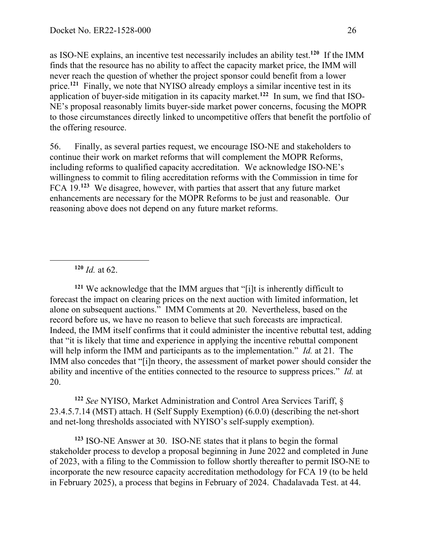as ISO-NE explains, an incentive test necessarily includes an ability test.**<sup>120</sup>** If the IMM finds that the resource has no ability to affect the capacity market price, the IMM will never reach the question of whether the project sponsor could benefit from a lower price.**<sup>121</sup>** Finally, we note that NYISO already employs a similar incentive test in its application of buyer-side mitigation in its capacity market. **122** In sum, we find that ISO-NE's proposal reasonably limits buyer-side market power concerns, focusing the MOPR to those circumstances directly linked to uncompetitive offers that benefit the portfolio of the offering resource.

56. Finally, as several parties request, we encourage ISO-NE and stakeholders to continue their work on market reforms that will complement the MOPR Reforms, including reforms to qualified capacity accreditation. We acknowledge ISO-NE's willingness to commit to filing accreditation reforms with the Commission in time for FCA 19.**<sup>123</sup>** We disagree, however, with parties that assert that any future market enhancements are necessary for the MOPR Reforms to be just and reasonable. Our reasoning above does not depend on any future market reforms.

**<sup>120</sup>** *Id.* at 62.

 $\overline{a}$ 

**<sup>121</sup>** We acknowledge that the IMM argues that "[i]t is inherently difficult to forecast the impact on clearing prices on the next auction with limited information, let alone on subsequent auctions." IMM Comments at 20. Nevertheless, based on the record before us, we have no reason to believe that such forecasts are impractical. Indeed, the IMM itself confirms that it could administer the incentive rebuttal test, adding that "it is likely that time and experience in applying the incentive rebuttal component will help inform the IMM and participants as to the implementation." *Id.* at 21. The IMM also concedes that "[i]n theory, the assessment of market power should consider the ability and incentive of the entities connected to the resource to suppress prices." *Id.* at 20.

**<sup>122</sup>** *See* NYISO, Market Administration and Control Area Services Tariff, § 23.4.5.7.14 (MST) attach. H (Self Supply Exemption) (6.0.0) (describing the net-short and net-long thresholds associated with NYISO's self-supply exemption).

**<sup>123</sup>** ISO-NE Answer at 30. ISO-NE states that it plans to begin the formal stakeholder process to develop a proposal beginning in June 2022 and completed in June of 2023, with a filing to the Commission to follow shortly thereafter to permit ISO-NE to incorporate the new resource capacity accreditation methodology for FCA 19 (to be held in February 2025), a process that begins in February of 2024. Chadalavada Test. at 44.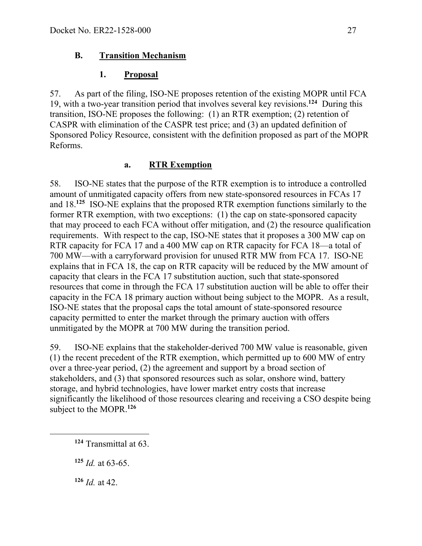### **B. Transition Mechanism**

### **1. Proposal**

57. As part of the filing, ISO-NE proposes retention of the existing MOPR until FCA 19, with a two-year transition period that involves several key revisions. **<sup>124</sup>** During this transition, ISO-NE proposes the following: (1) an RTR exemption; (2) retention of CASPR with elimination of the CASPR test price; and (3) an updated definition of Sponsored Policy Resource, consistent with the definition proposed as part of the MOPR Reforms.

### **a. RTR Exemption**

58. ISO-NE states that the purpose of the RTR exemption is to introduce a controlled amount of unmitigated capacity offers from new state-sponsored resources in FCAs 17 and 18.**<sup>125</sup>** ISO-NE explains that the proposed RTR exemption functions similarly to the former RTR exemption, with two exceptions: (1) the cap on state-sponsored capacity that may proceed to each FCA without offer mitigation, and (2) the resource qualification requirements. With respect to the cap, ISO-NE states that it proposes a 300 MW cap on RTR capacity for FCA 17 and a 400 MW cap on RTR capacity for FCA 18—a total of 700 MW—with a carryforward provision for unused RTR MW from FCA 17. ISO-NE explains that in FCA 18, the cap on RTR capacity will be reduced by the MW amount of capacity that clears in the FCA 17 substitution auction, such that state-sponsored resources that come in through the FCA 17 substitution auction will be able to offer their capacity in the FCA 18 primary auction without being subject to the MOPR. As a result, ISO-NE states that the proposal caps the total amount of state-sponsored resource capacity permitted to enter the market through the primary auction with offers unmitigated by the MOPR at 700 MW during the transition period.

59. ISO-NE explains that the stakeholder-derived 700 MW value is reasonable, given (1) the recent precedent of the RTR exemption, which permitted up to 600 MW of entry over a three-year period, (2) the agreement and support by a broad section of stakeholders, and (3) that sponsored resources such as solar, onshore wind, battery storage, and hybrid technologies, have lower market entry costs that increase significantly the likelihood of those resources clearing and receiving a CSO despite being subject to the MOPR.**<sup>126</sup>**

**<sup>126</sup>** *Id.* at 42.

 $\overline{a}$ 

**<sup>124</sup>** Transmittal at 63.

**<sup>125</sup>** *Id.* at 63-65.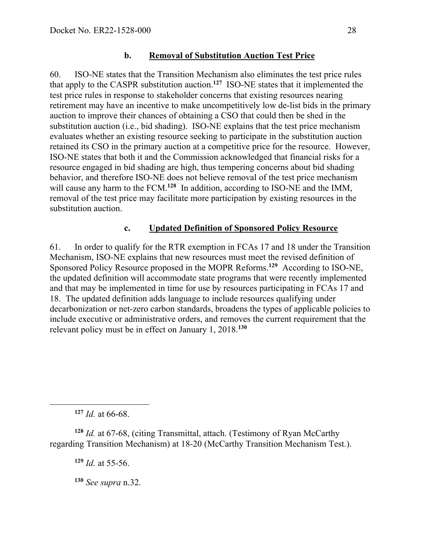#### **b. Removal of Substitution Auction Test Price**

60. ISO-NE states that the Transition Mechanism also eliminates the test price rules that apply to the CASPR substitution auction.**<sup>127</sup>** ISO-NE states that it implemented the test price rules in response to stakeholder concerns that existing resources nearing retirement may have an incentive to make uncompetitively low de-list bids in the primary auction to improve their chances of obtaining a CSO that could then be shed in the substitution auction (i.e., bid shading). ISO-NE explains that the test price mechanism evaluates whether an existing resource seeking to participate in the substitution auction retained its CSO in the primary auction at a competitive price for the resource. However, ISO-NE states that both it and the Commission acknowledged that financial risks for a resource engaged in bid shading are high, thus tempering concerns about bid shading behavior, and therefore ISO-NE does not believe removal of the test price mechanism will cause any harm to the FCM.<sup>128</sup> In addition, according to ISO-NE and the IMM, removal of the test price may facilitate more participation by existing resources in the substitution auction.

#### **c. Updated Definition of Sponsored Policy Resource**

61. In order to qualify for the RTR exemption in FCAs 17 and 18 under the Transition Mechanism, ISO-NE explains that new resources must meet the revised definition of Sponsored Policy Resource proposed in the MOPR Reforms.**<sup>129</sup>** According to ISO-NE, the updated definition will accommodate state programs that were recently implemented and that may be implemented in time for use by resources participating in FCAs 17 and 18. The updated definition adds language to include resources qualifying under decarbonization or net-zero carbon standards, broadens the types of applicable policies to include executive or administrative orders, and removes the current requirement that the relevant policy must be in effect on January 1, 2018.**<sup>130</sup>**

**<sup>127</sup>** *Id.* at 66-68.

 $\overline{a}$ 

**<sup>128</sup>** *Id.* at 67-68, (citing Transmittal, attach. (Testimony of Ryan McCarthy regarding Transition Mechanism) at 18-20 (McCarthy Transition Mechanism Test.).

**<sup>129</sup>** *Id.* at 55-56.

**<sup>130</sup>** *See supra* n.32.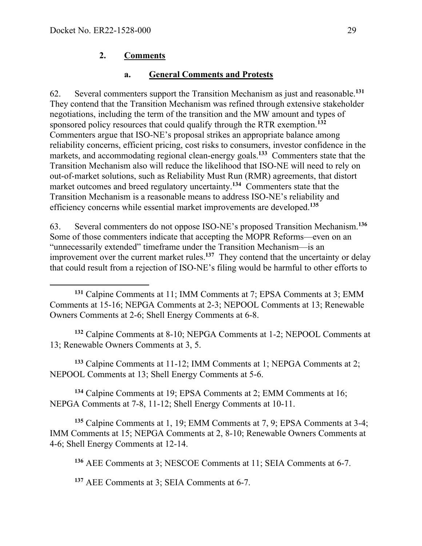### **2. Comments**

#### **a. General Comments and Protests**

62. Several commenters support the Transition Mechanism as just and reasonable. **<sup>131</sup>** They contend that the Transition Mechanism was refined through extensive stakeholder negotiations, including the term of the transition and the MW amount and types of sponsored policy resources that could qualify through the RTR exemption. **<sup>132</sup>** Commenters argue that ISO-NE's proposal strikes an appropriate balance among reliability concerns, efficient pricing, cost risks to consumers, investor confidence in the markets, and accommodating regional clean-energy goals.**<sup>133</sup>** Commenters state that the Transition Mechanism also will reduce the likelihood that ISO-NE will need to rely on out-of-market solutions, such as Reliability Must Run (RMR) agreements, that distort market outcomes and breed regulatory uncertainty.**<sup>134</sup>** Commenters state that the Transition Mechanism is a reasonable means to address ISO-NE's reliability and efficiency concerns while essential market improvements are developed.**<sup>135</sup>**

63. Several commenters do not oppose ISO-NE's proposed Transition Mechanism. **<sup>136</sup>** Some of those commenters indicate that accepting the MOPR Reforms—even on an "unnecessarily extended" timeframe under the Transition Mechanism—is an improvement over the current market rules.<sup>137</sup> They contend that the uncertainty or delay that could result from a rejection of ISO-NE's filing would be harmful to other efforts to

**<sup>132</sup>** Calpine Comments at 8-10; NEPGA Comments at 1-2; NEPOOL Comments at 13; Renewable Owners Comments at 3, 5.

**<sup>133</sup>** Calpine Comments at 11-12; IMM Comments at 1; NEPGA Comments at 2; NEPOOL Comments at 13; Shell Energy Comments at 5-6.

**<sup>134</sup>** Calpine Comments at 19; EPSA Comments at 2; EMM Comments at 16; NEPGA Comments at 7-8, 11-12; Shell Energy Comments at 10-11.

**<sup>135</sup>** Calpine Comments at 1, 19; EMM Comments at 7, 9; EPSA Comments at 3-4; IMM Comments at 15; NEPGA Comments at 2, 8-10; Renewable Owners Comments at 4-6; Shell Energy Comments at 12-14.

**<sup>136</sup>** AEE Comments at 3; NESCOE Comments at 11; SEIA Comments at 6-7.

**<sup>137</sup>** AEE Comments at 3; SEIA Comments at 6-7.

**<sup>131</sup>** Calpine Comments at 11; IMM Comments at 7; EPSA Comments at 3; EMM Comments at 15-16; NEPGA Comments at 2-3; NEPOOL Comments at 13; Renewable Owners Comments at 2-6; Shell Energy Comments at 6-8.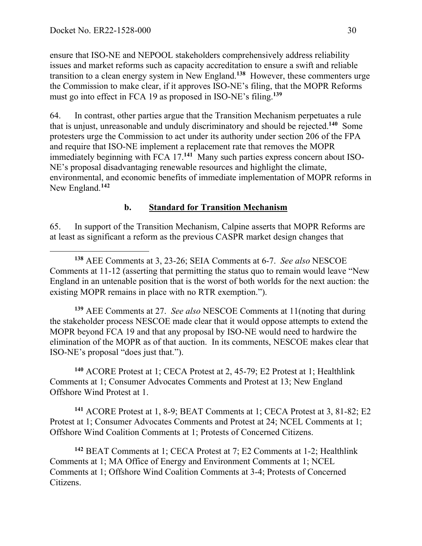ensure that ISO-NE and NEPOOL stakeholders comprehensively address reliability issues and market reforms such as capacity accreditation to ensure a swift and reliable transition to a clean energy system in New England.**<sup>138</sup>** However, these commenters urge the Commission to make clear, if it approves ISO-NE's filing, that the MOPR Reforms must go into effect in FCA 19 as proposed in ISO-NE's filing. **139**

64. In contrast, other parties argue that the Transition Mechanism perpetuates a rule that is unjust, unreasonable and unduly discriminatory and should be rejected. **<sup>140</sup>** Some protesters urge the Commission to act under its authority under section 206 of the FPA and require that ISO-NE implement a replacement rate that removes the MOPR immediately beginning with FCA 17.**<sup>141</sup>** Many such parties express concern about ISO-NE's proposal disadvantaging renewable resources and highlight the climate, environmental, and economic benefits of immediate implementation of MOPR reforms in New England.**<sup>142</sup>**

#### **b. Standard for Transition Mechanism**

65. In support of the Transition Mechanism, Calpine asserts that MOPR Reforms are at least as significant a reform as the previous CASPR market design changes that

 $\overline{a}$ **<sup>138</sup>** AEE Comments at 3, 23-26; SEIA Comments at 6-7. *See also* NESCOE Comments at 11-12 (asserting that permitting the status quo to remain would leave "New England in an untenable position that is the worst of both worlds for the next auction: the existing MOPR remains in place with no RTR exemption.").

**<sup>139</sup>** AEE Comments at 27. *See also* NESCOE Comments at 11(noting that during the stakeholder process NESCOE made clear that it would oppose attempts to extend the MOPR beyond FCA 19 and that any proposal by ISO-NE would need to hardwire the elimination of the MOPR as of that auction. In its comments, NESCOE makes clear that ISO-NE's proposal "does just that.").

**<sup>140</sup>** ACORE Protest at 1; CECA Protest at 2, 45-79; E2 Protest at 1; Healthlink Comments at 1; Consumer Advocates Comments and Protest at 13; New England Offshore Wind Protest at 1.

**<sup>141</sup>** ACORE Protest at 1, 8-9; BEAT Comments at 1; CECA Protest at 3, 81-82; E2 Protest at 1; Consumer Advocates Comments and Protest at 24; NCEL Comments at 1; Offshore Wind Coalition Comments at 1; Protests of Concerned Citizens.

**<sup>142</sup>** BEAT Comments at 1; CECA Protest at 7; E2 Comments at 1-2; Healthlink Comments at 1; MA Office of Energy and Environment Comments at 1; NCEL Comments at 1; Offshore Wind Coalition Comments at 3-4; Protests of Concerned Citizens.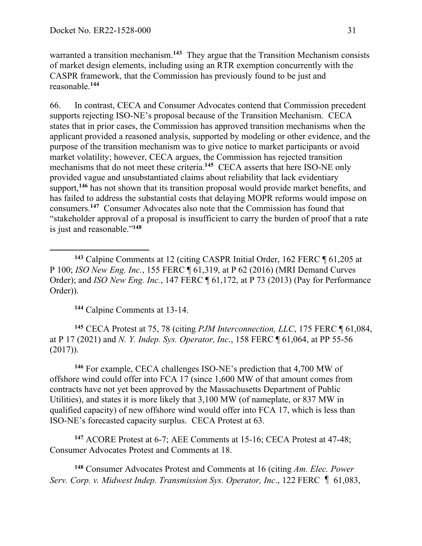warranted a transition mechanism.**<sup>143</sup>** They argue that the Transition Mechanism consists of market design elements, including using an RTR exemption concurrently with the CASPR framework, that the Commission has previously found to be just and reasonable.**<sup>144</sup>**

66. In contrast, CECA and Consumer Advocates contend that Commission precedent supports rejecting ISO-NE's proposal because of the Transition Mechanism. CECA states that in prior cases, the Commission has approved transition mechanisms when the applicant provided a reasoned analysis, supported by modeling or other evidence, and the purpose of the transition mechanism was to give notice to market participants or avoid market volatility; however, CECA argues, the Commission has rejected transition mechanisms that do not meet these criteria.**<sup>145</sup>** CECA asserts that here ISO-NE only provided vague and unsubstantiated claims about reliability that lack evidentiary support,<sup>146</sup> has not shown that its transition proposal would provide market benefits, and has failed to address the substantial costs that delaying MOPR reforms would impose on consumers.**<sup>147</sup>** Consumer Advocates also note that the Commission has found that "stakeholder approval of a proposal is insufficient to carry the burden of proof that a rate is just and reasonable."**<sup>148</sup>**

**<sup>144</sup>** Calpine Comments at 13-14.

 $\overline{a}$ 

**<sup>145</sup>** CECA Protest at 75, 78 (citing *PJM Interconnection, LLC*, 175 FERC ¶ 61,084, at P 17 (2021) and *N. Y. Indep. Sys. Operator, Inc*., 158 FERC ¶ 61,064, at PP 55-56 (2017)).

**<sup>146</sup>** For example, CECA challenges ISO-NE's prediction that 4,700 MW of offshore wind could offer into FCA 17 (since 1,600 MW of that amount comes from contracts have not yet been approved by the Massachusetts Department of Public Utilities), and states it is more likely that 3,100 MW (of nameplate, or 837 MW in qualified capacity) of new offshore wind would offer into FCA 17, which is less than ISO-NE's forecasted capacity surplus. CECA Protest at 63.

**<sup>147</sup>** ACORE Protest at 6-7; AEE Comments at 15-16; CECA Protest at 47-48; Consumer Advocates Protest and Comments at 18.

**<sup>148</sup>** Consumer Advocates Protest and Comments at 16 (citing *Am. Elec. Power Serv. Corp. v. Midwest Indep. Transmission Sys. Operator, Inc*., 122 FERC ¶ 61,083,

**<sup>143</sup>** Calpine Comments at 12 (citing CASPR Initial Order, 162 FERC ¶ 61,205 at P 100; *ISO New Eng. Inc.*, 155 FERC ¶ 61,319, at P 62 (2016) (MRI Demand Curves Order); and *ISO New Eng. Inc.*, 147 FERC ¶ 61,172, at P 73 (2013) (Pay for Performance Order)).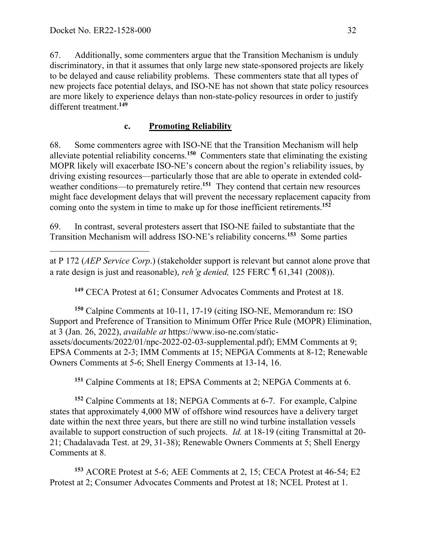67. Additionally, some commenters argue that the Transition Mechanism is unduly discriminatory, in that it assumes that only large new state-sponsored projects are likely to be delayed and cause reliability problems. These commenters state that all types of new projects face potential delays, and ISO-NE has not shown that state policy resources are more likely to experience delays than non-state-policy resources in order to justify different treatment.**<sup>149</sup>**

# **c. Promoting Reliability**

68. Some commenters agree with ISO-NE that the Transition Mechanism will help alleviate potential reliability concerns. **<sup>150</sup>** Commenters state that eliminating the existing MOPR likely will exacerbate ISO-NE's concern about the region's reliability issues, by driving existing resources—particularly those that are able to operate in extended coldweather conditions—to prematurely retire.<sup>151</sup> They contend that certain new resources might face development delays that will prevent the necessary replacement capacity from coming onto the system in time to make up for those inefficient retirements.**<sup>152</sup>**

69. In contrast, several protesters assert that ISO-NE failed to substantiate that the Transition Mechanism will address ISO-NE's reliability concerns.**<sup>153</sup>** Some parties

 $\overline{a}$ at P 172 (*AEP Service Corp*.) (stakeholder support is relevant but cannot alone prove that a rate design is just and reasonable), *reh'g denied,* 125 FERC¶61,341 (2008)).

**<sup>149</sup>** CECA Protest at 61; Consumer Advocates Comments and Protest at 18.

**<sup>150</sup>** Calpine Comments at 10-11, 17-19 (citing ISO-NE, Memorandum re: ISO Support and Preference of Transition to Minimum Offer Price Rule (MOPR) Elimination, at 3 (Jan. 26, 2022), *available at* https://www.iso-ne.com/staticassets/documents/2022/01/npc-2022-02-03-supplemental.pdf); EMM Comments at 9; EPSA Comments at 2-3; IMM Comments at 15; NEPGA Comments at 8-12; Renewable Owners Comments at 5-6; Shell Energy Comments at 13-14, 16.

**<sup>151</sup>** Calpine Comments at 18; EPSA Comments at 2; NEPGA Comments at 6.

**<sup>152</sup>** Calpine Comments at 18; NEPGA Comments at 6-7. For example, Calpine states that approximately 4,000 MW of offshore wind resources have a delivery target date within the next three years, but there are still no wind turbine installation vessels available to support construction of such projects. *Id.* at 18-19 (citing Transmittal at 20- 21; Chadalavada Test. at 29, 31-38); Renewable Owners Comments at 5; Shell Energy Comments at 8.

**<sup>153</sup>** ACORE Protest at 5-6; AEE Comments at 2, 15; CECA Protest at 46-54; E2 Protest at 2; Consumer Advocates Comments and Protest at 18; NCEL Protest at 1.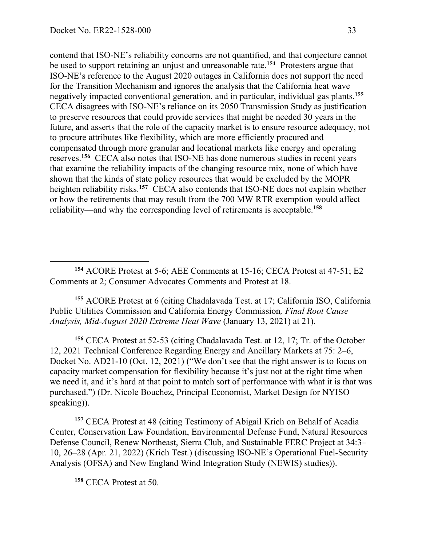contend that ISO-NE's reliability concerns are not quantified, and that conjecture cannot be used to support retaining an unjust and unreasonable rate.**<sup>154</sup>** Protesters argue that ISO-NE's reference to the August 2020 outages in California does not support the need for the Transition Mechanism and ignores the analysis that the California heat wave negatively impacted conventional generation, and in particular, individual gas plants.**<sup>155</sup>** CECA disagrees with ISO-NE's reliance on its 2050 Transmission Study as justification to preserve resources that could provide services that might be needed 30 years in the future, and asserts that the role of the capacity market is to ensure resource adequacy, not to procure attributes like flexibility, which are more efficiently procured and compensated through more granular and locational markets like energy and operating reserves.**<sup>156</sup>** CECA also notes that ISO-NE has done numerous studies in recent years that examine the reliability impacts of the changing resource mix, none of which have shown that the kinds of state policy resources that would be excluded by the MOPR heighten reliability risks.**<sup>157</sup>** CECA also contends that ISO-NE does not explain whether or how the retirements that may result from the 700 MW RTR exemption would affect reliability—and why the corresponding level of retirements is acceptable.**<sup>158</sup>**

**<sup>155</sup>** ACORE Protest at 6 (citing Chadalavada Test. at 17; California ISO, California Public Utilities Commission and California Energy Commission*, Final Root Cause Analysis, Mid-August 2020 Extreme Heat Wave* (January 13, 2021) at 21).

**<sup>156</sup>** CECA Protest at 52-53 (citing Chadalavada Test. at 12, 17; Tr. of the October 12, 2021 Technical Conference Regarding Energy and Ancillary Markets at 75: 2–6, Docket No. AD21-10 (Oct. 12, 2021) ("We don't see that the right answer is to focus on capacity market compensation for flexibility because it's just not at the right time when we need it, and it's hard at that point to match sort of performance with what it is that was purchased.") (Dr. Nicole Bouchez, Principal Economist, Market Design for NYISO speaking)).

**<sup>157</sup>** CECA Protest at 48 (citing Testimony of Abigail Krich on Behalf of Acadia Center, Conservation Law Foundation, Environmental Defense Fund, Natural Resources Defense Council, Renew Northeast, Sierra Club, and Sustainable FERC Project at 34:3– 10, 26–28 (Apr. 21, 2022) (Krich Test.) (discussing ISO-NE's Operational Fuel-Security Analysis (OFSA) and New England Wind Integration Study (NEWIS) studies)).

**<sup>158</sup>** CECA Protest at 50.

**<sup>154</sup>** ACORE Protest at 5-6; AEE Comments at 15-16; CECA Protest at 47-51; E2 Comments at 2; Consumer Advocates Comments and Protest at 18.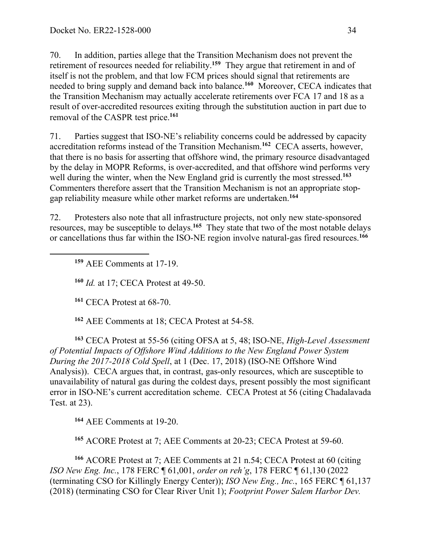70. In addition, parties allege that the Transition Mechanism does not prevent the retirement of resources needed for reliability.**<sup>159</sup>** They argue that retirement in and of itself is not the problem, and that low FCM prices should signal that retirements are needed to bring supply and demand back into balance.**<sup>160</sup>** Moreover, CECA indicates that the Transition Mechanism may actually accelerate retirements over FCA 17 and 18 as a result of over-accredited resources exiting through the substitution auction in part due to removal of the CASPR test price.**<sup>161</sup>**

71. Parties suggest that ISO-NE's reliability concerns could be addressed by capacity accreditation reforms instead of the Transition Mechanism.**<sup>162</sup>** CECA asserts, however, that there is no basis for asserting that offshore wind, the primary resource disadvantaged by the delay in MOPR Reforms, is over-accredited, and that offshore wind performs very well during the winter, when the New England grid is currently the most stressed.<sup>163</sup> Commenters therefore assert that the Transition Mechanism is not an appropriate stopgap reliability measure while other market reforms are undertaken.**<sup>164</sup>**

72. Protesters also note that all infrastructure projects, not only new state-sponsored resources, may be susceptible to delays.**<sup>165</sup>** They state that two of the most notable delays or cancellations thus far within the ISO-NE region involve natural-gas fired resources.**<sup>166</sup>**

**<sup>159</sup>** AEE Comments at 17-19.

 $\overline{a}$ 

**<sup>160</sup>** *Id.* at 17; CECA Protest at 49-50.

**<sup>161</sup>** CECA Protest at 68-70.

**<sup>162</sup>** AEE Comments at 18; CECA Protest at 54-58.

**<sup>163</sup>** CECA Protest at 55-56 (citing OFSA at 5, 48; ISO-NE, *High-Level Assessment of Potential Impacts of Offshore Wind Additions to the New England Power System During the 2017-2018 Cold Spell*, at 1 (Dec. 17, 2018) (ISO-NE Offshore Wind Analysis)). CECA argues that, in contrast, gas-only resources, which are susceptible to unavailability of natural gas during the coldest days, present possibly the most significant error in ISO-NE's current accreditation scheme. CECA Protest at 56 (citing Chadalavada Test. at 23).

**<sup>164</sup>** AEE Comments at 19-20.

**<sup>165</sup>** ACORE Protest at 7; AEE Comments at 20-23; CECA Protest at 59-60.

**<sup>166</sup>** ACORE Protest at 7; AEE Comments at 21 n.54; CECA Protest at 60 (citing *ISO New Eng. Inc.*, 178 FERC ¶ 61,001, *order on reh'g*, 178 FERC ¶ 61,130 (2022 (terminating CSO for Killingly Energy Center)); *ISO New Eng., Inc.*, 165 FERC ¶ 61,137 (2018) (terminating CSO for Clear River Unit 1); *Footprint Power Salem Harbor Dev.*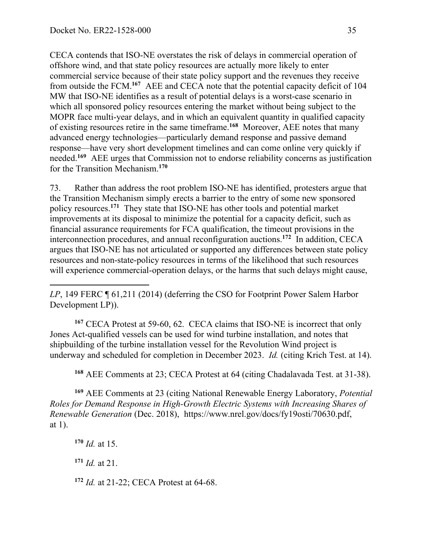CECA contends that ISO-NE overstates the risk of delays in commercial operation of offshore wind, and that state policy resources are actually more likely to enter commercial service because of their state policy support and the revenues they receive from outside the FCM. **<sup>167</sup>** AEE and CECA note that the potential capacity deficit of 104 MW that ISO-NE identifies as a result of potential delays is a worst-case scenario in which all sponsored policy resources entering the market without being subject to the MOPR face multi-year delays, and in which an equivalent quantity in qualified capacity of existing resources retire in the same timeframe.**<sup>168</sup>** Moreover, AEE notes that many advanced energy technologies—particularly demand response and passive demand response—have very short development timelines and can come online very quickly if needed.**<sup>169</sup>** AEE urges that Commission not to endorse reliability concerns as justification for the Transition Mechanism. **170**

73. Rather than address the root problem ISO-NE has identified, protesters argue that the Transition Mechanism simply erects a barrier to the entry of some new sponsored policy resources. **<sup>171</sup>** They state that ISO-NE has other tools and potential market improvements at its disposal to minimize the potential for a capacity deficit, such as financial assurance requirements for FCA qualification, the timeout provisions in the interconnection procedures, and annual reconfiguration auctions. **<sup>172</sup>** In addition, CECA argues that ISO-NE has not articulated or supported any differences between state policy resources and non-state-policy resources in terms of the likelihood that such resources will experience commercial-operation delays, or the harms that such delays might cause,

**<sup>167</sup>** CECA Protest at 59-60, 62. CECA claims that ISO-NE is incorrect that only Jones Act-qualified vessels can be used for wind turbine installation, and notes that shipbuilding of the turbine installation vessel for the Revolution Wind project is underway and scheduled for completion in December 2023. *Id.* (citing Krich Test. at 14).

**<sup>168</sup>** AEE Comments at 23; CECA Protest at 64 (citing Chadalavada Test. at 31-38).

**<sup>169</sup>** AEE Comments at 23 (citing National Renewable Energy Laboratory, *Potential Roles for Demand Response in High-Growth Electric Systems with Increasing Shares of Renewable Generation* (Dec. 2018), https://www.nrel.gov/docs/fy19osti/70630.pdf, at 1).

**<sup>170</sup>** *Id.* at 15. **<sup>171</sup>** *Id.* at 21. **<sup>172</sup>** *Id.* at 21-22; CECA Protest at 64-68.

*LP*, 149 FERC ¶ 61,211 (2014) (deferring the CSO for Footprint Power Salem Harbor Development LP)).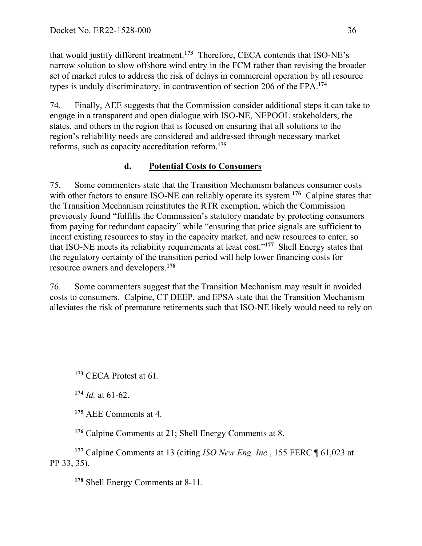that would justify different treatment.**<sup>173</sup>** Therefore, CECA contends that ISO-NE's narrow solution to slow offshore wind entry in the FCM rather than revising the broader set of market rules to address the risk of delays in commercial operation by all resource types is unduly discriminatory, in contravention of section 206 of the FPA. **174**

74. Finally, AEE suggests that the Commission consider additional steps it can take to engage in a transparent and open dialogue with ISO-NE, NEPOOL stakeholders, the states, and others in the region that is focused on ensuring that all solutions to the region's reliability needs are considered and addressed through necessary market reforms, such as capacity accreditation reform. **175**

## **d. Potential Costs to Consumers**

75. Some commenters state that the Transition Mechanism balances consumer costs with other factors to ensure ISO-NE can reliably operate its system.<sup>176</sup> Calpine states that the Transition Mechanism reinstitutes the RTR exemption, which the Commission previously found "fulfills the Commission's statutory mandate by protecting consumers from paying for redundant capacity" while "ensuring that price signals are sufficient to incent existing resources to stay in the capacity market, and new resources to enter, so that ISO-NE meets its reliability requirements at least cost."**<sup>177</sup>** Shell Energy states that the regulatory certainty of the transition period will help lower financing costs for resource owners and developers.**<sup>178</sup>**

76. Some commenters suggest that the Transition Mechanism may result in avoided costs to consumers. Calpine, CT DEEP, and EPSA state that the Transition Mechanism alleviates the risk of premature retirements such that ISO-NE likely would need to rely on

**<sup>174</sup>** *Id.* at 61-62.

 $\overline{a}$ 

**<sup>175</sup>** AEE Comments at 4.

**<sup>176</sup>** Calpine Comments at 21; Shell Energy Comments at 8.

**<sup>177</sup>** Calpine Comments at 13 (citing *ISO New Eng. Inc.*, 155 FERC ¶ 61,023 at PP 33, 35).

**<sup>178</sup>** Shell Energy Comments at 8-11.

**<sup>173</sup>** CECA Protest at 61.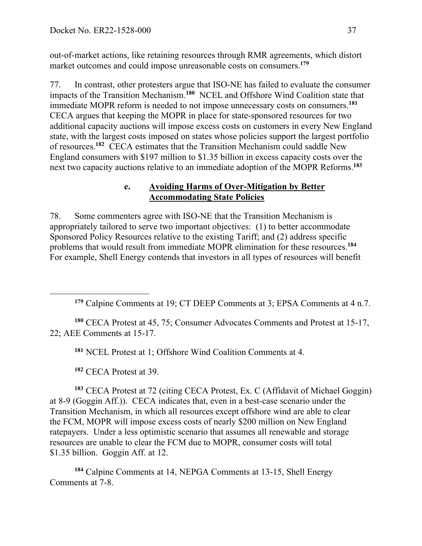out-of-market actions, like retaining resources through RMR agreements, which distort market outcomes and could impose unreasonable costs on consumers.**<sup>179</sup>**

77. In contrast, other protesters argue that ISO-NE has failed to evaluate the consumer impacts of the Transition Mechanism.**<sup>180</sup>** NCEL and Offshore Wind Coalition state that immediate MOPR reform is needed to not impose unnecessary costs on consumers.**<sup>181</sup>** CECA argues that keeping the MOPR in place for state-sponsored resources for two additional capacity auctions will impose excess costs on customers in every New England state, with the largest costs imposed on states whose policies support the largest portfolio of resources.**<sup>182</sup>** CECA estimates that the Transition Mechanism could saddle New England consumers with \$197 million to \$1.35 billion in excess capacity costs over the next two capacity auctions relative to an immediate adoption of the MOPR Reforms. **<sup>183</sup>**

### **e. Avoiding Harms of Over-Mitigation by Better Accommodating State Policies**

78. Some commenters agree with ISO-NE that the Transition Mechanism is appropriately tailored to serve two important objectives: (1) to better accommodate Sponsored Policy Resources relative to the existing Tariff; and (2) address specific problems that would result from immediate MOPR elimination for these resources.**<sup>184</sup>** For example, Shell Energy contends that investors in all types of resources will benefit

**<sup>180</sup>** CECA Protest at 45, 75; Consumer Advocates Comments and Protest at 15-17, 22; AEE Comments at 15-17.

**<sup>181</sup>** NCEL Protest at 1; Offshore Wind Coalition Comments at 4.

**<sup>182</sup>** CECA Protest at 39.

 $\overline{a}$ 

**<sup>183</sup>** CECA Protest at 72 (citing CECA Protest, Ex. C (Affidavit of Michael Goggin) at 8-9 (Goggin Aff.)). CECA indicates that, even in a best-case scenario under the Transition Mechanism, in which all resources except offshore wind are able to clear the FCM, MOPR will impose excess costs of nearly \$200 million on New England ratepayers. Under a less optimistic scenario that assumes all renewable and storage resources are unable to clear the FCM due to MOPR, consumer costs will total \$1.35 billion. Goggin Aff. at 12.

**<sup>184</sup>** Calpine Comments at 14, NEPGA Comments at 13-15, Shell Energy Comments at 7-8.

**<sup>179</sup>** Calpine Comments at 19; CT DEEP Comments at 3; EPSA Comments at 4 n.7.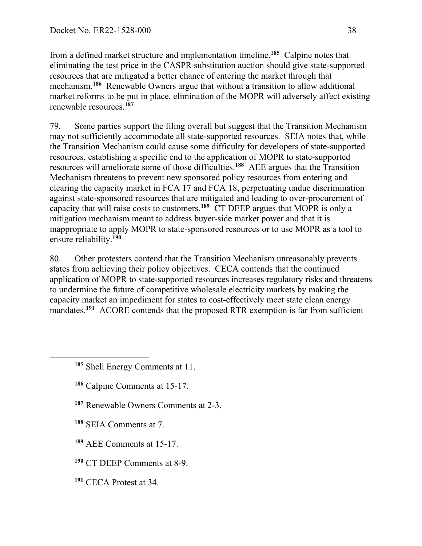from a defined market structure and implementation timeline.**<sup>185</sup>** Calpine notes that eliminating the test price in the CASPR substitution auction should give state-supported resources that are mitigated a better chance of entering the market through that mechanism.**<sup>186</sup>** Renewable Owners argue that without a transition to allow additional market reforms to be put in place, elimination of the MOPR will adversely affect existing renewable resources. **187**

79. Some parties support the filing overall but suggest that the Transition Mechanism may not sufficiently accommodate all state-supported resources. SEIA notes that, while the Transition Mechanism could cause some difficulty for developers of state-supported resources, establishing a specific end to the application of MOPR to state-supported resources will ameliorate some of those difficulties. **<sup>188</sup>** AEE argues that the Transition Mechanism threatens to prevent new sponsored policy resources from entering and clearing the capacity market in FCA 17 and FCA 18, perpetuating undue discrimination against state-sponsored resources that are mitigated and leading to over-procurement of capacity that will raise costs to customers.**<sup>189</sup>** CT DEEP argues that MOPR is only a mitigation mechanism meant to address buyer-side market power and that it is inappropriate to apply MOPR to state-sponsored resources or to use MOPR as a tool to ensure reliability.**<sup>190</sup>**

80. Other protesters contend that the Transition Mechanism unreasonably prevents states from achieving their policy objectives. CECA contends that the continued application of MOPR to state-supported resources increases regulatory risks and threatens to undermine the future of competitive wholesale electricity markets by making the capacity market an impediment for states to cost-effectively meet state clean energy mandates.<sup>191</sup> ACORE contends that the proposed RTR exemption is far from sufficient

- **<sup>186</sup>** Calpine Comments at 15-17.
- **<sup>187</sup>** Renewable Owners Comments at 2-3.
- **<sup>188</sup>** SEIA Comments at 7.

 $\overline{a}$ 

- **<sup>189</sup>** AEE Comments at 15-17.
- **<sup>190</sup>** CT DEEP Comments at 8-9.
- **<sup>191</sup>** CECA Protest at 34.

**<sup>185</sup>** Shell Energy Comments at 11.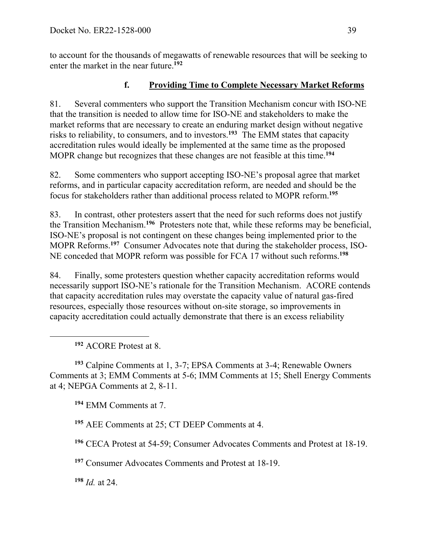to account for the thousands of megawatts of renewable resources that will be seeking to enter the market in the near future.**<sup>192</sup>**

# **f. Providing Time to Complete Necessary Market Reforms**

81. Several commenters who support the Transition Mechanism concur with ISO-NE that the transition is needed to allow time for ISO-NE and stakeholders to make the market reforms that are necessary to create an enduring market design without negative risks to reliability, to consumers, and to investors.**<sup>193</sup>** The EMM states that capacity accreditation rules would ideally be implemented at the same time as the proposed MOPR change but recognizes that these changes are not feasible at this time. **194**

82. Some commenters who support accepting ISO-NE's proposal agree that market reforms, and in particular capacity accreditation reform, are needed and should be the focus for stakeholders rather than additional process related to MOPR reform. **<sup>195</sup>**

83. In contrast, other protesters assert that the need for such reforms does not justify the Transition Mechanism. **<sup>196</sup>** Protesters note that, while these reforms may be beneficial, ISO-NE's proposal is not contingent on these changes being implemented prior to the MOPR Reforms.**<sup>197</sup>** Consumer Advocates note that during the stakeholder process, ISO-NE conceded that MOPR reform was possible for FCA 17 without such reforms.**<sup>198</sup>**

84. Finally, some protesters question whether capacity accreditation reforms would necessarily support ISO-NE's rationale for the Transition Mechanism. ACORE contends that capacity accreditation rules may overstate the capacity value of natural gas-fired resources, especially those resources without on-site storage, so improvements in capacity accreditation could actually demonstrate that there is an excess reliability

**<sup>192</sup>** ACORE Protest at 8.

 $\overline{a}$ 

**<sup>193</sup>** Calpine Comments at 1, 3-7; EPSA Comments at 3-4; Renewable Owners Comments at 3; EMM Comments at 5-6; IMM Comments at 15; Shell Energy Comments at 4; NEPGA Comments at 2, 8-11.

**<sup>194</sup>** EMM Comments at 7.

**<sup>195</sup>** AEE Comments at 25; CT DEEP Comments at 4.

**<sup>196</sup>** CECA Protest at 54-59; Consumer Advocates Comments and Protest at 18-19.

**<sup>197</sup>** Consumer Advocates Comments and Protest at 18-19.

**<sup>198</sup>** *Id.* at 24.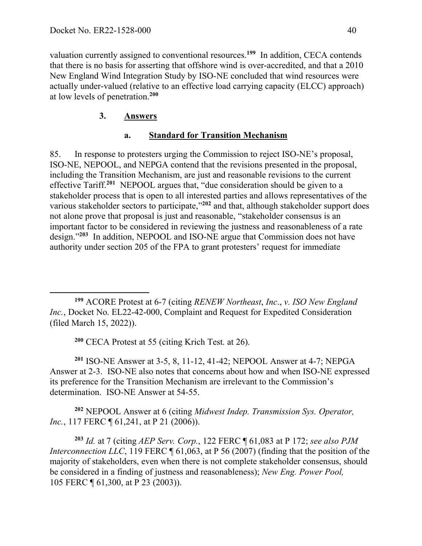valuation currently assigned to conventional resources.**<sup>199</sup>** In addition, CECA contends that there is no basis for asserting that offshore wind is over-accredited, and that a 2010 New England Wind Integration Study by ISO-NE concluded that wind resources were actually under-valued (relative to an effective load carrying capacity (ELCC) approach) at low levels of penetration.**<sup>200</sup>**

# **3. Answers**

# **a. Standard for Transition Mechanism**

85. In response to protesters urging the Commission to reject ISO-NE's proposal, ISO-NE, NEPOOL, and NEPGA contend that the revisions presented in the proposal, including the Transition Mechanism, are just and reasonable revisions to the current effective Tariff.**<sup>201</sup>** NEPOOL argues that, "due consideration should be given to a stakeholder process that is open to all interested parties and allows representatives of the various stakeholder sectors to participate,"**<sup>202</sup>** and that, although stakeholder support does not alone prove that proposal is just and reasonable, "stakeholder consensus is an important factor to be considered in reviewing the justness and reasonableness of a rate design."**<sup>203</sup>** In addition, NEPOOL and ISO-NE argue that Commission does not have authority under section 205 of the FPA to grant protesters' request for immediate

**<sup>200</sup>** CECA Protest at 55 (citing Krich Test. at 26).

**<sup>201</sup>** ISO-NE Answer at 3-5, 8, 11-12, 41-42; NEPOOL Answer at 4-7; NEPGA Answer at 2-3. ISO-NE also notes that concerns about how and when ISO-NE expressed its preference for the Transition Mechanism are irrelevant to the Commission's determination. ISO-NE Answer at 54-55.

**<sup>202</sup>** NEPOOL Answer at 6 (citing *Midwest Indep. Transmission Sys. Operator, Inc.*, 117 FERC **[61,241, at P 21 (2006)**.

**<sup>203</sup>** *Id.* at 7 (citing *AEP Serv. Corp.*, 122 FERC ¶ 61,083 at P 172; *see also PJM Interconnection LLC*, 119 FERC  $\P$  61,063, at P 56 (2007) (finding that the position of the majority of stakeholders, even when there is not complete stakeholder consensus, should be considered in a finding of justness and reasonableness); *New Eng. Power Pool,*  105 FERC ¶ 61,300, at P 23 (2003)).

 $\overline{a}$ **<sup>199</sup>** ACORE Protest at 6-7 (citing *RENEW Northeast*, *Inc*., *v. ISO New England Inc.*, Docket No. EL22-42-000, Complaint and Request for Expedited Consideration (filed March 15, 2022)).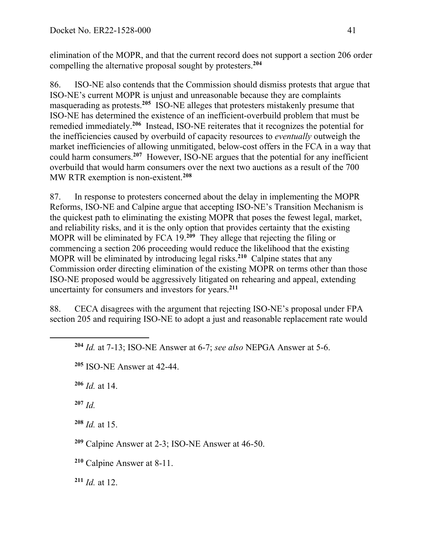elimination of the MOPR, and that the current record does not support a section 206 order compelling the alternative proposal sought by protesters.**<sup>204</sup>**

86. ISO-NE also contends that the Commission should dismiss protests that argue that ISO-NE's current MOPR is unjust and unreasonable because they are complaints masquerading as protests. **<sup>205</sup>** ISO-NE alleges that protesters mistakenly presume that ISO-NE has determined the existence of an inefficient-overbuild problem that must be remedied immediately.**<sup>206</sup>** Instead, ISO-NE reiterates that it recognizes the potential for the inefficiencies caused by overbuild of capacity resources to *eventually* outweigh the market inefficiencies of allowing unmitigated, below-cost offers in the FCA in a way that could harm consumers.**<sup>207</sup>** However, ISO-NE argues that the potential for any inefficient overbuild that would harm consumers over the next two auctions as a result of the 700 MW RTR exemption is non-existent. **208**

87. In response to protesters concerned about the delay in implementing the MOPR Reforms, ISO-NE and Calpine argue that accepting ISO-NE's Transition Mechanism is the quickest path to eliminating the existing MOPR that poses the fewest legal, market, and reliability risks, and it is the only option that provides certainty that the existing MOPR will be eliminated by FCA 19.**<sup>209</sup>** They allege that rejecting the filing or commencing a section 206 proceeding would reduce the likelihood that the existing MOPR will be eliminated by introducing legal risks.**<sup>210</sup>** Calpine states that any Commission order directing elimination of the existing MOPR on terms other than those ISO-NE proposed would be aggressively litigated on rehearing and appeal, extending uncertainty for consumers and investors for years.**<sup>211</sup>**

88. CECA disagrees with the argument that rejecting ISO-NE's proposal under FPA section 205 and requiring ISO-NE to adopt a just and reasonable replacement rate would

**<sup>206</sup>** *Id.* at 14.

**<sup>207</sup>** *Id.*

 $\overline{a}$ 

**<sup>208</sup>** *Id.* at 15.

**<sup>209</sup>** Calpine Answer at 2-3; ISO-NE Answer at 46-50.

**<sup>210</sup>** Calpine Answer at 8-11.

**<sup>211</sup>** *Id.* at 12.

**<sup>204</sup>** *Id.* at 7-13; ISO-NE Answer at 6-7; *see also* NEPGA Answer at 5-6.

**<sup>205</sup>** ISO-NE Answer at 42-44.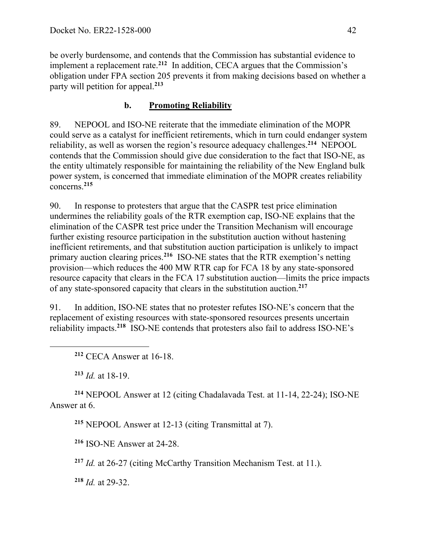be overly burdensome, and contends that the Commission has substantial evidence to implement a replacement rate.**<sup>212</sup>** In addition, CECA argues that the Commission's obligation under FPA section 205 prevents it from making decisions based on whether a party will petition for appeal.**<sup>213</sup>**

# **b. Promoting Reliability**

89. NEPOOL and ISO-NE reiterate that the immediate elimination of the MOPR could serve as a catalyst for inefficient retirements, which in turn could endanger system reliability, as well as worsen the region's resource adequacy challenges. **<sup>214</sup>** NEPOOL contends that the Commission should give due consideration to the fact that ISO-NE, as the entity ultimately responsible for maintaining the reliability of the New England bulk power system, is concerned that immediate elimination of the MOPR creates reliability concerns.**<sup>215</sup>**

90. In response to protesters that argue that the CASPR test price elimination undermines the reliability goals of the RTR exemption cap, ISO-NE explains that the elimination of the CASPR test price under the Transition Mechanism will encourage further existing resource participation in the substitution auction without hastening inefficient retirements, and that substitution auction participation is unlikely to impact primary auction clearing prices. **<sup>216</sup>** ISO-NE states that the RTR exemption's netting provision—which reduces the 400 MW RTR cap for FCA 18 by any state-sponsored resource capacity that clears in the FCA 17 substitution auction—limits the price impacts of any state-sponsored capacity that clears in the substitution auction.**<sup>217</sup>**

91. In addition, ISO-NE states that no protester refutes ISO-NE's concern that the replacement of existing resources with state-sponsored resources presents uncertain reliability impacts. **<sup>218</sup>** ISO-NE contends that protesters also fail to address ISO-NE's

**<sup>212</sup>** CECA Answer at 16-18.

**<sup>213</sup>** *Id.* at 18-19.

 $\overline{a}$ 

**<sup>214</sup>** NEPOOL Answer at 12 (citing Chadalavada Test. at 11-14, 22-24); ISO-NE Answer at 6.

**<sup>215</sup>** NEPOOL Answer at 12-13 (citing Transmittal at 7).

**<sup>216</sup>** ISO-NE Answer at 24-28.

**<sup>217</sup>** *Id.* at 26-27 (citing McCarthy Transition Mechanism Test. at 11.).

**<sup>218</sup>** *Id.* at 29-32.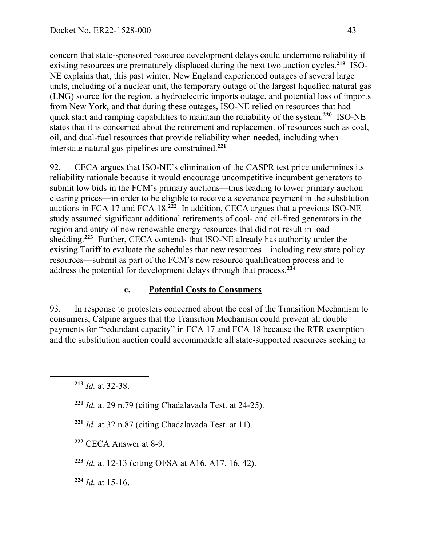concern that state-sponsored resource development delays could undermine reliability if existing resources are prematurely displaced during the next two auction cycles. **219** ISO-NE explains that, this past winter, New England experienced outages of several large units, including of a nuclear unit, the temporary outage of the largest liquefied natural gas (LNG) source for the region, a hydroelectric imports outage, and potential loss of imports from New York, and that during these outages, ISO-NE relied on resources that had quick start and ramping capabilities to maintain the reliability of the system.**<sup>220</sup>** ISO-NE states that it is concerned about the retirement and replacement of resources such as coal, oil, and dual-fuel resources that provide reliability when needed, including when interstate natural gas pipelines are constrained.**<sup>221</sup>**

92. CECA argues that ISO-NE's elimination of the CASPR test price undermines its reliability rationale because it would encourage uncompetitive incumbent generators to submit low bids in the FCM's primary auctions—thus leading to lower primary auction clearing prices—in order to be eligible to receive a severance payment in the substitution auctions in FCA 17 and FCA 18. **<sup>222</sup>** In addition, CECA argues that a previous ISO-NE study assumed significant additional retirements of coal- and oil-fired generators in the region and entry of new renewable energy resources that did not result in load shedding. **<sup>223</sup>** Further, CECA contends that ISO-NE already has authority under the existing Tariff to evaluate the schedules that new resources—including new state policy resources—submit as part of the FCM's new resource qualification process and to address the potential for development delays through that process. **224**

# **c. Potential Costs to Consumers**

93. In response to protesters concerned about the cost of the Transition Mechanism to consumers, Calpine argues that the Transition Mechanism could prevent all double payments for "redundant capacity" in FCA 17 and FCA 18 because the RTR exemption and the substitution auction could accommodate all state-supported resources seeking to

 $\overline{a}$ 

- **<sup>222</sup>** CECA Answer at 8-9.
- **<sup>223</sup>** *Id.* at 12-13 (citing OFSA at A16, A17, 16, 42).
- **<sup>224</sup>** *Id.* at 15-16.

**<sup>219</sup>** *Id.* at 32-38.

**<sup>220</sup>** *Id.* at 29 n.79 (citing Chadalavada Test. at 24-25).

**<sup>221</sup>** *Id.* at 32 n.87 (citing Chadalavada Test. at 11).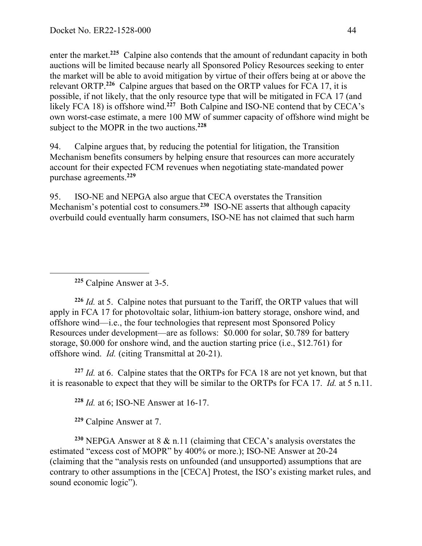enter the market.<sup>225</sup> Calpine also contends that the amount of redundant capacity in both auctions will be limited because nearly all Sponsored Policy Resources seeking to enter the market will be able to avoid mitigation by virtue of their offers being at or above the relevant ORTP.**<sup>226</sup>** Calpine argues that based on the ORTP values for FCA 17, it is possible, if not likely, that the only resource type that will be mitigated in FCA 17 (and likely FCA 18) is offshore wind.<sup>227</sup> Both Calpine and ISO-NE contend that by CECA's own worst-case estimate, a mere 100 MW of summer capacity of offshore wind might be subject to the MOPR in the two auctions. **<sup>228</sup>**

94. Calpine argues that, by reducing the potential for litigation, the Transition Mechanism benefits consumers by helping ensure that resources can more accurately account for their expected FCM revenues when negotiating state-mandated power purchase agreements. **229**

95. ISO-NE and NEPGA also argue that CECA overstates the Transition Mechanism's potential cost to consumers.**<sup>230</sup>** ISO-NE asserts that although capacity overbuild could eventually harm consumers, ISO-NE has not claimed that such harm

**<sup>225</sup>** Calpine Answer at 3-5.

 $\overline{a}$ 

**<sup>226</sup>** *Id.* at 5. Calpine notes that pursuant to the Tariff, the ORTP values that will apply in FCA 17 for photovoltaic solar, lithium-ion battery storage, onshore wind, and offshore wind—i.e., the four technologies that represent most Sponsored Policy Resources under development—are as follows: \$0.000 for solar, \$0.789 for battery storage, \$0.000 for onshore wind, and the auction starting price (i.e., \$12.761) for offshore wind. *Id.* (citing Transmittal at 20-21).

**<sup>227</sup>** *Id.* at 6. Calpine states that the ORTPs for FCA 18 are not yet known, but that it is reasonable to expect that they will be similar to the ORTPs for FCA 17. *Id.* at 5 n.11.

**<sup>228</sup>** *Id.* at 6; ISO-NE Answer at 16-17.

**<sup>229</sup>** Calpine Answer at 7.

**<sup>230</sup>** NEPGA Answer at 8 & n.11 (claiming that CECA's analysis overstates the estimated "excess cost of MOPR" by 400% or more.); ISO-NE Answer at 20-24 (claiming that the "analysis rests on unfounded (and unsupported) assumptions that are contrary to other assumptions in the [CECA] Protest, the ISO's existing market rules, and sound economic logic").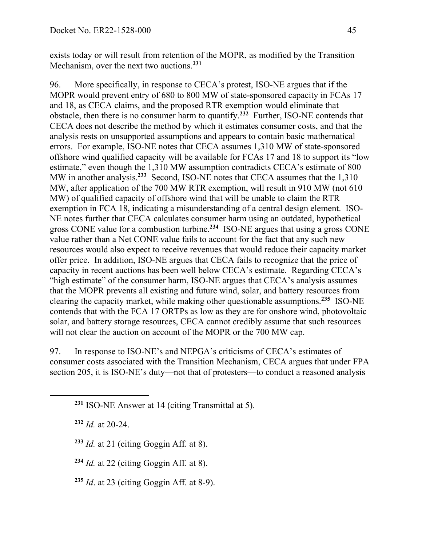exists today or will result from retention of the MOPR, as modified by the Transition Mechanism, over the next two auctions.**<sup>231</sup>**

96. More specifically, in response to CECA's protest, ISO-NE argues that if the MOPR would prevent entry of 680 to 800 MW of state-sponsored capacity in FCAs 17 and 18, as CECA claims, and the proposed RTR exemption would eliminate that obstacle, then there is no consumer harm to quantify.**<sup>232</sup>** Further, ISO-NE contends that CECA does not describe the method by which it estimates consumer costs, and that the analysis rests on unsupported assumptions and appears to contain basic mathematical errors. For example, ISO-NE notes that CECA assumes 1,310 MW of state-sponsored offshore wind qualified capacity will be available for FCAs 17 and 18 to support its "low estimate," even though the 1,310 MW assumption contradicts CECA's estimate of 800 MW in another analysis.<sup>233</sup> Second, ISO-NE notes that CECA assumes that the 1,310 MW, after application of the 700 MW RTR exemption, will result in 910 MW (not 610 MW) of qualified capacity of offshore wind that will be unable to claim the RTR exemption in FCA 18, indicating a misunderstanding of a central design element. ISO-NE notes further that CECA calculates consumer harm using an outdated, hypothetical gross CONE value for a combustion turbine.**<sup>234</sup>** ISO-NE argues that using a gross CONE value rather than a Net CONE value fails to account for the fact that any such new resources would also expect to receive revenues that would reduce their capacity market offer price. In addition, ISO-NE argues that CECA fails to recognize that the price of capacity in recent auctions has been well below CECA's estimate. Regarding CECA's "high estimate" of the consumer harm, ISO-NE argues that CECA's analysis assumes that the MOPR prevents all existing and future wind, solar, and battery resources from clearing the capacity market, while making other questionable assumptions.**<sup>235</sup>** ISO-NE contends that with the FCA 17 ORTPs as low as they are for onshore wind, photovoltaic solar, and battery storage resources, CECA cannot credibly assume that such resources will not clear the auction on account of the MOPR or the 700 MW cap.

97. In response to ISO-NE's and NEPGA's criticisms of CECA's estimates of consumer costs associated with the Transition Mechanism, CECA argues that under FPA section 205, it is ISO-NE's duty—not that of protesters—to conduct a reasoned analysis

**<sup>232</sup>** *Id.* at 20-24.

 $\overline{a}$ 

**<sup>233</sup>** *Id.* at 21 (citing Goggin Aff. at 8).

**<sup>234</sup>** *Id.* at 22 (citing Goggin Aff. at 8).

**<sup>235</sup>** *Id*. at 23 (citing Goggin Aff. at 8-9).

**<sup>231</sup>** ISO-NE Answer at 14 (citing Transmittal at 5).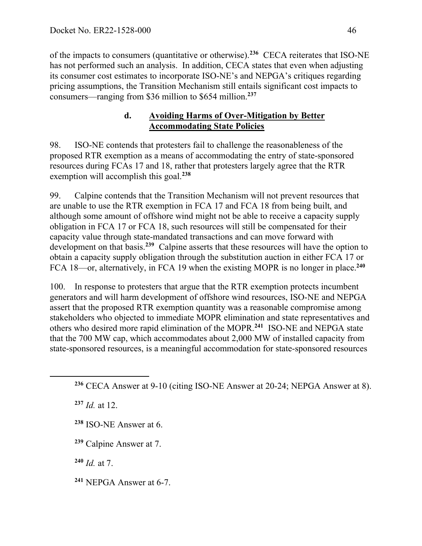of the impacts to consumers (quantitative or otherwise).**<sup>236</sup>** CECA reiterates that ISO-NE has not performed such an analysis. In addition, CECA states that even when adjusting its consumer cost estimates to incorporate ISO-NE's and NEPGA's critiques regarding pricing assumptions, the Transition Mechanism still entails significant cost impacts to consumers—ranging from \$36 million to \$654 million.**<sup>237</sup>**

# **d. Avoiding Harms of Over-Mitigation by Better Accommodating State Policies**

98. ISO-NE contends that protesters fail to challenge the reasonableness of the proposed RTR exemption as a means of accommodating the entry of state-sponsored resources during FCAs 17 and 18, rather that protesters largely agree that the RTR exemption will accomplish this goal. **<sup>238</sup>**

99. Calpine contends that the Transition Mechanism will not prevent resources that are unable to use the RTR exemption in FCA 17 and FCA 18 from being built, and although some amount of offshore wind might not be able to receive a capacity supply obligation in FCA 17 or FCA 18, such resources will still be compensated for their capacity value through state-mandated transactions and can move forward with development on that basis.**<sup>239</sup>** Calpine asserts that these resources will have the option to obtain a capacity supply obligation through the substitution auction in either FCA 17 or FCA 18—or, alternatively, in FCA 19 when the existing MOPR is no longer in place.**<sup>240</sup>**

100. In response to protesters that argue that the RTR exemption protects incumbent generators and will harm development of offshore wind resources, ISO-NE and NEPGA assert that the proposed RTR exemption quantity was a reasonable compromise among stakeholders who objected to immediate MOPR elimination and state representatives and others who desired more rapid elimination of the MOPR.**<sup>241</sup>** ISO-NE and NEPGA state that the 700 MW cap, which accommodates about 2,000 MW of installed capacity from state-sponsored resources, is a meaningful accommodation for state-sponsored resources

**<sup>237</sup>** *Id.* at 12.

 $\overline{a}$ 

**<sup>239</sup>** Calpine Answer at 7.

**<sup>240</sup>** *Id.* at 7.

**<sup>241</sup>** NEPGA Answer at 6-7.

**<sup>236</sup>** CECA Answer at 9-10 (citing ISO-NE Answer at 20-24; NEPGA Answer at 8).

**<sup>238</sup>** ISO-NE Answer at 6.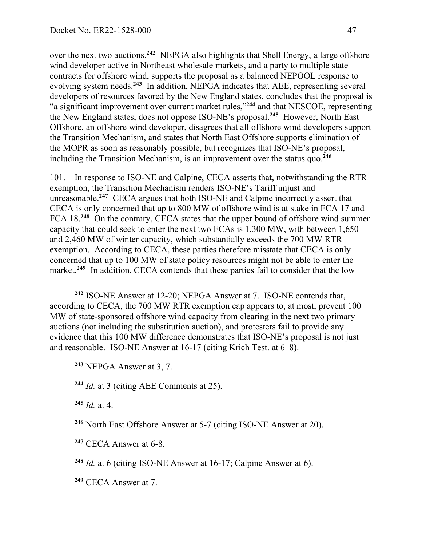over the next two auctions.**<sup>242</sup>** NEPGA also highlights that Shell Energy, a large offshore wind developer active in Northeast wholesale markets, and a party to multiple state contracts for offshore wind, supports the proposal as a balanced NEPOOL response to evolving system needs. **<sup>243</sup>** In addition, NEPGA indicates that AEE, representing several developers of resources favored by the New England states, concludes that the proposal is "a significant improvement over current market rules,"**<sup>244</sup>** and that NESCOE, representing the New England states, does not oppose ISO-NE's proposal.**<sup>245</sup>** However, North East Offshore, an offshore wind developer, disagrees that all offshore wind developers support the Transition Mechanism, and states that North East Offshore supports elimination of the MOPR as soon as reasonably possible, but recognizes that ISO-NE's proposal, including the Transition Mechanism, is an improvement over the status quo.**<sup>246</sup>**

101. In response to ISO-NE and Calpine, CECA asserts that, notwithstanding the RTR exemption, the Transition Mechanism renders ISO-NE's Tariff unjust and unreasonable.**<sup>247</sup>** CECA argues that both ISO-NE and Calpine incorrectly assert that CECA is only concerned that up to 800 MW of offshore wind is at stake in FCA 17 and FCA 18.**<sup>248</sup>** On the contrary, CECA states that the upper bound of offshore wind summer capacity that could seek to enter the next two FCAs is 1,300 MW, with between 1,650 and 2,460 MW of winter capacity, which substantially exceeds the 700 MW RTR exemption. According to CECA, these parties therefore misstate that CECA is only concerned that up to 100 MW of state policy resources might not be able to enter the market.<sup>249</sup> In addition, CECA contends that these parties fail to consider that the low

**<sup>243</sup>** NEPGA Answer at 3, 7.

**<sup>244</sup>** *Id.* at 3 (citing AEE Comments at 25).

 $245$  *Id.* at 4.

 $\overline{a}$ 

**<sup>247</sup>** CECA Answer at 6-8.

**<sup>248</sup>** *Id.* at 6 (citing ISO-NE Answer at 16-17; Calpine Answer at 6).

**<sup>249</sup>** CECA Answer at 7.

**<sup>242</sup>** ISO-NE Answer at 12-20; NEPGA Answer at 7. ISO-NE contends that, according to CECA, the 700 MW RTR exemption cap appears to, at most, prevent 100 MW of state-sponsored offshore wind capacity from clearing in the next two primary auctions (not including the substitution auction), and protesters fail to provide any evidence that this 100 MW difference demonstrates that ISO-NE's proposal is not just and reasonable. ISO-NE Answer at 16-17 (citing Krich Test. at 6–8).

**<sup>246</sup>** North East Offshore Answer at 5-7 (citing ISO-NE Answer at 20).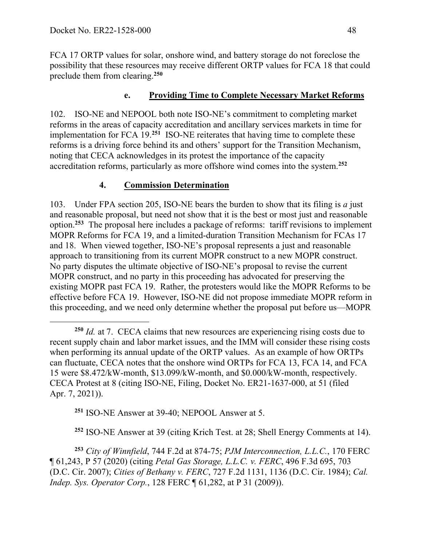FCA 17 ORTP values for solar, onshore wind, and battery storage do not foreclose the possibility that these resources may receive different ORTP values for FCA 18 that could preclude them from clearing. **250**

### **e. Providing Time to Complete Necessary Market Reforms**

102. ISO-NE and NEPOOL both note ISO-NE's commitment to completing market reforms in the areas of capacity accreditation and ancillary services markets in time for implementation for FCA 19.**<sup>251</sup>** ISO-NE reiterates that having time to complete these reforms is a driving force behind its and others' support for the Transition Mechanism, noting that CECA acknowledges in its protest the importance of the capacity accreditation reforms, particularly as more offshore wind comes into the system. **252**

### **4. Commission Determination**

103. Under FPA section 205, ISO-NE bears the burden to show that its filing is *a* just and reasonable proposal, but need not show that it is the best or most just and reasonable option.**<sup>253</sup>** The proposal here includes a package of reforms: tariff revisions to implement MOPR Reforms for FCA 19, and a limited-duration Transition Mechanism for FCAs 17 and 18. When viewed together, ISO-NE's proposal represents a just and reasonable approach to transitioning from its current MOPR construct to a new MOPR construct. No party disputes the ultimate objective of ISO-NE's proposal to revise the current MOPR construct, and no party in this proceeding has advocated for preserving the existing MOPR past FCA 19. Rather, the protesters would like the MOPR Reforms to be effective before FCA 19. However, ISO-NE did not propose immediate MOPR reform in this proceeding, and we need only determine whether the proposal put before us—MOPR

**<sup>251</sup>** ISO-NE Answer at 39-40; NEPOOL Answer at 5.

**<sup>252</sup>** ISO-NE Answer at 39 (citing Krich Test. at 28; Shell Energy Comments at 14).

**<sup>253</sup>** *City of Winnfield*, 744 F.2d at 874-75; *PJM Interconnection, L.L.C.*, 170 FERC ¶ 61,243, P 57 (2020) (citing *Petal Gas Storage, L.L.C. v. FERC*, 496 F.3d 695, 703 (D.C. Cir. 2007); *Cities of Bethany v. FERC*, 727 F.2d 1131, 1136 (D.C. Cir. 1984); *Cal. Indep. Sys. Operator Corp.*, 128 FERC ¶ 61,282, at P 31 (2009)).

**<sup>250</sup>** *Id.* at 7. CECA claims that new resources are experiencing rising costs due to recent supply chain and labor market issues, and the IMM will consider these rising costs when performing its annual update of the ORTP values. As an example of how ORTPs can fluctuate, CECA notes that the onshore wind ORTPs for FCA 13, FCA 14, and FCA 15 were \$8.472/kW-month, \$13.099/kW-month, and \$0.000/kW-month, respectively. CECA Protest at 8 (citing ISO-NE, Filing, Docket No. ER21-1637-000, at 51 (filed Apr. 7, 2021)).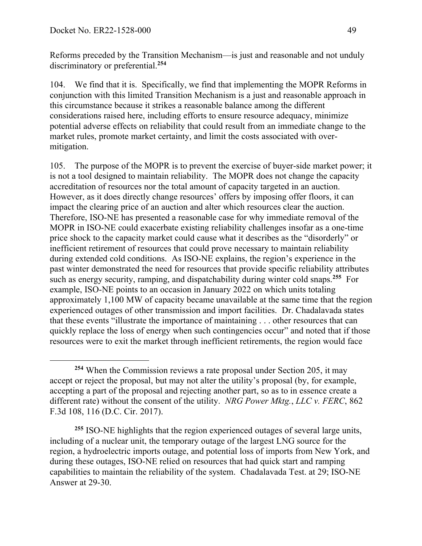Reforms preceded by the Transition Mechanism—is just and reasonable and not unduly discriminatory or preferential. **<sup>254</sup>**

104. We find that it is. Specifically, we find that implementing the MOPR Reforms in conjunction with this limited Transition Mechanism is a just and reasonable approach in this circumstance because it strikes a reasonable balance among the different considerations raised here, including efforts to ensure resource adequacy, minimize potential adverse effects on reliability that could result from an immediate change to the market rules, promote market certainty, and limit the costs associated with overmitigation.

105. The purpose of the MOPR is to prevent the exercise of buyer-side market power; it is not a tool designed to maintain reliability. The MOPR does not change the capacity accreditation of resources nor the total amount of capacity targeted in an auction. However, as it does directly change resources' offers by imposing offer floors, it can impact the clearing price of an auction and alter which resources clear the auction. Therefore, ISO-NE has presented a reasonable case for why immediate removal of the MOPR in ISO-NE could exacerbate existing reliability challenges insofar as a one-time price shock to the capacity market could cause what it describes as the "disorderly" or inefficient retirement of resources that could prove necessary to maintain reliability during extended cold conditions. As ISO-NE explains, the region's experience in the past winter demonstrated the need for resources that provide specific reliability attributes such as energy security, ramping, and dispatchability during winter cold snaps.**<sup>255</sup>** For example, ISO-NE points to an occasion in January 2022 on which units totaling approximately 1,100 MW of capacity became unavailable at the same time that the region experienced outages of other transmission and import facilities. Dr. Chadalavada states that these events "illustrate the importance of maintaining . . . other resources that can quickly replace the loss of energy when such contingencies occur" and noted that if those resources were to exit the market through inefficient retirements, the region would face

**<sup>254</sup>** When the Commission reviews a rate proposal under Section 205, it may accept or reject the proposal, but may not alter the utility's proposal (by, for example, accepting a part of the proposal and rejecting another part, so as to in essence create a different rate) without the consent of the utility. *NRG Power Mktg.*, *LLC v. FERC*, 862 F.3d 108, 116 (D.C. Cir. 2017).

**<sup>255</sup>** ISO-NE highlights that the region experienced outages of several large units, including of a nuclear unit, the temporary outage of the largest LNG source for the region, a hydroelectric imports outage, and potential loss of imports from New York, and during these outages, ISO-NE relied on resources that had quick start and ramping capabilities to maintain the reliability of the system. Chadalavada Test. at 29; ISO-NE Answer at 29-30.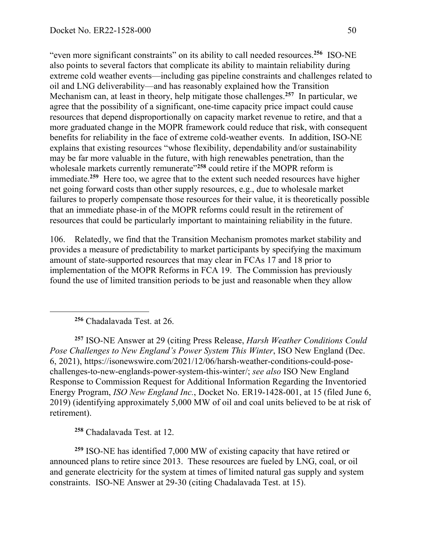"even more significant constraints" on its ability to call needed resources.**<sup>256</sup>** ISO-NE also points to several factors that complicate its ability to maintain reliability during extreme cold weather events—including gas pipeline constraints and challenges related to oil and LNG deliverability—and has reasonably explained how the Transition Mechanism can, at least in theory, help mitigate those challenges. **<sup>257</sup>** In particular, we agree that the possibility of a significant, one-time capacity price impact could cause resources that depend disproportionally on capacity market revenue to retire, and that a more graduated change in the MOPR framework could reduce that risk, with consequent benefits for reliability in the face of extreme cold-weather events. In addition, ISO-NE explains that existing resources "whose flexibility, dependability and/or sustainability may be far more valuable in the future, with high renewables penetration, than the wholesale markets currently remunerate<sup>"258</sup> could retire if the MOPR reform is immediate.<sup>259</sup> Here too, we agree that to the extent such needed resources have higher net going forward costs than other supply resources, e.g., due to wholesale market failures to properly compensate those resources for their value, it is theoretically possible that an immediate phase-in of the MOPR reforms could result in the retirement of resources that could be particularly important to maintaining reliability in the future.

106. Relatedly, we find that the Transition Mechanism promotes market stability and provides a measure of predictability to market participants by specifying the maximum amount of state-supported resources that may clear in FCAs 17 and 18 prior to implementation of the MOPR Reforms in FCA 19. The Commission has previously found the use of limited transition periods to be just and reasonable when they allow

**<sup>256</sup>** Chadalavada Test. at 26.

 $\overline{a}$ 

**<sup>257</sup>** ISO-NE Answer at 29 (citing Press Release, *Harsh Weather Conditions Could Pose Challenges to New England's Power System This Winter*, ISO New England (Dec. 6, 2021), https://isonewswire.com/2021/12/06/harsh-weather-conditions-could-posechallenges-to-new-englands-power-system-this-winter/; *see also* ISO New England Response to Commission Request for Additional Information Regarding the Inventoried Energy Program, *ISO New England Inc.*, Docket No. ER19-1428-001, at 15 (filed June 6, 2019) (identifying approximately 5,000 MW of oil and coal units believed to be at risk of retirement).

**<sup>258</sup>** Chadalavada Test. at 12.

**<sup>259</sup>** ISO-NE has identified 7,000 MW of existing capacity that have retired or announced plans to retire since 2013. These resources are fueled by LNG, coal, or oil and generate electricity for the system at times of limited natural gas supply and system constraints. ISO-NE Answer at 29-30 (citing Chadalavada Test. at 15).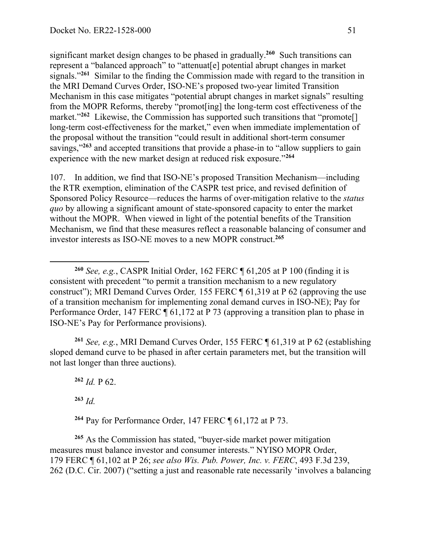significant market design changes to be phased in gradually.**<sup>260</sup>** Such transitions can represent a "balanced approach" to "attenuat[e] potential abrupt changes in market signals."**<sup>261</sup>** Similar to the finding the Commission made with regard to the transition in the MRI Demand Curves Order, ISO-NE's proposed two-year limited Transition Mechanism in this case mitigates "potential abrupt changes in market signals" resulting from the MOPR Reforms, thereby "promot[ing] the long-term cost effectiveness of the market."<sup>262</sup> Likewise, the Commission has supported such transitions that "promote<sup>[]</sup> long-term cost-effectiveness for the market," even when immediate implementation of the proposal without the transition "could result in additional short-term consumer savings,"<sup>263</sup> and accepted transitions that provide a phase-in to "allow suppliers to gain experience with the new market design at reduced risk exposure."**<sup>264</sup>**

107. In addition, we find that ISO-NE's proposed Transition Mechanism—including the RTR exemption, elimination of the CASPR test price, and revised definition of Sponsored Policy Resource—reduces the harms of over-mitigation relative to the *status quo* by allowing a significant amount of state-sponsored capacity to enter the market without the MOPR. When viewed in light of the potential benefits of the Transition Mechanism, we find that these measures reflect a reasonable balancing of consumer and investor interests as ISO-NE moves to a new MOPR construct.**<sup>265</sup>**

**<sup>261</sup>** *See, e.g.*, MRI Demand Curves Order, 155 FERC ¶ 61,319 at P 62 (establishing sloped demand curve to be phased in after certain parameters met, but the transition will not last longer than three auctions).

**<sup>262</sup>** *Id.* P 62.

**<sup>263</sup>** *Id.*

 $\overline{a}$ 

**<sup>264</sup>** Pay for Performance Order, 147 FERC ¶ 61,172 at P 73.

**<sup>265</sup>** As the Commission has stated, "buyer-side market power mitigation measures must balance investor and consumer interests." NYISO MOPR Order, 179 FERC ¶ 61,102 at P 26; *see also Wis. Pub. Power, Inc. v. FERC*, 493 F.3d 239, 262 (D.C. Cir. 2007) ("setting a just and reasonable rate necessarily 'involves a balancing

**<sup>260</sup>** *See, e.g.*, CASPR Initial Order, 162 FERC ¶ 61,205 at P 100 (finding it is consistent with precedent "to permit a transition mechanism to a new regulatory construct"); MRI Demand Curves Order*,* 155 FERC ¶ 61,319 at P 62 (approving the use of a transition mechanism for implementing zonal demand curves in ISO-NE); Pay for Performance Order, 147 FERC ¶ 61,172 at P 73 (approving a transition plan to phase in ISO-NE's Pay for Performance provisions).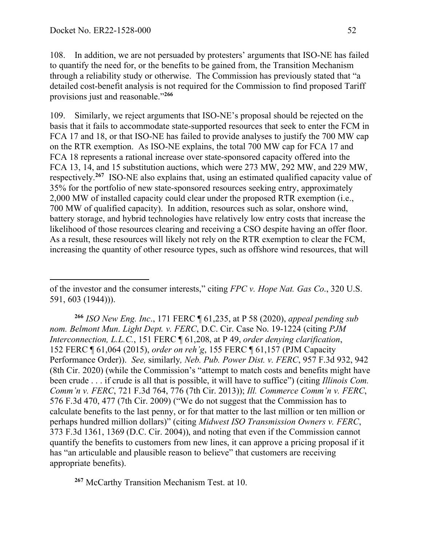108. In addition, we are not persuaded by protesters' arguments that ISO-NE has failed to quantify the need for, or the benefits to be gained from, the Transition Mechanism through a reliability study or otherwise. The Commission has previously stated that "a detailed cost-benefit analysis is not required for the Commission to find proposed Tariff provisions just and reasonable."**<sup>266</sup>**

109. Similarly, we reject arguments that ISO-NE's proposal should be rejected on the basis that it fails to accommodate state-supported resources that seek to enter the FCM in FCA 17 and 18, or that ISO-NE has failed to provide analyses to justify the 700 MW cap on the RTR exemption. As ISO-NE explains, the total 700 MW cap for FCA 17 and FCA 18 represents a rational increase over state-sponsored capacity offered into the FCA 13, 14, and 15 substitution auctions, which were 273 MW, 292 MW, and 229 MW, respectively.**<sup>267</sup>** ISO-NE also explains that, using an estimated qualified capacity value of 35% for the portfolio of new state-sponsored resources seeking entry, approximately 2,000 MW of installed capacity could clear under the proposed RTR exemption (i.e., 700 MW of qualified capacity). In addition, resources such as solar, onshore wind, battery storage, and hybrid technologies have relatively low entry costs that increase the likelihood of those resources clearing and receiving a CSO despite having an offer floor. As a result, these resources will likely not rely on the RTR exemption to clear the FCM, increasing the quantity of other resource types, such as offshore wind resources, that will

of the investor and the consumer interests," citing *FPC v. Hope Nat. Gas Co*., 320 U.S. 591, 603 (1944))).

**<sup>266</sup>** *ISO New Eng. Inc*., 171 FERC ¶ 61,235, at P 58 (2020), *appeal pending sub nom. Belmont Mun. Light Dept. v. FERC*, D.C. Cir. Case No. 19-1224 (citing *PJM Interconnection, L.L.C.*, 151 FERC ¶ 61,208, at P 49, *order denying clarification*, 152 FERC ¶ 61,064 (2015), *order on reh'g*, 155 FERC ¶ 61,157 (PJM Capacity Performance Order)). *See,* similarly*, Neb. Pub. Power Dist. v. FERC*, 957 F.3d 932, 942 (8th Cir. 2020) (while the Commission's "attempt to match costs and benefits might have been crude . . . if crude is all that is possible, it will have to suffice") (citing *Illinois Com. Comm'n v. FERC*, 721 F.3d 764, 776 (7th Cir. 2013)); *Ill. Commerce Comm'n v. FERC*, 576 F.3d 470, 477 (7th Cir. 2009) ("We do not suggest that the Commission has to calculate benefits to the last penny, or for that matter to the last million or ten million or perhaps hundred million dollars)" (citing *Midwest ISO Transmission Owners v. FERC*, 373 F.3d 1361, 1369 (D.C. Cir. 2004)), and noting that even if the Commission cannot quantify the benefits to customers from new lines, it can approve a pricing proposal if it has "an articulable and plausible reason to believe" that customers are receiving appropriate benefits).

**<sup>267</sup>** McCarthy Transition Mechanism Test. at 10.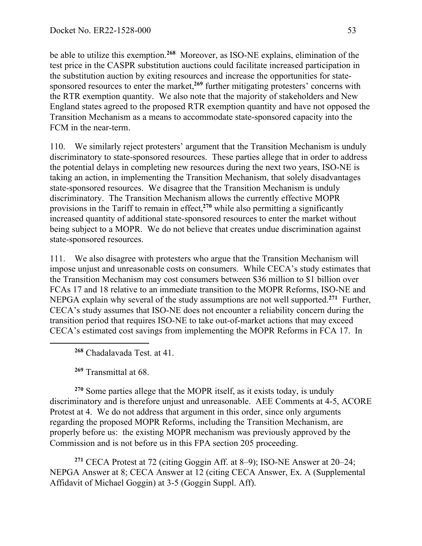be able to utilize this exemption.**<sup>268</sup>** Moreover, as ISO-NE explains, elimination of the test price in the CASPR substitution auctions could facilitate increased participation in the substitution auction by exiting resources and increase the opportunities for statesponsored resources to enter the market,<sup>269</sup> further mitigating protesters' concerns with the RTR exemption quantity. We also note that the majority of stakeholders and New England states agreed to the proposed RTR exemption quantity and have not opposed the Transition Mechanism as a means to accommodate state-sponsored capacity into the FCM in the near-term.

110. We similarly reject protesters' argument that the Transition Mechanism is unduly discriminatory to state-sponsored resources. These parties allege that in order to address the potential delays in completing new resources during the next two years, ISO-NE is taking an action, in implementing the Transition Mechanism, that solely disadvantages state-sponsored resources. We disagree that the Transition Mechanism is unduly discriminatory. The Transition Mechanism allows the currently effective MOPR provisions in the Tariff to remain in effect, **<sup>270</sup>** while also permitting a significantly increased quantity of additional state-sponsored resources to enter the market without being subject to a MOPR. We do not believe that creates undue discrimination against state-sponsored resources.

111. We also disagree with protesters who argue that the Transition Mechanism will impose unjust and unreasonable costs on consumers. While CECA's study estimates that the Transition Mechanism may cost consumers between \$36 million to \$1 billion over FCAs 17 and 18 relative to an immediate transition to the MOPR Reforms, ISO-NE and NEPGA explain why several of the study assumptions are not well supported. **<sup>271</sup>** Further, CECA's study assumes that ISO-NE does not encounter a reliability concern during the transition period that requires ISO-NE to take out-of-market actions that may exceed CECA's estimated cost savings from implementing the MOPR Reforms in FCA 17. In

**<sup>268</sup>** Chadalavada Test. at 41.

**<sup>269</sup>** Transmittal at 68.

 $\overline{a}$ 

**<sup>270</sup>** Some parties allege that the MOPR itself, as it exists today, is unduly discriminatory and is therefore unjust and unreasonable. AEE Comments at 4-5, ACORE Protest at 4. We do not address that argument in this order, since only arguments regarding the proposed MOPR Reforms, including the Transition Mechanism, are properly before us: the existing MOPR mechanism was previously approved by the Commission and is not before us in this FPA section 205 proceeding.

**<sup>271</sup>** CECA Protest at 72 (citing Goggin Aff. at 8–9); ISO-NE Answer at 20–24; NEPGA Answer at 8; CECA Answer at 12 (citing CECA Answer, Ex. A (Supplemental Affidavit of Michael Goggin) at 3-5 (Goggin Suppl. Aff).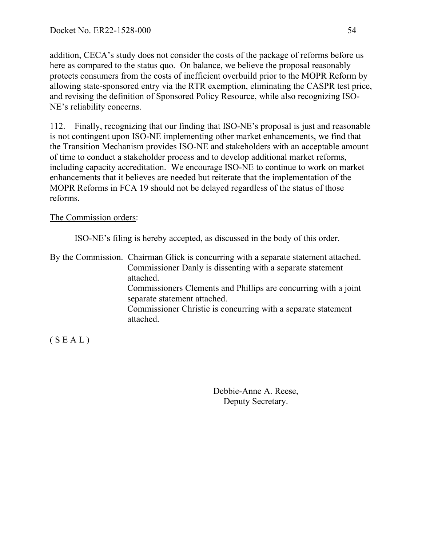addition, CECA's study does not consider the costs of the package of reforms before us here as compared to the status quo. On balance, we believe the proposal reasonably protects consumers from the costs of inefficient overbuild prior to the MOPR Reform by allowing state-sponsored entry via the RTR exemption, eliminating the CASPR test price, and revising the definition of Sponsored Policy Resource, while also recognizing ISO-NE's reliability concerns.

112. Finally, recognizing that our finding that ISO-NE's proposal is just and reasonable is not contingent upon ISO-NE implementing other market enhancements, we find that the Transition Mechanism provides ISO-NE and stakeholders with an acceptable amount of time to conduct a stakeholder process and to develop additional market reforms, including capacity accreditation. We encourage ISO-NE to continue to work on market enhancements that it believes are needed but reiterate that the implementation of the MOPR Reforms in FCA 19 should not be delayed regardless of the status of those reforms.

The Commission orders:

ISO-NE's filing is hereby accepted, as discussed in the body of this order.

By the Commission. Chairman Glick is concurring with a separate statement attached. Commissioner Danly is dissenting with a separate statement attached. Commissioners Clements and Phillips are concurring with a joint separate statement attached. Commissioner Christie is concurring with a separate statement attached.

 $(S E A L)$ 

Debbie-Anne A. Reese, Deputy Secretary.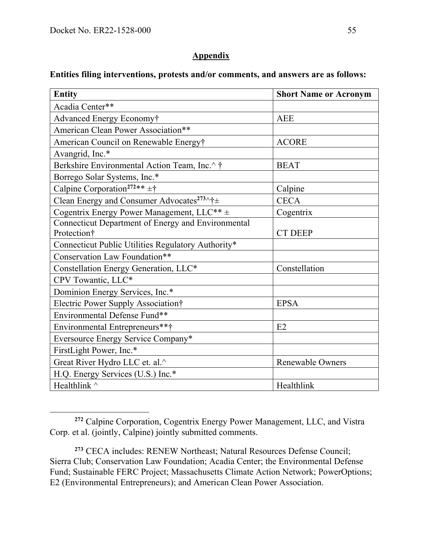#### **Appendix**

### **Entities filing interventions, protests and/or comments, and answers are as follows:**

| <b>Entity</b>                                               | <b>Short Name or Acronym</b> |
|-------------------------------------------------------------|------------------------------|
| Acadia Center**                                             |                              |
| Advanced Energy Economy†                                    | <b>AEE</b>                   |
| American Clean Power Association**                          |                              |
| American Council on Renewable Energy†                       | <b>ACORE</b>                 |
| Avangrid, Inc.*                                             |                              |
| Berkshire Environmental Action Team, Inc.^ †                | <b>BEAT</b>                  |
| Borrego Solar Systems, Inc.*                                |                              |
| Calpine Corporation <sup>272**</sup> $\pm \dagger$          | Calpine                      |
| Clean Energy and Consumer Advocates <sup>273</sup> ^† $\pm$ | <b>CECA</b>                  |
| Cogentrix Energy Power Management, LLC <sup>**</sup> ±      | Cogentrix                    |
| Connecticut Department of Energy and Environmental          |                              |
| Protection†                                                 | <b>CT DEEP</b>               |
| Connecticut Public Utilities Regulatory Authority*          |                              |
| Conservation Law Foundation**                               |                              |
| Constellation Energy Generation, LLC*                       | Constellation                |
| CPV Towantic, LLC*                                          |                              |
| Dominion Energy Services, Inc.*                             |                              |
| Electric Power Supply Association†                          | <b>EPSA</b>                  |
| Environmental Defense Fund**                                |                              |
| Environmental Entrepreneurs***                              | E2                           |
| Eversource Energy Service Company*                          |                              |
| FirstLight Power, Inc.*                                     |                              |
| Great River Hydro LLC et. al.^                              | <b>Renewable Owners</b>      |
| H.Q. Energy Services (U.S.) Inc.*                           |                              |
| Healthlink ^                                                | Healthlink                   |

**<sup>272</sup>** Calpine Corporation, Cogentrix Energy Power Management, LLC, and Vistra Corp. et al. (jointly, Calpine) jointly submitted comments.

**<sup>273</sup>** CECA includes: RENEW Northeast; Natural Resources Defense Council; Sierra Club; Conservation Law Foundation; Acadia Center; the Environmental Defense Fund; Sustainable FERC Project; Massachusetts Climate Action Network; PowerOptions; E2 (Environmental Entrepreneurs); and American Clean Power Association.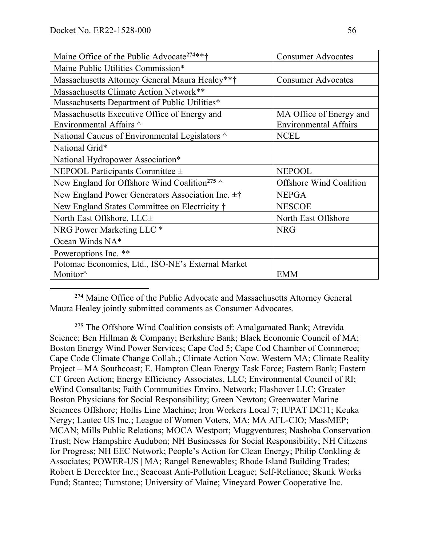| Maine Office of the Public Advocate <sup>274**†</sup>        | <b>Consumer Advocates</b>      |
|--------------------------------------------------------------|--------------------------------|
| Maine Public Utilities Commission*                           |                                |
| Massachusetts Attorney General Maura Healey**†               | <b>Consumer Advocates</b>      |
| Massachusetts Climate Action Network**                       |                                |
| Massachusetts Department of Public Utilities*                |                                |
| Massachusetts Executive Office of Energy and                 | MA Office of Energy and        |
| Environmental Affairs ^                                      | <b>Environmental Affairs</b>   |
| National Caucus of Environmental Legislators ^               | <b>NCEL</b>                    |
| National Grid*                                               |                                |
| National Hydropower Association*                             |                                |
| NEPOOL Participants Committee $\pm$                          | <b>NEPOOL</b>                  |
| New England for Offshore Wind Coalition <sup>275</sup> ^     | <b>Offshore Wind Coalition</b> |
| New England Power Generators Association Inc. $\pm \uparrow$ | <b>NEPGA</b>                   |
| New England States Committee on Electricity †                | <b>NESCOE</b>                  |
| North East Offshore, LLC±                                    | North East Offshore            |
| NRG Power Marketing LLC <sup>*</sup>                         | <b>NRG</b>                     |
| Ocean Winds NA*                                              |                                |
| Poweroptions Inc. **                                         |                                |
| Potomac Economics, Ltd., ISO-NE's External Market            |                                |
| Monitor <sup>^</sup>                                         | <b>EMM</b>                     |

**<sup>274</sup>** Maine Office of the Public Advocate and Massachusetts Attorney General Maura Healey jointly submitted comments as Consumer Advocates.

**<sup>275</sup>** The Offshore Wind Coalition consists of: Amalgamated Bank; Atrevida Science; Ben Hillman & Company; Berkshire Bank; Black Economic Council of MA; Boston Energy Wind Power Services; Cape Cod 5; Cape Cod Chamber of Commerce; Cape Code Climate Change Collab.; Climate Action Now. Western MA; Climate Reality Project – MA Southcoast; E. Hampton Clean Energy Task Force; Eastern Bank; Eastern CT Green Action; Energy Efficiency Associates, LLC; Environmental Council of RI; eWind Consultants; Faith Communities Enviro. Network; Flashover LLC; Greater Boston Physicians for Social Responsibility; Green Newton; Greenwater Marine Sciences Offshore; Hollis Line Machine; Iron Workers Local 7; IUPAT DC11; Keuka Nergy; Lautec US Inc.; League of Women Voters, MA; MA AFL-CIO; MassMEP; MCAN; Mills Public Relations; MOCA Westport; Muggventures; Nashoba Conservation Trust; New Hampshire Audubon; NH Businesses for Social Responsibility; NH Citizens for Progress; NH EEC Network; People's Action for Clean Energy; Philip Conkling & Associates; POWER-US | MA; Rangel Renewables; Rhode Island Building Trades; Robert E Derecktor Inc.; Seacoast Anti-Pollution League; Self-Reliance; Skunk Works Fund; Stantec; Turnstone; University of Maine; Vineyard Power Cooperative Inc.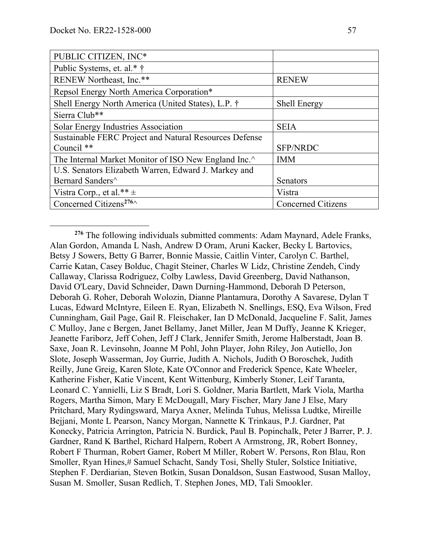| PUBLIC CITIZEN, INC*                                   |                           |
|--------------------------------------------------------|---------------------------|
| Public Systems, et. al.* †                             |                           |
| RENEW Northeast, Inc.**                                | <b>RENEW</b>              |
| Repsol Energy North America Corporation*               |                           |
| Shell Energy North America (United States), L.P. †     | <b>Shell Energy</b>       |
| Sierra Club**                                          |                           |
| Solar Energy Industries Association                    | <b>SEIA</b>               |
| Sustainable FERC Project and Natural Resources Defense |                           |
| Council **                                             | <b>SFP/NRDC</b>           |
| The Internal Market Monitor of ISO New England Inc.    | <b>IMM</b>                |
| U.S. Senators Elizabeth Warren, Edward J. Markey and   |                           |
| Bernard Sanders^                                       | Senators                  |
| Vistra Corp., et al.** $\pm$                           | Vistra                    |
| Concerned Citizens <sup>276</sup>                      | <b>Concerned Citizens</b> |

**<sup>276</sup>** The following individuals submitted comments: Adam Maynard, Adele Franks, Alan Gordon, Amanda L Nash, Andrew D Oram, Aruni Kacker, Becky L Bartovics, Betsy J Sowers, Betty G Barrer, Bonnie Massie, Caitlin Vinter, Carolyn C. Barthel, Carrie Katan, Casey Bolduc, Chagit Steiner, Charles W Lidz, Christine Zendeh, Cindy Callaway, Clarissa Rodriguez, Colby Lawless, David Greenberg, David Nathanson, David O'Leary, David Schneider, Dawn Durning-Hammond, Deborah D Peterson, Deborah G. Roher, Deborah Wolozin, Dianne Plantamura, Dorothy A Savarese, Dylan T Lucas, Edward McIntyre, Eileen E. Ryan, Elizabeth N. Snellings, ESQ, Eva Wilson, Fred Cunningham, Gail Page, Gail R. Fleischaker, Ian D McDonald, Jacqueline F. Salit, James C Mulloy, Jane c Bergen, Janet Bellamy, Janet Miller, Jean M Duffy, Jeanne K Krieger, Jeanette Fariborz, Jeff Cohen, Jeff J Clark, Jennifer Smith, Jerome Halberstadt, Joan B. Saxe, Joan R. Levinsohn, Joanne M Pohl, John Player, John Riley, Jon Autiello, Jon Slote, Joseph Wasserman, Joy Gurrie, Judith A. Nichols, Judith O Boroschek, Judith Reilly, June Greig, Karen Slote, Kate O'Connor and Frederick Spence, Kate Wheeler, Katherine Fisher, Katie Vincent, Kent Wittenburg, Kimberly Stoner, Leif Taranta, Leonard C. Yannielli, Liz S Bradt, Lori S. Goldner, Maria Bartlett, Mark Viola, Martha Rogers, Martha Simon, Mary E McDougall, Mary Fischer, Mary Jane J Else, Mary Pritchard, Mary Rydingsward, Marya Axner, Melinda Tuhus, Melissa Ludtke, Mireille Bejjani, Monte L Pearson, Nancy Morgan, Nannette K Trinkaus, P.J. Gardner, Pat Konecky, Patricia Arrington, Patricia N. Burdick, Paul B. Popinchalk, Peter J Barrer, P. J. Gardner, Rand K Barthel, Richard Halpern, Robert A Armstrong, JR, Robert Bonney, Robert F Thurman, Robert Gamer, Robert M Miller, Robert W. Persons, Ron Blau, Ron Smoller, Ryan Hines,# Samuel Schacht, Sandy Tosi, Shelly Stuler, Solstice Initiative, Stephen F. Derdiarian, Steven Botkin, Susan Donaldson, Susan Eastwood, Susan Malloy, Susan M. Smoller, Susan Redlich, T. Stephen Jones, MD, Tali Smookler.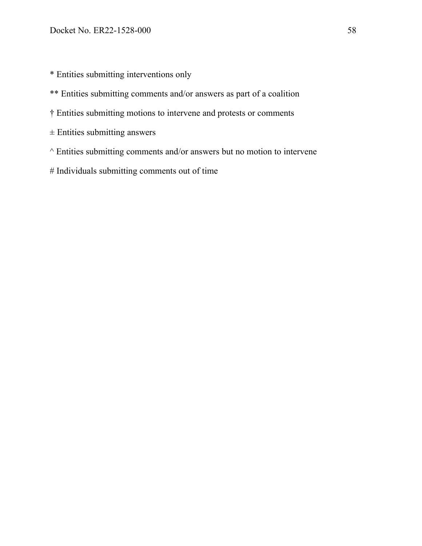\* Entities submitting interventions only

- \*\* Entities submitting comments and/or answers as part of a coalition
- † Entities submitting motions to intervene and protests or comments
- $\pm$  Entities submitting answers
- $\land$  Entities submitting comments and/or answers but no motion to intervene
- # Individuals submitting comments out of time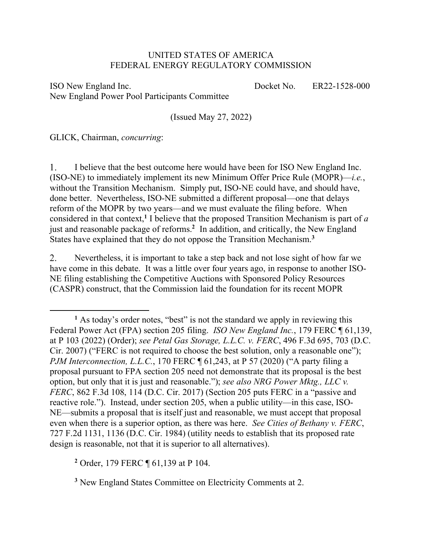#### UNITED STATES OF AMERICA FEDERAL ENERGY REGULATORY COMMISSION

ISO New England Inc. New England Power Pool Participants Committee Docket No. ER22-1528-000

(Issued May 27, 2022)

GLICK, Chairman, *concurring*:

 $\overline{a}$ 

1. I believe that the best outcome here would have been for ISO New England Inc. (ISO-NE) to immediately implement its new Minimum Offer Price Rule (MOPR)—*i.e.*, without the Transition Mechanism. Simply put, ISO-NE could have, and should have, done better. Nevertheless, ISO-NE submitted a different proposal—one that delays reform of the MOPR by two years—and we must evaluate the filing before. When considered in that context,**<sup>1</sup>** I believe that the proposed Transition Mechanism is part of *a*  just and reasonable package of reforms.**<sup>2</sup>** In addition, and critically, the New England States have explained that they do not oppose the Transition Mechanism.**<sup>3</sup>**

Nevertheless, it is important to take a step back and not lose sight of how far we 2. have come in this debate. It was a little over four years ago, in response to another ISO-NE filing establishing the Competitive Auctions with Sponsored Policy Resources (CASPR) construct, that the Commission laid the foundation for its recent MOPR

**<sup>2</sup>** Order, 179 FERC ¶ 61,139 at P 104.

**<sup>3</sup>** New England States Committee on Electricity Comments at 2.

<sup>&</sup>lt;sup>1</sup> As today's order notes, "best" is not the standard we apply in reviewing this Federal Power Act (FPA) section 205 filing. *ISO New England Inc.*, 179 FERC ¶ 61,139, at P 103 (2022) (Order); *see Petal Gas Storage, L.L.C. v. FERC*, 496 F.3d 695, 703 (D.C. Cir. 2007) ("FERC is not required to choose the best solution, only a reasonable one"); *PJM Interconnection, L.L.C.,* 170 FERC ¶ 61,243, at P 57 (2020) ("A party filing a proposal pursuant to FPA section 205 need not demonstrate that its proposal is the best option, but only that it is just and reasonable."); *see also NRG Power Mktg., LLC v. FERC*, 862 F.3d 108, 114 (D.C. Cir. 2017) (Section 205 puts FERC in a "passive and reactive role."). Instead, under section 205, when a public utility—in this case, ISO-NE—submits a proposal that is itself just and reasonable, we must accept that proposal even when there is a superior option, as there was here. *See Cities of Bethany v. FERC*, 727 F.2d 1131, 1136 (D.C. Cir. 1984) (utility needs to establish that its proposed rate design is reasonable, not that it is superior to all alternatives).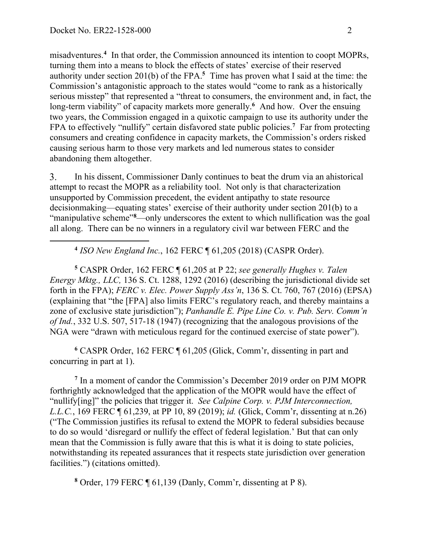misadventures.**<sup>4</sup>** In that order, the Commission announced its intention to coopt MOPRs, turning them into a means to block the effects of states' exercise of their reserved authority under section 201(b) of the FPA.<sup>5</sup> Time has proven what I said at the time: the Commission's antagonistic approach to the states would "come to rank as a historically serious misstep" that represented a "threat to consumers, the environment and, in fact, the long-term viability" of capacity markets more generally.<sup>6</sup> And how. Over the ensuing two years, the Commission engaged in a quixotic campaign to use its authority under the FPA to effectively "nullify" certain disfavored state public policies.**<sup>7</sup>** Far from protecting consumers and creating confidence in capacity markets, the Commission's orders risked causing serious harm to those very markets and led numerous states to consider abandoning them altogether.

3. In his dissent, Commissioner Danly continues to beat the drum via an ahistorical attempt to recast the MOPR as a reliability tool. Not only is that characterization unsupported by Commission precedent, the evident antipathy to state resource decisionmaking—equating states' exercise of their authority under section 201(b) to a "manipulative scheme"**<sup>8</sup>** —only underscores the extent to which nullification was the goal all along. There can be no winners in a regulatory civil war between FERC and the

**<sup>4</sup>** *ISO New England Inc.*, 162 FERC ¶ 61,205 (2018) (CASPR Order).

**<sup>5</sup>** CASPR Order, 162 FERC ¶ 61,205 at P 22; *see generally Hughes v. Talen Energy Mktg., LLC,* 136 S. Ct. 1288, 1292 (2016) (describing the jurisdictional divide set forth in the FPA); *FERC v. Elec. Power Supply Ass'n*, 136 S. Ct. 760, 767 (2016) (EPSA) (explaining that "the [FPA] also limits FERC's regulatory reach, and thereby maintains a zone of exclusive state jurisdiction"); *Panhandle E. Pipe Line Co. v. Pub. Serv. Comm'n of Ind.*, 332 U.S. 507, 517-18 (1947) (recognizing that the analogous provisions of the NGA were "drawn with meticulous regard for the continued exercise of state power").

**<sup>6</sup>** CASPR Order, 162 FERC ¶ 61,205 (Glick, Comm'r, dissenting in part and concurring in part at 1).

**<sup>7</sup>** In a moment of candor the Commission's December 2019 order on PJM MOPR forthrightly acknowledged that the application of the MOPR would have the effect of "nullify[ing]" the policies that trigger it. *See Calpine Corp. v. PJM Interconnection, L.L.C.*, 169 FERC ¶ 61,239, at PP 10, 89 (2019); *id.* (Glick, Comm'r, dissenting at n.26) ("The Commission justifies its refusal to extend the MOPR to federal subsidies because to do so would 'disregard or nullify the effect of federal legislation.' But that can only mean that the Commission is fully aware that this is what it is doing to state policies, notwithstanding its repeated assurances that it respects state jurisdiction over generation facilities.") (citations omitted).

**<sup>8</sup>** Order, 179 FERC ¶ 61,139 (Danly, Comm'r, dissenting at P 8).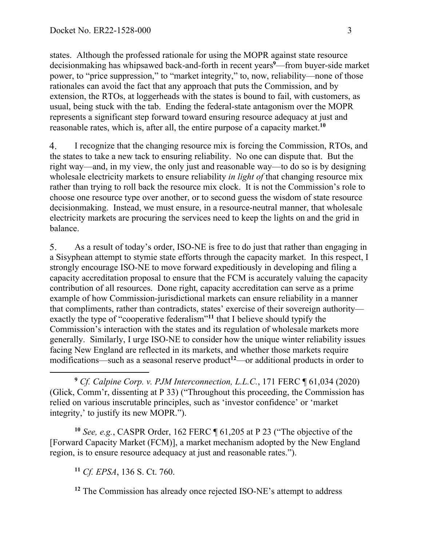states. Although the professed rationale for using the MOPR against state resource decisionmaking has whipsawed back-and-forth in recent years**<sup>9</sup>** —from buyer-side market power, to "price suppression," to "market integrity," to, now, reliability—none of those rationales can avoid the fact that any approach that puts the Commission, and by extension, the RTOs, at loggerheads with the states is bound to fail, with customers, as usual, being stuck with the tab. Ending the federal-state antagonism over the MOPR represents a significant step forward toward ensuring resource adequacy at just and reasonable rates, which is, after all, the entire purpose of a capacity market.**<sup>10</sup>**

 $\overline{4}$ . I recognize that the changing resource mix is forcing the Commission, RTOs, and the states to take a new tack to ensuring reliability. No one can dispute that. But the right way—and, in my view, the only just and reasonable way—to do so is by designing wholesale electricity markets to ensure reliability *in light of* that changing resource mix rather than trying to roll back the resource mix clock. It is not the Commission's role to choose one resource type over another, or to second guess the wisdom of state resource decisionmaking. Instead, we must ensure, in a resource-neutral manner, that wholesale electricity markets are procuring the services need to keep the lights on and the grid in balance.

5. As a result of today's order, ISO-NE is free to do just that rather than engaging in a Sisyphean attempt to stymie state efforts through the capacity market. In this respect, I strongly encourage ISO-NE to move forward expeditiously in developing and filing a capacity accreditation proposal to ensure that the FCM is accurately valuing the capacity contribution of all resources. Done right, capacity accreditation can serve as a prime example of how Commission-jurisdictional markets can ensure reliability in a manner that compliments, rather than contradicts, states' exercise of their sovereign authority exactly the type of "cooperative federalism"**<sup>11</sup>** that I believe should typify the Commission's interaction with the states and its regulation of wholesale markets more generally. Similarly, I urge ISO-NE to consider how the unique winter reliability issues facing New England are reflected in its markets, and whether those markets require modifications—such as a seasonal reserve product<sup>12</sup>—or additional products in order to

 $\overline{a}$ **<sup>9</sup>** *Cf. Calpine Corp. v. PJM Interconnection, L.L.C.*, 171 FERC ¶ 61,034 (2020) (Glick, Comm'r, dissenting at P 33) ("Throughout this proceeding, the Commission has relied on various inscrutable principles, such as 'investor confidence' or 'market integrity,' to justify its new MOPR.").

**<sup>10</sup>** *See, e.g.*, CASPR Order, 162 FERC ¶ 61,205 at P 23 ("The objective of the [Forward Capacity Market (FCM)], a market mechanism adopted by the New England region, is to ensure resource adequacy at just and reasonable rates.").

**<sup>11</sup>** *Cf. EPSA*, 136 S. Ct. 760.

**<sup>12</sup>** The Commission has already once rejected ISO-NE's attempt to address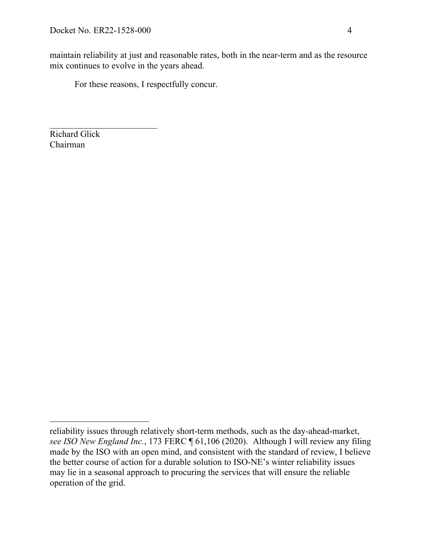$\mathcal{L}_\text{max}$  and  $\mathcal{L}_\text{max}$  and  $\mathcal{L}_\text{max}$ 

maintain reliability at just and reasonable rates, both in the near-term and as the resource mix continues to evolve in the years ahead.

For these reasons, I respectfully concur.

Richard Glick Chairman

 $\overline{a}$ reliability issues through relatively short-term methods, such as the day-ahead-market, *see ISO New England Inc.*, 173 FERC ¶ 61,106 (2020). Although I will review any filing made by the ISO with an open mind, and consistent with the standard of review, I believe the better course of action for a durable solution to ISO-NE's winter reliability issues may lie in a seasonal approach to procuring the services that will ensure the reliable operation of the grid.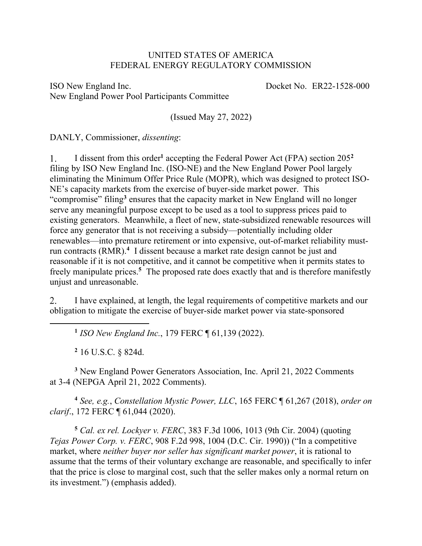#### UNITED STATES OF AMERICA FEDERAL ENERGY REGULATORY COMMISSION

ISO New England Inc. New England Power Pool Participants Committee Docket No. ER22-1528-000

(Issued May 27, 2022)

DANLY, Commissioner, *dissenting*:

I dissent from this order**<sup>1</sup>** accepting the Federal Power Act (FPA) section 205**<sup>2</sup>**  $\mathbf{1}$ . filing by ISO New England Inc. (ISO-NE) and the New England Power Pool largely eliminating the Minimum Offer Price Rule (MOPR), which was designed to protect ISO-NE's capacity markets from the exercise of buyer-side market power. This "compromise" filing**<sup>3</sup>** ensures that the capacity market in New England will no longer serve any meaningful purpose except to be used as a tool to suppress prices paid to existing generators. Meanwhile, a fleet of new, state-subsidized renewable resources will force any generator that is not receiving a subsidy—potentially including older renewables—into premature retirement or into expensive, out-of-market reliability mustrun contracts (RMR).**<sup>4</sup>** I dissent because a market rate design cannot be just and reasonable if it is not competitive, and it cannot be competitive when it permits states to freely manipulate prices.**<sup>5</sup>** The proposed rate does exactly that and is therefore manifestly unjust and unreasonable.

 $2.$ I have explained, at length, the legal requirements of competitive markets and our obligation to mitigate the exercise of buyer-side market power via state-sponsored

**<sup>1</sup>** *ISO New England Inc.*, 179 FERC ¶ 61,139 (2022).

**<sup>2</sup>** 16 U.S.C. § 824d.

 $\overline{a}$ 

**<sup>3</sup>** New England Power Generators Association, Inc. April 21, 2022 Comments at 3-4 (NEPGA April 21, 2022 Comments).

**<sup>4</sup>** *See, e.g.*, *Constellation Mystic Power, LLC*, 165 FERC ¶ 61,267 (2018), *order on clarif*., 172 FERC ¶ 61,044 (2020).

**<sup>5</sup>** *Cal. ex rel. Lockyer v. FERC*, 383 F.3d 1006, 1013 (9th Cir. 2004) (quoting *Tejas Power Corp. v. FERC*, 908 F.2d 998, 1004 (D.C. Cir. 1990)) ("In a competitive market, where *neither buyer nor seller has significant market power*, it is rational to assume that the terms of their voluntary exchange are reasonable, and specifically to infer that the price is close to marginal cost, such that the seller makes only a normal return on its investment.") (emphasis added).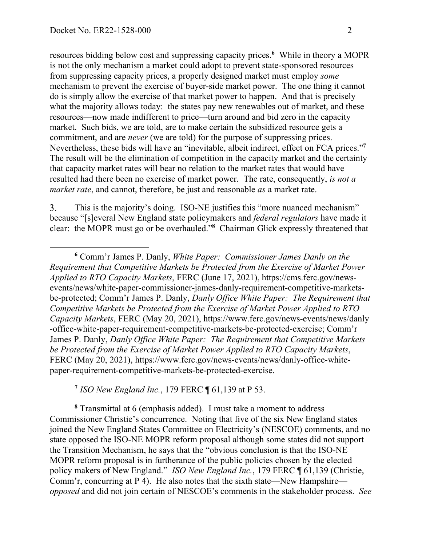resources bidding below cost and suppressing capacity prices.**<sup>6</sup>** While in theory a MOPR is not the only mechanism a market could adopt to prevent state-sponsored resources from suppressing capacity prices, a properly designed market must employ *some* mechanism to prevent the exercise of buyer-side market power. The one thing it cannot do is simply allow the exercise of that market power to happen. And that is precisely what the majority allows today: the states pay new renewables out of market, and these resources—now made indifferent to price—turn around and bid zero in the capacity market. Such bids, we are told, are to make certain the subsidized resource gets a commitment, and are *never* (we are told) for the purpose of suppressing prices. Nevertheless, these bids will have an "inevitable, albeit indirect, effect on FCA prices."**<sup>7</sup>** The result will be the elimination of competition in the capacity market and the certainty that capacity market rates will bear no relation to the market rates that would have resulted had there been no exercise of market power. The rate, consequently, *is not a market rate*, and cannot, therefore, be just and reasonable *as* a market rate.

3. This is the majority's doing. ISO-NE justifies this "more nuanced mechanism" because "[s]everal New England state policymakers and *federal regulators* have made it clear: the MOPR must go or be overhauled."**<sup>8</sup>** Chairman Glick expressly threatened that

**<sup>7</sup>** *ISO New England Inc.*, 179 FERC ¶ 61,139 at P 53.

**<sup>8</sup>** Transmittal at 6 (emphasis added). I must take a moment to address Commissioner Christie's concurrence. Noting that five of the six New England states joined the New England States Committee on Electricity's (NESCOE) comments, and no state opposed the ISO-NE MOPR reform proposal although some states did not support the Transition Mechanism, he says that the "obvious conclusion is that the ISO-NE MOPR reform proposal is in furtherance of the public policies chosen by the elected policy makers of New England." *ISO New England Inc.*, 179 FERC ¶ 61,139 (Christie, Comm'r, concurring at P 4). He also notes that the sixth state—New Hampshire *opposed* and did not join certain of NESCOE's comments in the stakeholder process. *See* 

**<sup>6</sup>** Comm'r James P. Danly, *White Paper: Commissioner James Danly on the Requirement that Competitive Markets be Protected from the Exercise of Market Power Applied to RTO Capacity Markets*, FERC (June 17, 2021), https://cms.ferc.gov/newsevents/news/white-paper-commissioner-james-danly-requirement-competitive-marketsbe-protected; Comm'r James P. Danly, *Danly Office White Paper: The Requirement that Competitive Markets be Protected from the Exercise of Market Power Applied to RTO Capacity Markets*, FERC (May 20, 2021), https://www.ferc.gov/news-events/news/danly -office-white-paper-requirement-competitive-markets-be-protected-exercise; Comm'r James P. Danly, *Danly Office White Paper: The Requirement that Competitive Markets be Protected from the Exercise of Market Power Applied to RTO Capacity Markets*, FERC (May 20, 2021), https://www.ferc.gov/news-events/news/danly-office-whitepaper-requirement-competitive-markets-be-protected-exercise.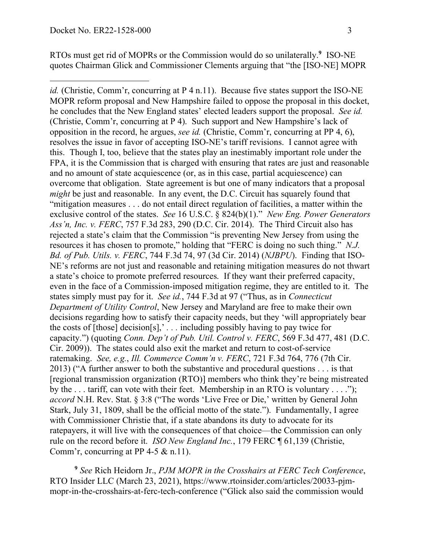RTOs must get rid of MOPRs or the Commission would do so unilaterally.**<sup>9</sup>** ISO-NE quotes Chairman Glick and Commissioner Clements arguing that "the [ISO-NE] MOPR

*id.* (Christie, Comm'r, concurring at P 4 n.11). Because five states support the ISO-NE MOPR reform proposal and New Hampshire failed to oppose the proposal in this docket, he concludes that the New England states' elected leaders support the proposal. *See id.* (Christie, Comm'r, concurring at P 4). Such support and New Hampshire's lack of opposition in the record, he argues, *see id.* (Christie, Comm'r, concurring at PP 4, 6), resolves the issue in favor of accepting ISO-NE's tariff revisions. I cannot agree with this. Though I, too, believe that the states play an inestimably important role under the FPA, it is the Commission that is charged with ensuring that rates are just and reasonable and no amount of state acquiescence (or, as in this case, partial acquiescence) can overcome that obligation. State agreement is but one of many indicators that a proposal *might* be just and reasonable. In any event, the D.C. Circuit has squarely found that "mitigation measures . . . do not entail direct regulation of facilities, a matter within the exclusive control of the states. *See* 16 U.S.C. § 824(b)(1)." *New Eng. Power Generators Ass'n, Inc. v. FERC*, 757 F.3d 283, 290 (D.C. Cir. 2014). The Third Circuit also has rejected a state's claim that the Commission "is preventing New Jersey from using the resources it has chosen to promote," holding that "FERC is doing no such thing." *N.J. Bd. of Pub. Utils. v. FERC*, 744 F.3d 74, 97 (3d Cir. 2014) (*NJBPU*). Finding that ISO-NE's reforms are not just and reasonable and retaining mitigation measures do not thwart a state's choice to promote preferred resources. If they want their preferred capacity, even in the face of a Commission-imposed mitigation regime, they are entitled to it. The states simply must pay for it. *See id.*, 744 F.3d at 97 ("Thus, as in *Connecticut Department of Utility Control*, New Jersey and Maryland are free to make their own decisions regarding how to satisfy their capacity needs, but they 'will appropriately bear the costs of [those] decision[s],' *. . .* including possibly having to pay twice for capacity.") (quoting *Conn. Dep't of Pub. Util. Control v. FERC*, 569 F.3d 477, 481 (D.C. Cir. 2009)). The states could also exit the market and return to cost-of-service ratemaking. *See, e.g.*, *Ill. Commerce Comm'n v. FERC*, 721 F.3d 764, 776 (7th Cir. 2013) ("A further answer to both the substantive and procedural questions . . . is that [regional transmission organization (RTO)] members who think they're being mistreated by the . . . tariff, can vote with their feet. Membership in an RTO is voluntary . . . ."); *accord* N.H. Rev. Stat. § 3:8 ("The words 'Live Free or Die,' written by General John Stark, July 31, 1809, shall be the official motto of the state."). Fundamentally, I agree with Commissioner Christie that, if a state abandons its duty to advocate for its ratepayers, it will live with the consequences of that choice—the Commission can only rule on the record before it. *ISO New England Inc.*, 179 FERC ¶ 61,139 (Christie, Comm'r, concurring at PP 4-5  $\&$  n.11).

**<sup>9</sup>** *See* Rich Heidorn Jr., *PJM MOPR in the Crosshairs at FERC Tech Conference*, RTO Insider LLC (March 23, 2021), https://www.rtoinsider.com/articles/20033-pjmmopr-in-the-crosshairs-at-ferc-tech-conference ("Glick also said the commission would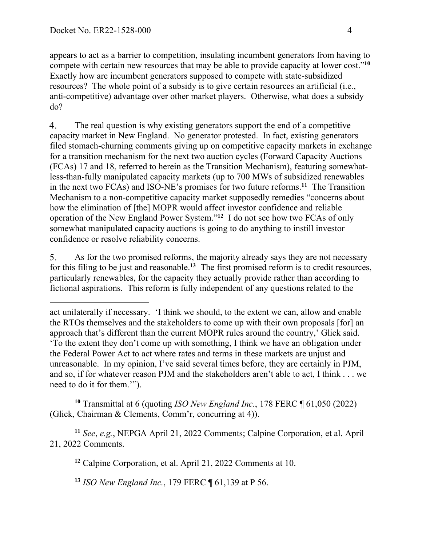appears to act as a barrier to competition, insulating incumbent generators from having to compete with certain new resources that may be able to provide capacity at lower cost."**<sup>10</sup>** Exactly how are incumbent generators supposed to compete with state-subsidized resources? The whole point of a subsidy is to give certain resources an artificial (i.e., anti-competitive) advantage over other market players. Otherwise, what does a subsidy do?

 $\overline{4}$ . The real question is why existing generators support the end of a competitive capacity market in New England. No generator protested. In fact, existing generators filed stomach-churning comments giving up on competitive capacity markets in exchange for a transition mechanism for the next two auction cycles (Forward Capacity Auctions (FCAs) 17 and 18, referred to herein as the Transition Mechanism), featuring somewhatless-than-fully manipulated capacity markets (up to 700 MWs of subsidized renewables in the next two FCAs) and ISO-NE's promises for two future reforms.**<sup>11</sup>** The Transition Mechanism to a non-competitive capacity market supposedly remedies "concerns about how the elimination of [the] MOPR would affect investor confidence and reliable operation of the New England Power System."**<sup>12</sup>** I do not see how two FCAs of only somewhat manipulated capacity auctions is going to do anything to instill investor confidence or resolve reliability concerns.

As for the two promised reforms, the majority already says they are not necessary 5. for this filing to be just and reasonable.**<sup>13</sup>** The first promised reform is to credit resources, particularly renewables, for the capacity they actually provide rather than according to fictional aspirations. This reform is fully independent of any questions related to the

**<sup>10</sup>** Transmittal at 6 (quoting *ISO New England Inc.*, 178 FERC ¶ 61,050 (2022) (Glick, Chairman & Clements, Comm'r, concurring at 4)).

**<sup>11</sup>** *See*, *e.g.*, NEPGA April 21, 2022 Comments; Calpine Corporation, et al. April 21, 2022 Comments.

**<sup>12</sup>** Calpine Corporation, et al. April 21, 2022 Comments at 10.

**<sup>13</sup>** *ISO New England Inc.*, 179 FERC ¶ 61,139 at P 56.

act unilaterally if necessary. 'I think we should, to the extent we can, allow and enable the RTOs themselves and the stakeholders to come up with their own proposals [for] an approach that's different than the current MOPR rules around the country,' Glick said. 'To the extent they don't come up with something, I think we have an obligation under the Federal Power Act to act where rates and terms in these markets are unjust and unreasonable. In my opinion, I've said several times before, they are certainly in PJM, and so, if for whatever reason PJM and the stakeholders aren't able to act, I think . . . we need to do it for them.'").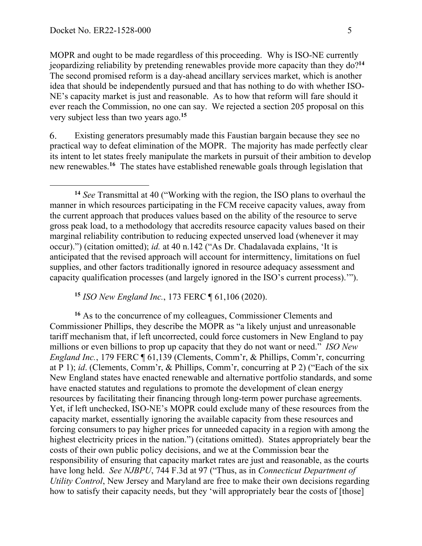MOPR and ought to be made regardless of this proceeding. Why is ISO-NE currently jeopardizing reliability by pretending renewables provide more capacity than they do?**<sup>14</sup>** The second promised reform is a day-ahead ancillary services market, which is another idea that should be independently pursued and that has nothing to do with whether ISO-NE's capacity market is just and reasonable. As to how that reform will fare should it ever reach the Commission, no one can say. We rejected a section 205 proposal on this very subject less than two years ago.**<sup>15</sup>**

6. Existing generators presumably made this Faustian bargain because they see no practical way to defeat elimination of the MOPR. The majority has made perfectly clear its intent to let states freely manipulate the markets in pursuit of their ambition to develop new renewables.**<sup>16</sup>** The states have established renewable goals through legislation that

**<sup>15</sup>** *ISO New England Inc.*, 173 FERC ¶ 61,106 (2020).

**<sup>16</sup>** As to the concurrence of my colleagues, Commissioner Clements and Commissioner Phillips, they describe the MOPR as "a likely unjust and unreasonable tariff mechanism that, if left uncorrected, could force customers in New England to pay millions or even billions to prop up capacity that they do not want or need." *ISO New England Inc.*, 179 FERC ¶ 61,139 (Clements, Comm'r, & Phillips, Comm'r, concurring at P 1); *id*. (Clements, Comm'r, & Phillips, Comm'r, concurring at P 2) ("Each of the six New England states have enacted renewable and alternative portfolio standards, and some have enacted statutes and regulations to promote the development of clean energy resources by facilitating their financing through long-term power purchase agreements. Yet, if left unchecked, ISO-NE's MOPR could exclude many of these resources from the capacity market, essentially ignoring the available capacity from these resources and forcing consumers to pay higher prices for unneeded capacity in a region with among the highest electricity prices in the nation.") (citations omitted). States appropriately bear the costs of their own public policy decisions, and we at the Commission bear the responsibility of ensuring that capacity market rates are just and reasonable, as the courts have long held. *See NJBPU*, 744 F.3d at 97 ("Thus, as in *Connecticut Department of Utility Control*, New Jersey and Maryland are free to make their own decisions regarding how to satisfy their capacity needs, but they 'will appropriately bear the costs of [those]

**<sup>14</sup>** *See* Transmittal at 40 ("Working with the region, the ISO plans to overhaul the manner in which resources participating in the FCM receive capacity values, away from the current approach that produces values based on the ability of the resource to serve gross peak load, to a methodology that accredits resource capacity values based on their marginal reliability contribution to reducing expected unserved load (whenever it may occur).") (citation omitted); *id.* at 40 n.142 ("As Dr. Chadalavada explains, 'It is anticipated that the revised approach will account for intermittency, limitations on fuel supplies, and other factors traditionally ignored in resource adequacy assessment and capacity qualification processes (and largely ignored in the ISO's current process).'").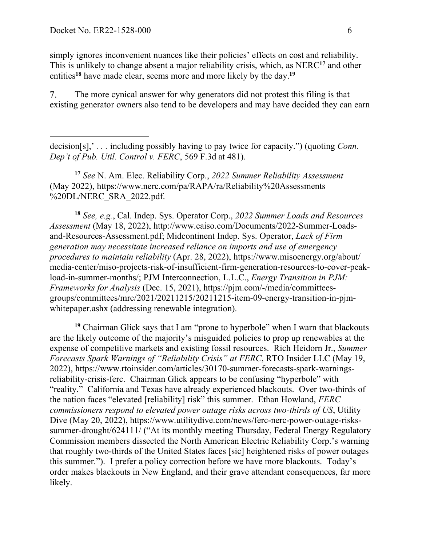simply ignores inconvenient nuances like their policies' effects on cost and reliability. This is unlikely to change absent a major reliability crisis, which, as NERC**<sup>17</sup>** and other entities**<sup>18</sup>** have made clear, seems more and more likely by the day.**<sup>19</sup>**

The more cynical answer for why generators did not protest this filing is that 7. existing generator owners also tend to be developers and may have decided they can earn

**<sup>17</sup>** *See* N. Am. Elec. Reliability Corp., *2022 Summer Reliability Assessment*  (May 2022), https://www.nerc.com/pa/RAPA/ra/Reliability%20Assessments %20DL/NERC\_SRA\_2022.pdf.

**<sup>18</sup>** *See, e.g.*, Cal. Indep. Sys. Operator Corp., *2022 Summer Loads and Resources Assessment* (May 18, 2022), http://www.caiso.com/Documents/2022-Summer-Loadsand-Resources-Assessment.pdf; Midcontinent Indep. Sys. Operator, *Lack of Firm generation may necessitate increased reliance on imports and use of emergency procedures to maintain reliability* (Apr. 28, 2022), https://www.misoenergy.org/about/ media-center/miso-projects-risk-of-insufficient-firm-generation-resources-to-cover-peakload-in-summer-months/; PJM Interconnection, L.L.C., *Energy Transition in PJM: Frameworks for Analysis* (Dec. 15, 2021), https://pjm.com/-/media/committeesgroups/committees/mrc/2021/20211215/20211215-item-09-energy-transition-in-pjmwhitepaper.ashx (addressing renewable integration).

**<sup>19</sup>** Chairman Glick says that I am "prone to hyperbole" when I warn that blackouts are the likely outcome of the majority's misguided policies to prop up renewables at the expense of competitive markets and existing fossil resources. Rich Heidorn Jr., *Summer Forecasts Spark Warnings of "Reliability Crisis" at FERC*, RTO Insider LLC (May 19, 2022), https://www.rtoinsider.com/articles/30170-summer-forecasts-spark-warningsreliability-crisis-ferc. Chairman Glick appears to be confusing "hyperbole" with "reality." California and Texas have already experienced blackouts. Over two-thirds of the nation faces "elevated [reliability] risk" this summer. Ethan Howland, *FERC commissioners respond to elevated power outage risks across two-thirds of US*, Utility Dive (May 20, 2022), https://www.utilitydive.com/news/ferc-nerc-power-outage-riskssummer-drought/624111/ ("At its monthly meeting Thursday, Federal Energy Regulatory Commission members dissected the North American Electric Reliability Corp.'s warning that roughly two-thirds of the United States faces [sic] heightened risks of power outages this summer."). I prefer a policy correction before we have more blackouts. Today's order makes blackouts in New England, and their grave attendant consequences, far more likely.

decision[s],' *. . .* including possibly having to pay twice for capacity.") (quoting *Conn. Dep't of Pub. Util. Control v. FERC*, 569 F.3d at 481).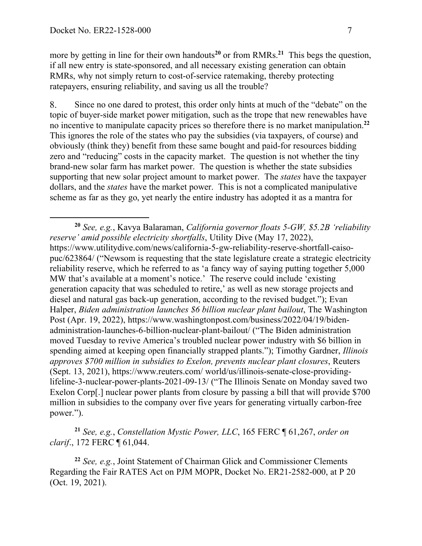more by getting in line for their own handouts<sup>20</sup> or from RMRs.<sup>21</sup> This begs the question, if all new entry is state-sponsored, and all necessary existing generation can obtain RMRs, why not simply return to cost-of-service ratemaking, thereby protecting ratepayers, ensuring reliability, and saving us all the trouble?

8. Since no one dared to protest, this order only hints at much of the "debate" on the topic of buyer-side market power mitigation, such as the trope that new renewables have no incentive to manipulate capacity prices so therefore there is no market manipulation.**<sup>22</sup>** This ignores the role of the states who pay the subsidies (via taxpayers, of course) and obviously (think they) benefit from these same bought and paid-for resources bidding zero and "reducing" costs in the capacity market. The question is not whether the tiny brand-new solar farm has market power. The question is whether the state subsidies supporting that new solar project amount to market power. The *states* have the taxpayer dollars, and the *states* have the market power. This is not a complicated manipulative scheme as far as they go, yet nearly the entire industry has adopted it as a mantra for

**<sup>21</sup>** *See, e.g.*, *Constellation Mystic Power, LLC*, 165 FERC ¶ 61,267, *order on clarif*., 172 FERC ¶ 61,044.

**<sup>22</sup>** *See, e.g.*, Joint Statement of Chairman Glick and Commissioner Clements Regarding the Fair RATES Act on PJM MOPR, Docket No. ER21-2582-000, at P 20 (Oct. 19, 2021).

**<sup>20</sup>** *See, e.g.*, Kavya Balaraman, *California governor floats 5-GW, \$5.2B 'reliability reserve' amid possible electricity shortfalls*, Utility Dive (May 17, 2022), https://www.utilitydive.com/news/california-5-gw-reliability-reserve-shortfall-caisopuc/623864/ ("Newsom is requesting that the state legislature create a strategic electricity reliability reserve, which he referred to as 'a fancy way of saying putting together 5,000 MW that's available at a moment's notice.' The reserve could include 'existing generation capacity that was scheduled to retire,' as well as new storage projects and diesel and natural gas back-up generation, according to the revised budget."); Evan Halper, *Biden administration launches \$6 billion nuclear plant bailout*, The Washington Post (Apr. 19, 2022), https://www.washingtonpost.com/business/2022/04/19/bidenadministration-launches-6-billion-nuclear-plant-bailout/ ("The Biden administration moved Tuesday to revive America's troubled nuclear power industry with \$6 billion in spending aimed at keeping open financially strapped plants."); Timothy Gardner, *Illinois approves \$700 million in subsidies to Exelon, prevents nuclear plant closures*, Reuters (Sept. 13, 2021), https://www.reuters.com/ world/us/illinois-senate-close-providinglifeline-3-nuclear-power-plants-2021-09-13/ ("The Illinois Senate on Monday saved two Exelon Corp[.] nuclear power plants from closure by passing a bill that will provide \$700 million in subsidies to the company over five years for generating virtually carbon-free power.").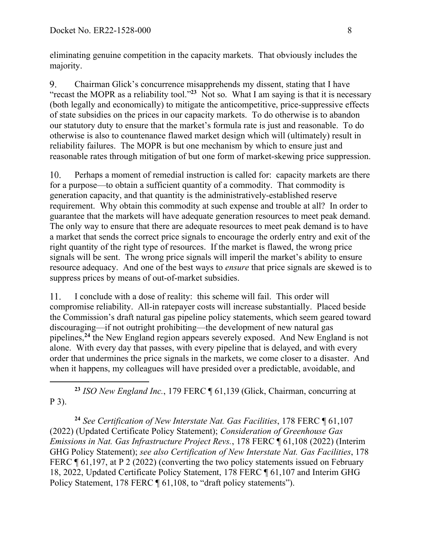eliminating genuine competition in the capacity markets. That obviously includes the majority.

9. Chairman Glick's concurrence misapprehends my dissent, stating that I have "recast the MOPR as a reliability tool."**<sup>23</sup>** Not so. What I am saying is that it is necessary (both legally and economically) to mitigate the anticompetitive, price-suppressive effects of state subsidies on the prices in our capacity markets. To do otherwise is to abandon our statutory duty to ensure that the market's formula rate is just and reasonable. To do otherwise is also to countenance flawed market design which will (ultimately) result in reliability failures. The MOPR is but one mechanism by which to ensure just and reasonable rates through mitigation of but one form of market-skewing price suppression.

Perhaps a moment of remedial instruction is called for: capacity markets are there 10. for a purpose—to obtain a sufficient quantity of a commodity. That commodity is generation capacity, and that quantity is the administratively-established reserve requirement. Why obtain this commodity at such expense and trouble at all? In order to guarantee that the markets will have adequate generation resources to meet peak demand. The only way to ensure that there are adequate resources to meet peak demand is to have a market that sends the correct price signals to encourage the orderly entry and exit of the right quantity of the right type of resources. If the market is flawed, the wrong price signals will be sent. The wrong price signals will imperil the market's ability to ensure resource adequacy. And one of the best ways to *ensure* that price signals are skewed is to suppress prices by means of out-of-market subsidies.

I conclude with a dose of reality: this scheme will fail. This order will 11. compromise reliability. All-in ratepayer costs will increase substantially. Placed beside the Commission's draft natural gas pipeline policy statements, which seem geared toward discouraging—if not outright prohibiting—the development of new natural gas pipelines,**<sup>24</sup>** the New England region appears severely exposed. And New England is not alone. With every day that passes, with every pipeline that is delayed, and with every order that undermines the price signals in the markets, we come closer to a disaster. And when it happens, my colleagues will have presided over a predictable, avoidable, and

 $\overline{a}$ **<sup>23</sup>** *ISO New England Inc.*, 179 FERC ¶ 61,139 (Glick, Chairman, concurring at P 3).

**<sup>24</sup>** *See Certification of New Interstate Nat. Gas Facilities*, 178 FERC ¶ 61,107 (2022) (Updated Certificate Policy Statement); *Consideration of Greenhouse Gas Emissions in Nat. Gas Infrastructure Project Revs.*, 178 FERC ¶ 61,108 (2022) (Interim GHG Policy Statement); *see also Certification of New Interstate Nat. Gas Facilities*, 178 FERC ¶ 61,197, at P 2 (2022) (converting the two policy statements issued on February 18, 2022, Updated Certificate Policy Statement, 178 FERC ¶ 61,107 and Interim GHG Policy Statement, 178 FERC ¶ 61,108, to "draft policy statements").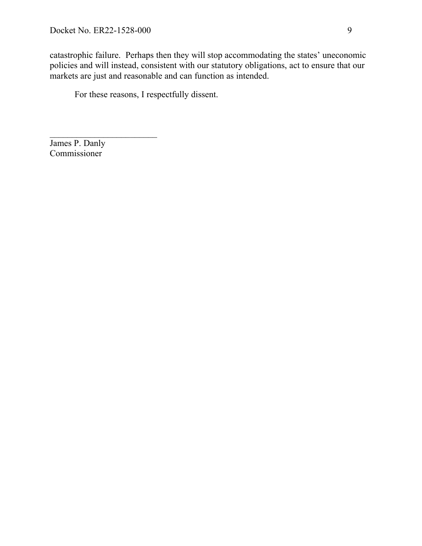catastrophic failure. Perhaps then they will stop accommodating the states' uneconomic policies and will instead, consistent with our statutory obligations, act to ensure that our markets are just and reasonable and can function as intended.

For these reasons, I respectfully dissent.

James P. Danly Commissioner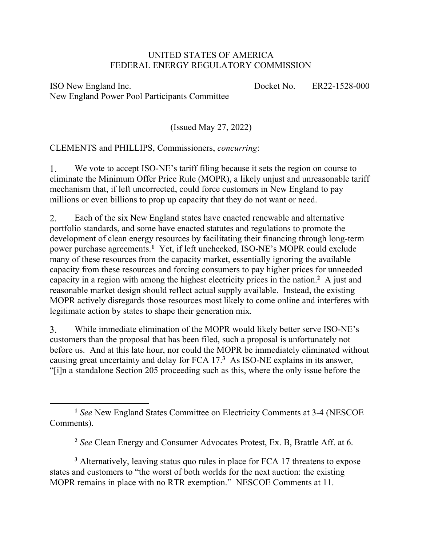### UNITED STATES OF AMERICA FEDERAL ENERGY REGULATORY COMMISSION

ISO New England Inc. New England Power Pool Participants Committee

 $\overline{a}$ 

Docket No. ER22-1528-000

(Issued May 27, 2022)

CLEMENTS and PHILLIPS, Commissioners, *concurring*:

 $1_{\cdot}$ We vote to accept ISO-NE's tariff filing because it sets the region on course to eliminate the Minimum Offer Price Rule (MOPR), a likely unjust and unreasonable tariff mechanism that, if left uncorrected, could force customers in New England to pay millions or even billions to prop up capacity that they do not want or need.

2. Each of the six New England states have enacted renewable and alternative portfolio standards, and some have enacted statutes and regulations to promote the development of clean energy resources by facilitating their financing through long-term power purchase agreements.**<sup>1</sup>** Yet, if left unchecked, ISO-NE's MOPR could exclude many of these resources from the capacity market, essentially ignoring the available capacity from these resources and forcing consumers to pay higher prices for unneeded capacity in a region with among the highest electricity prices in the nation.**<sup>2</sup>** A just and reasonable market design should reflect actual supply available. Instead, the existing MOPR actively disregards those resources most likely to come online and interferes with legitimate action by states to shape their generation mix.

3. While immediate elimination of the MOPR would likely better serve ISO-NE's customers than the proposal that has been filed, such a proposal is unfortunately not before us. And at this late hour, nor could the MOPR be immediately eliminated without causing great uncertainty and delay for FCA 17.**<sup>3</sup>** As ISO-NE explains in its answer, "[i]n a standalone Section 205 proceeding such as this, where the only issue before the

**<sup>3</sup>** Alternatively, leaving status quo rules in place for FCA 17 threatens to expose states and customers to "the worst of both worlds for the next auction: the existing MOPR remains in place with no RTR exemption." NESCOE Comments at 11.

**<sup>1</sup>** *See* New England States Committee on Electricity Comments at 3-4 (NESCOE Comments).

**<sup>2</sup>** *See* Clean Energy and Consumer Advocates Protest, Ex. B, Brattle Aff. at 6.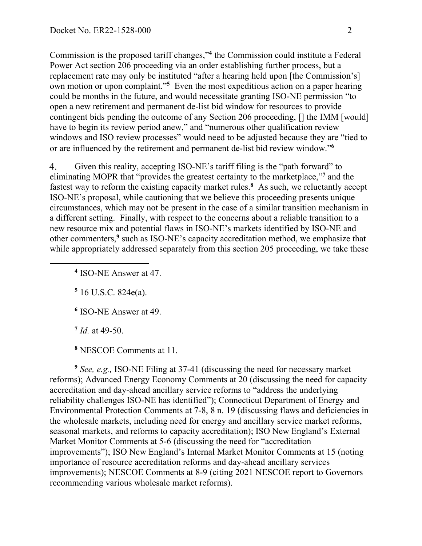Commission is the proposed tariff changes,"**<sup>4</sup>** the Commission could institute a Federal Power Act section 206 proceeding via an order establishing further process, but a replacement rate may only be instituted "after a hearing held upon [the Commission's] own motion or upon complaint."**<sup>5</sup>** Even the most expeditious action on a paper hearing could be months in the future, and would necessitate granting ISO-NE permission "to open a new retirement and permanent de-list bid window for resources to provide contingent bids pending the outcome of any Section 206 proceeding, [] the IMM [would] have to begin its review period anew," and "numerous other qualification review windows and ISO review processes" would need to be adjusted because they are "tied to or are influenced by the retirement and permanent de-list bid review window."**<sup>6</sup>**

4. Given this reality, accepting ISO-NE's tariff filing is the "path forward" to eliminating MOPR that "provides the greatest certainty to the marketplace,"**<sup>7</sup>** and the fastest way to reform the existing capacity market rules.**<sup>8</sup>** As such, we reluctantly accept ISO-NE's proposal, while cautioning that we believe this proceeding presents unique circumstances, which may not be present in the case of a similar transition mechanism in a different setting. Finally, with respect to the concerns about a reliable transition to a new resource mix and potential flaws in ISO-NE's markets identified by ISO-NE and other commenters,**<sup>9</sup>** such as ISO-NE's capacity accreditation method, we emphasize that while appropriately addressed separately from this section 205 proceeding, we take these

**<sup>4</sup>** ISO-NE Answer at 47.

**<sup>5</sup>** 16 U.S.C. 824e(a).

**<sup>6</sup>** ISO-NE Answer at 49.

**<sup>7</sup>** *Id.* at 49-50.

 $\overline{a}$ 

**<sup>8</sup>** NESCOE Comments at 11.

**<sup>9</sup>** *See, e.g.,* ISO-NE Filing at 37-41 (discussing the need for necessary market reforms); Advanced Energy Economy Comments at 20 (discussing the need for capacity accreditation and day-ahead ancillary service reforms to "address the underlying reliability challenges ISO-NE has identified"); Connecticut Department of Energy and Environmental Protection Comments at 7-8, 8 n. 19 (discussing flaws and deficiencies in the wholesale markets, including need for energy and ancillary service market reforms, seasonal markets, and reforms to capacity accreditation); ISO New England's External Market Monitor Comments at 5-6 (discussing the need for "accreditation improvements"); ISO New England's Internal Market Monitor Comments at 15 (noting importance of resource accreditation reforms and day-ahead ancillary services improvements); NESCOE Comments at 8-9 (citing 2021 NESCOE report to Governors recommending various wholesale market reforms).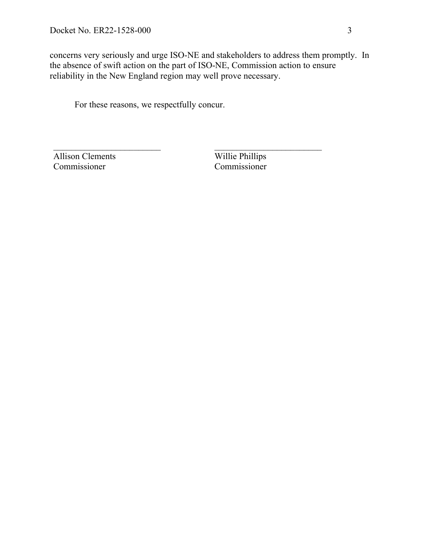concerns very seriously and urge ISO-NE and stakeholders to address them promptly. In the absence of swift action on the part of ISO-NE, Commission action to ensure reliability in the New England region may well prove necessary.

For these reasons, we respectfully concur.

Allison Clements Commissioner

Willie Phillips Commissioner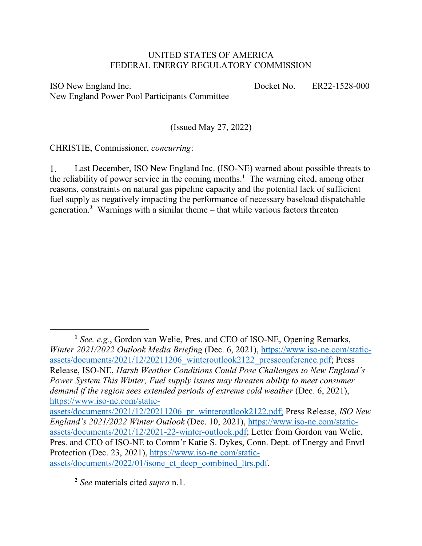## UNITED STATES OF AMERICA FEDERAL ENERGY REGULATORY COMMISSION

ISO New England Inc. New England Power Pool Participants Committee Docket No. ER22-1528-000

(Issued May 27, 2022)

CHRISTIE, Commissioner, *concurring*:

 $\overline{a}$ 

Last December, ISO New England Inc. (ISO-NE) warned about possible threats to  $1_{\cdot}$ the reliability of power service in the coming months.**<sup>1</sup>** The warning cited, among other reasons, constraints on natural gas pipeline capacity and the potential lack of sufficient fuel supply as negatively impacting the performance of necessary baseload dispatchable generation.**<sup>2</sup>** Warnings with a similar theme – that while various factors threaten

assets/documents/2021/12/20211206\_pr\_winteroutlook2122.pdf; Press Release, *ISO New England's 2021/2022 Winter Outlook* (Dec. 10, 2021), https://www.iso-ne.com/staticassets/documents/2021/12/2021-22-winter-outlook.pdf; Letter from Gordon van Welie, Pres. and CEO of ISO-NE to Comm'r Katie S. Dykes, Conn. Dept. of Energy and Envtl Protection (Dec. 23, 2021), https://www.iso-ne.com/staticassets/documents/2022/01/isone\_ct\_deep\_combined\_ltrs.pdf.

**<sup>2</sup>** *See* materials cited *supra* n.1.

**<sup>1</sup>** *See, e.g.*, Gordon van Welie, Pres. and CEO of ISO-NE, Opening Remarks, *Winter 2021/2022 Outlook Media Briefing* (Dec. 6, 2021), https://www.iso-ne.com/staticassets/documents/2021/12/20211206\_winteroutlook2122\_pressconference.pdf; Press Release, ISO-NE, *Harsh Weather Conditions Could Pose Challenges to New England's Power System This Winter, Fuel supply issues may threaten ability to meet consumer demand if the region sees extended periods of extreme cold weather* (Dec. 6, 2021), https://www.iso-ne.com/static-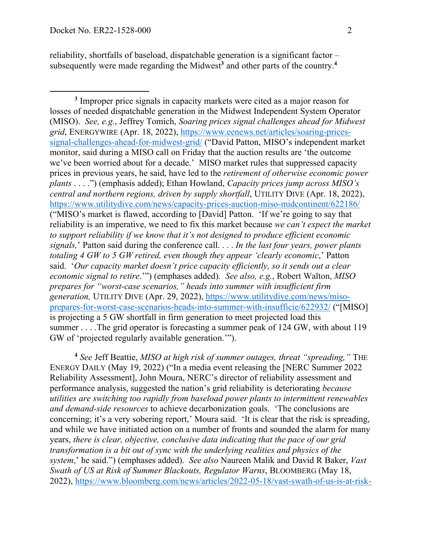reliability, shortfalls of baseload, dispatchable generation is a significant factor – subsequently were made regarding the Midwest**<sup>3</sup>** and other parts of the country.**<sup>4</sup>**

**<sup>4</sup>** *See* Jeff Beattie, *MISO at high risk of summer outages, threat "spreading,"* THE ENERGY DAILY (May 19, 2022) ("In a media event releasing the [NERC Summer 2022 Reliability Assessment], John Moura, NERC's director of reliability assessment and performance analysis, suggested the nation's grid reliability is deteriorating *because utilities are switching too rapidly from baseload power plants to intermittent renewables and demand-side resources* to achieve decarbonization goals. 'The conclusions are concerning; it's a very sobering report,' Moura said. 'It is clear that the risk is spreading, and while we have initiated action on a number of fronts and sounded the alarm for many years, *there is clear, objective, conclusive data indicating that the pace of our grid transformation is a bit out of sync with the underlying realities and physics of the system*,' he said.") (emphases added). *See also* Naureen Malik and David R Baker, *Vast Swath of US at Risk of Summer Blackouts, Regulator Warns*, BLOOMBERG (May 18, 2022), https://www.bloomberg.com/news/articles/2022-05-18/vast-swath-of-us-is-at-risk-

**<sup>3</sup>** Improper price signals in capacity markets were cited as a major reason for losses of needed dispatchable generation in the Midwest Independent System Operator (MISO). *See, e.g.*, Jeffrey Tomich, *Soaring prices signal challenges ahead for Midwest grid*, ENERGYWIRE (Apr. 18, 2022), https://www.eenews.net/articles/soaring-pricessignal-challenges-ahead-for-midwest-grid/ ("David Patton, MISO's independent market monitor, said during a MISO call on Friday that the auction results are 'the outcome we've been worried about for a decade.' MISO market rules that suppressed capacity prices in previous years, he said, have led to the *retirement of otherwise economic power plants* . . . .") (emphasis added); Ethan Howland, *Capacity prices jump across MISO's central and northern regions, driven by supply shortfall*, UTILITY DIVE (Apr. 18, 2022), https://www.utilitydive.com/news/capacity-prices-auction-miso-midcontinent/622186/ ("MISO's market is flawed, according to [David] Patton. 'If we're going to say that reliability is an imperative, we need to fix this market because *we can't expect the market to support reliability if we know that it's not designed to produce efficient economic signals,*' Patton said during the conference call. . . . *In the last four years, power plants totaling 4 GW to 5 GW retired, even though they appear 'clearly economic*,' Patton said. '*Our capacity market doesn't price capacity efficiently, so it sends out a clear economic signal to retire*.'") (emphases added). *See also, e.g.*, Robert Walton, *MISO prepares for "worst-case scenarios," heads into summer with insufficient firm generation,* UTILITY DIVE (Apr. 29, 2022), https://www.utilitydive.com/news/misoprepares-for-worst-case-scenarios-heads-into-summer-with-insufficie/622932/ ("[MISO] is projecting a 5 GW shortfall in firm generation to meet projected load this summer . . . . The grid operator is forecasting a summer peak of 124 GW, with about 119 GW of 'projected regularly available generation.'").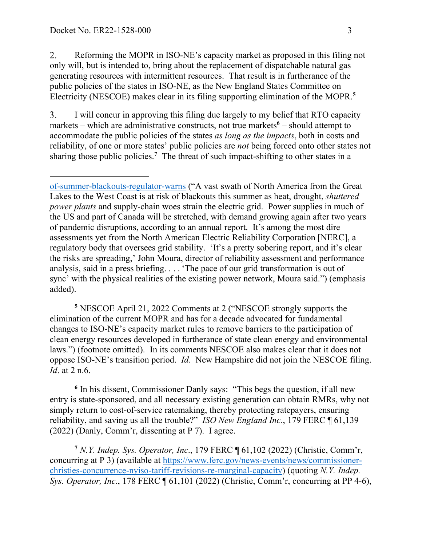2. Reforming the MOPR in ISO-NE's capacity market as proposed in this filing not only will, but is intended to, bring about the replacement of dispatchable natural gas generating resources with intermittent resources. That result is in furtherance of the public policies of the states in ISO-NE, as the New England States Committee on Electricity (NESCOE) makes clear in its filing supporting elimination of the MOPR.**<sup>5</sup>**

3. I will concur in approving this filing due largely to my belief that RTO capacity markets – which are administrative constructs, not true markets<sup>6</sup> – should attempt to accommodate the public policies of the states *as long as the impacts*, both in costs and reliability, of one or more states' public policies are *not* being forced onto other states not sharing those public policies.**<sup>7</sup>** The threat of such impact-shifting to other states in a

**<sup>5</sup>** NESCOE April 21, 2022 Comments at 2 ("NESCOE strongly supports the elimination of the current MOPR and has for a decade advocated for fundamental changes to ISO-NE's capacity market rules to remove barriers to the participation of clean energy resources developed in furtherance of state clean energy and environmental laws.") (footnote omitted). In its comments NESCOE also makes clear that it does not oppose ISO-NE's transition period. *Id*. New Hampshire did not join the NESCOE filing. *Id*. at 2 n.6.

**<sup>6</sup>** In his dissent, Commissioner Danly says: "This begs the question, if all new entry is state-sponsored, and all necessary existing generation can obtain RMRs, why not simply return to cost-of-service ratemaking, thereby protecting ratepayers, ensuring reliability, and saving us all the trouble?" *ISO New England Inc.*, 179 FERC ¶ 61,139 (2022) (Danly, Comm'r, dissenting at P 7). I agree.

**<sup>7</sup>** *N.Y. Indep. Sys. Operator, Inc*., 179 FERC ¶ 61,102 (2022) (Christie, Comm'r, concurring at P 3) (available at https://www.ferc.gov/news-events/news/commissionerchristies-concurrence-nyiso-tariff-revisions-re-marginal-capacity) (quoting *N.Y. Indep. Sys. Operator, Inc*., 178 FERC ¶ 61,101 (2022) (Christie, Comm'r, concurring at PP 4-6),

of-summer-blackouts-regulator-warns ("A vast swath of North America from the Great Lakes to the West Coast is at risk of blackouts this summer as heat, drought, *shuttered power plants* and supply-chain woes strain the electric grid. Power supplies in much of the US and part of Canada will be stretched, with demand growing again after two years of pandemic disruptions, according to an annual report. It's among the most dire assessments yet from the North American Electric Reliability Corporation [NERC], a regulatory body that oversees grid stability. 'It's a pretty sobering report, and it's clear the risks are spreading,' John Moura, director of reliability assessment and performance analysis, said in a press briefing. . . . 'The pace of our grid transformation is out of sync' with the physical realities of the existing power network, Moura said.") (emphasis added).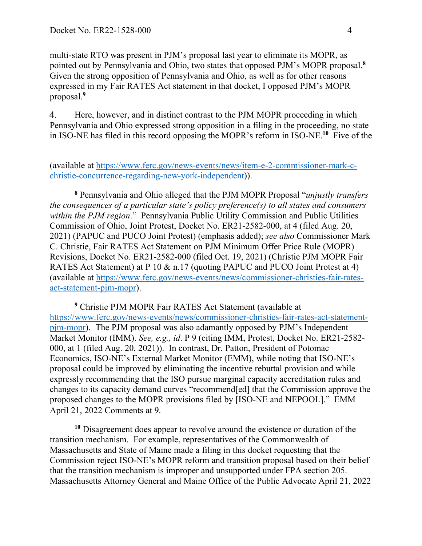multi-state RTO was present in PJM's proposal last year to eliminate its MOPR, as pointed out by Pennsylvania and Ohio, two states that opposed PJM's MOPR proposal.**<sup>8</sup>** Given the strong opposition of Pennsylvania and Ohio, as well as for other reasons expressed in my Fair RATES Act statement in that docket, I opposed PJM's MOPR proposal.**<sup>9</sup>**

 $\overline{4}$ . Here, however, and in distinct contrast to the PJM MOPR proceeding in which Pennsylvania and Ohio expressed strong opposition in a filing in the proceeding, no state in ISO-NE has filed in this record opposing the MOPR's reform in ISO-NE.**<sup>10</sup>** Five of the

**<sup>8</sup>** Pennsylvania and Ohio alleged that the PJM MOPR Proposal "*unjustly transfers the consequences of a particular state's policy preference(s) to all states and consumers within the PJM region*." Pennsylvania Public Utility Commission and Public Utilities Commission of Ohio, Joint Protest, Docket No. ER21-2582-000, at 4 (filed Aug. 20, 2021) (PAPUC and PUCO Joint Protest) (emphasis added); *see also* Commissioner Mark C. Christie, Fair RATES Act Statement on PJM Minimum Offer Price Rule (MOPR) Revisions, Docket No. ER21-2582-000 (filed Oct. 19, 2021) (Christie PJM MOPR Fair RATES Act Statement) at P 10 & n.17 (quoting PAPUC and PUCO Joint Protest at 4) (available at https://www.ferc.gov/news-events/news/commissioner-christies-fair-ratesact-statement-pjm-mopr).

**<sup>9</sup>** Christie PJM MOPR Fair RATES Act Statement (available at https://www.ferc.gov/news-events/news/commissioner-christies-fair-rates-act-statementpjm-mopr). The PJM proposal was also adamantly opposed by PJM's Independent Market Monitor (IMM). *See, e.g., id*. P 9 (citing IMM, Protest, Docket No. ER21-2582- 000, at 1 (filed Aug. 20, 2021)). In contrast, Dr. Patton, President of Potomac Economics, ISO-NE's External Market Monitor (EMM), while noting that ISO-NE's proposal could be improved by eliminating the incentive rebuttal provision and while expressly recommending that the ISO pursue marginal capacity accreditation rules and changes to its capacity demand curves "recommend[ed] that the Commission approve the proposed changes to the MOPR provisions filed by [ISO-NE and NEPOOL]." EMM April 21, 2022 Comments at 9.

**<sup>10</sup>** Disagreement does appear to revolve around the existence or duration of the transition mechanism. For example, representatives of the Commonwealth of Massachusetts and State of Maine made a filing in this docket requesting that the Commission reject ISO-NE's MOPR reform and transition proposal based on their belief that the transition mechanism is improper and unsupported under FPA section 205. Massachusetts Attorney General and Maine Office of the Public Advocate April 21, 2022

<sup>(</sup>available at https://www.ferc.gov/news-events/news/item-e-2-commissioner-mark-cchristie-concurrence-regarding-new-york-independent)).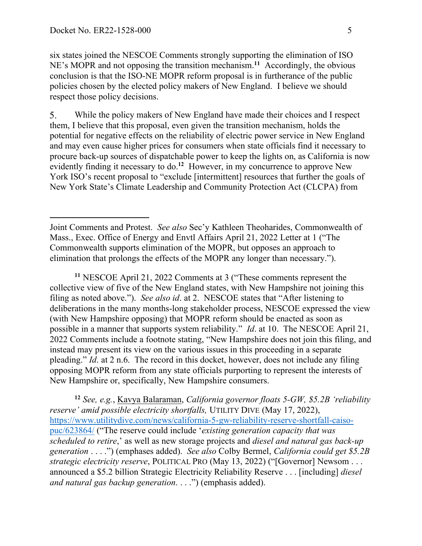six states joined the NESCOE Comments strongly supporting the elimination of ISO NE's MOPR and not opposing the transition mechanism.**<sup>11</sup>** Accordingly, the obvious conclusion is that the ISO-NE MOPR reform proposal is in furtherance of the public policies chosen by the elected policy makers of New England. I believe we should respect those policy decisions.

 $5<sub>1</sub>$ While the policy makers of New England have made their choices and I respect them, I believe that this proposal, even given the transition mechanism, holds the potential for negative effects on the reliability of electric power service in New England and may even cause higher prices for consumers when state officials find it necessary to procure back-up sources of dispatchable power to keep the lights on, as California is now evidently finding it necessary to do.<sup>12</sup> However, in my concurrence to approve New York ISO's recent proposal to "exclude [intermittent] resources that further the goals of New York State's Climate Leadership and Community Protection Act (CLCPA) from

**<sup>11</sup>** NESCOE April 21, 2022 Comments at 3 ("These comments represent the collective view of five of the New England states, with New Hampshire not joining this filing as noted above."). *See also id*. at 2. NESCOE states that "After listening to deliberations in the many months-long stakeholder process, NESCOE expressed the view (with New Hampshire opposing) that MOPR reform should be enacted as soon as possible in a manner that supports system reliability." *Id*. at 10. The NESCOE April 21, 2022 Comments include a footnote stating, "New Hampshire does not join this filing, and instead may present its view on the various issues in this proceeding in a separate pleading." *Id*. at 2 n.6. The record in this docket, however, does not include any filing opposing MOPR reform from any state officials purporting to represent the interests of New Hampshire or, specifically, New Hampshire consumers.

**<sup>12</sup>** *See, e.g.*, Kavya Balaraman, *California governor floats 5-GW, \$5.2B 'reliability reserve' amid possible electricity shortfalls,* UTILITY DIVE (May 17, 2022), https://www.utilitydive.com/news/california-5-gw-reliability-reserve-shortfall-caisopuc/623864/ ("The reserve could include '*existing generation capacity that was scheduled to retire*,' as well as new storage projects and *diesel and natural gas back-up generation* . . . .") (emphases added). *See also* Colby Bermel, *California could get \$5.2B strategic electricity reserve*, POLITICAL PRO (May 13, 2022) ("[Governor] Newsom . . . announced a \$5.2 billion Strategic Electricity Reliability Reserve . . . [including] *diesel and natural gas backup generation*. . . .") (emphasis added).

Joint Comments and Protest. *See also* Sec'y Kathleen Theoharides, Commonwealth of Mass., Exec. Office of Energy and Envtl Affairs April 21, 2022 Letter at 1 ("The Commonwealth supports elimination of the MOPR, but opposes an approach to elimination that prolongs the effects of the MOPR any longer than necessary.").